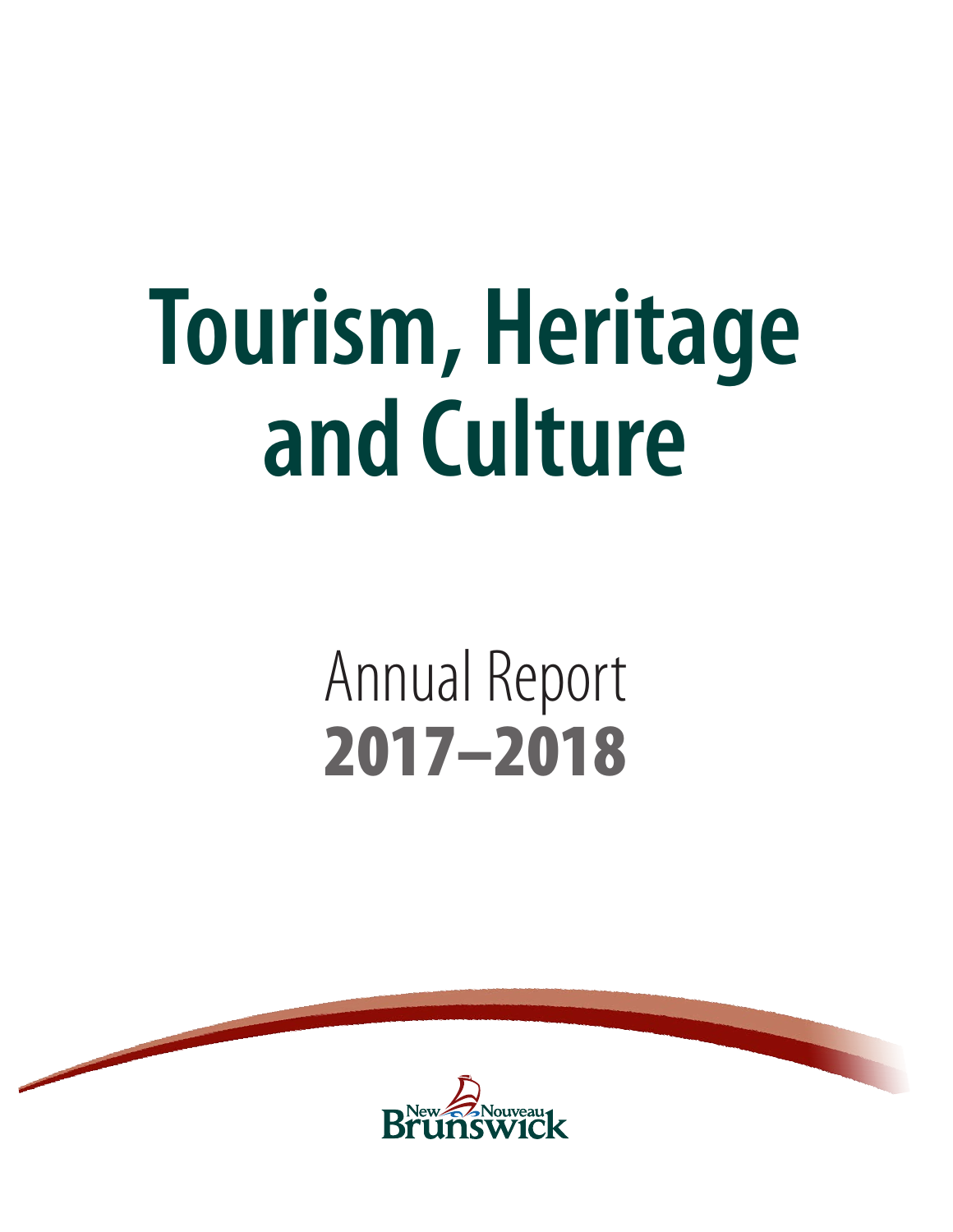# **Tourism, Heritage and Culture**

# Annual Report 2017–2018

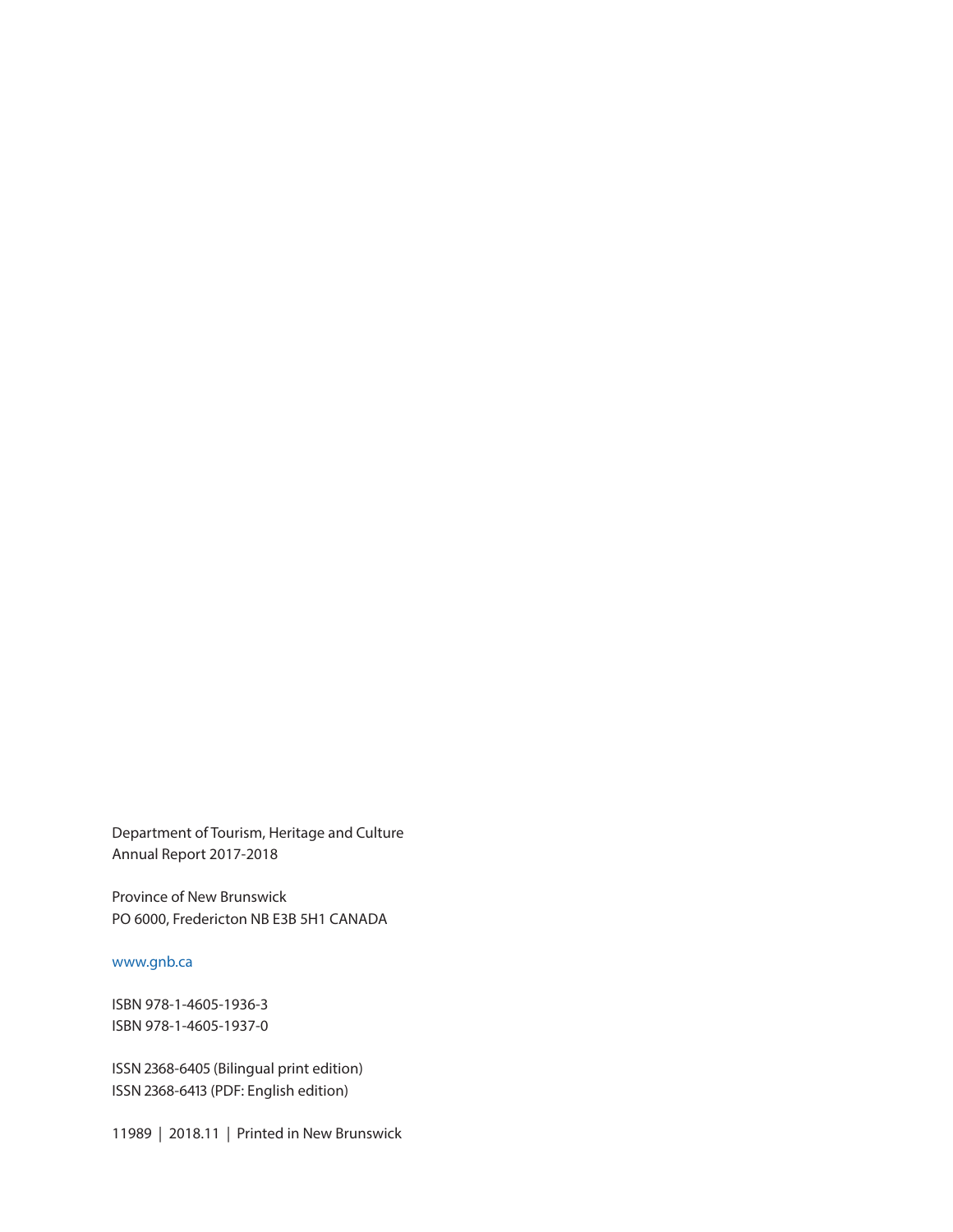Department of Tourism, Heritage and Culture Annual Report 2017-2018

Province of New Brunswick PO 6000, Fredericton NB E3B 5H1 CANADA

www.gnb.ca

ISBN 978-1-4605-1936-3 ISBN 978-1-4605-1937-0

ISSN 2368-6405 (Bilingual print edition) ISSN 2368-6413 (PDF: English edition)

11989 | 2018.11 | Printed in New Brunswick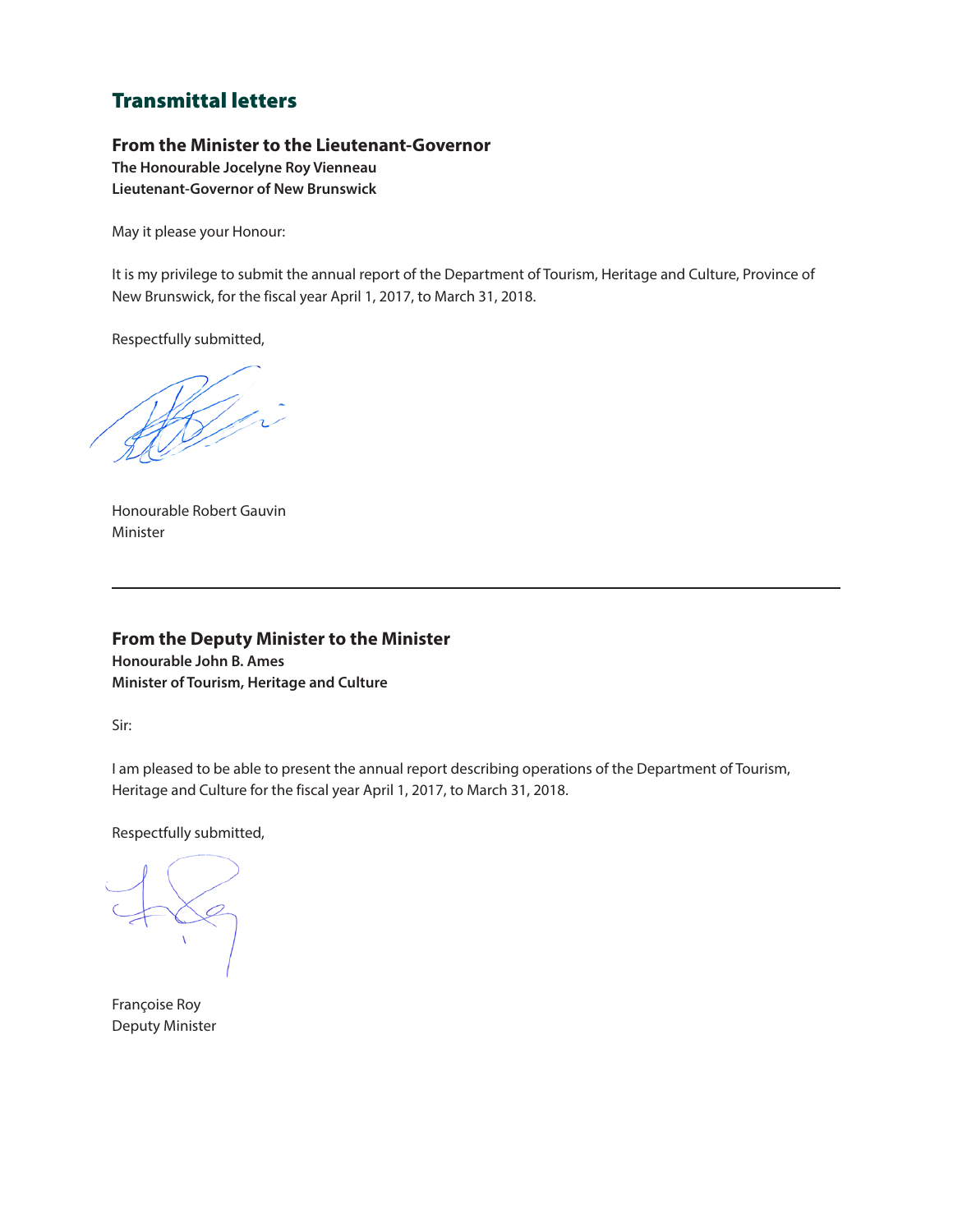# Transmittal letters

# **From the Minister to the Lieutenant-Governor**

**The Honourable Jocelyne Roy Vienneau Lieutenant-Governor of New Brunswick**

May it please your Honour:

It is my privilege to submit the annual report of the Department of Tourism, Heritage and Culture, Province of New Brunswick, for the fiscal year April 1, 2017, to March 31, 2018.

Respectfully submitted,

White will

Honourable Robert Gauvin Minister

# **From the Deputy Minister to the Minister**

**Honourable John B. Ames Minister of Tourism, Heritage and Culture**

Sir:

I am pleased to be able to present the annual report describing operations of the Department of Tourism, Heritage and Culture for the fiscal year April 1, 2017, to March 31, 2018.

Respectfully submitted,

Françoise Roy Deputy Minister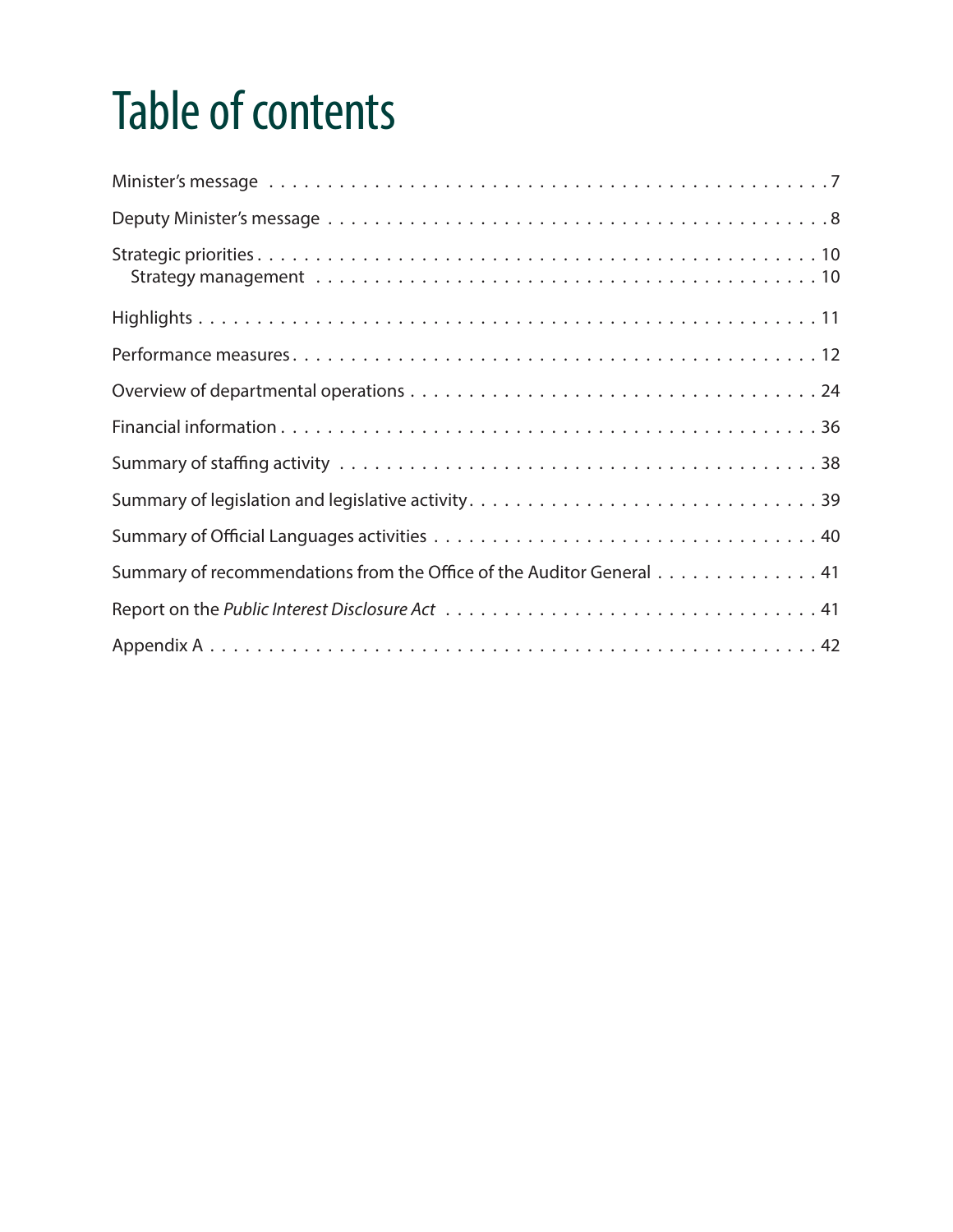# Table of contents

| Summary of recommendations from the Office of the Auditor General 41 |
|----------------------------------------------------------------------|
|                                                                      |
|                                                                      |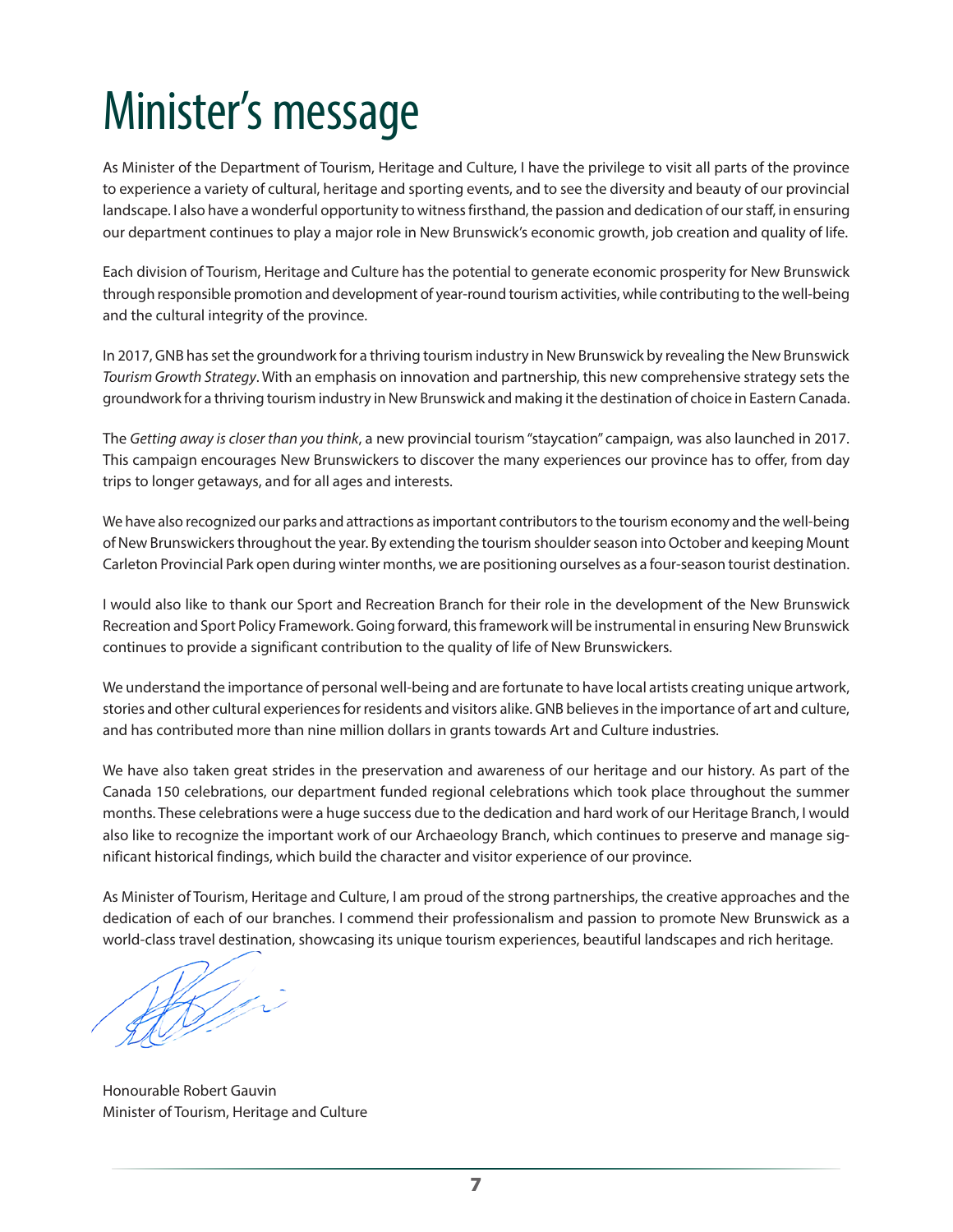# <span id="page-6-0"></span>Minister's message

As Minister of the Department of Tourism, Heritage and Culture, I have the privilege to visit all parts of the province to experience a variety of cultural, heritage and sporting events, and to see the diversity and beauty of our provincial landscape. I also have a wonderful opportunity to witness firsthand, the passion and dedication of our staff, in ensuring our department continues to play a major role in New Brunswick's economic growth, job creation and quality of life.

Each division of Tourism, Heritage and Culture has the potential to generate economic prosperity for New Brunswick through responsible promotion and development of year-round tourism activities, while contributing to the well-being and the cultural integrity of the province.

In 2017, GNB has set the groundwork for a thriving tourism industry in New Brunswick by revealing the New Brunswick *Tourism Growth Strategy*. With an emphasis on innovation and partnership, this new comprehensive strategy sets the groundwork for a thriving tourism industry in New Brunswick and making it the destination of choice in Eastern Canada.

The *Getting away is closer than you think*, a new provincial tourism "staycation" campaign, was also launched in 2017. This campaign encourages New Brunswickers to discover the many experiences our province has to offer, from day trips to longer getaways, and for all ages and interests.

We have also recognized our parks and attractions as important contributors to the tourism economy and the well-being of New Brunswickers throughout the year. By extending the tourism shoulder season into October and keeping Mount Carleton Provincial Park open during winter months, we are positioning ourselves as a four-season tourist destination.

I would also like to thank our Sport and Recreation Branch for their role in the development of the New Brunswick Recreation and Sport Policy Framework. Going forward, this framework will be instrumental in ensuring New Brunswick continues to provide a significant contribution to the quality of life of New Brunswickers.

We understand the importance of personal well-being and are fortunate to have local artists creating unique artwork, stories and other cultural experiences for residents and visitors alike. GNB believes in the importance of art and culture, and has contributed more than nine million dollars in grants towards Art and Culture industries.

We have also taken great strides in the preservation and awareness of our heritage and our history. As part of the Canada 150 celebrations, our department funded regional celebrations which took place throughout the summer months. These celebrations were a huge success due to the dedication and hard work of our Heritage Branch, I would also like to recognize the important work of our Archaeology Branch, which continues to preserve and manage significant historical findings, which build the character and visitor experience of our province.

As Minister of Tourism, Heritage and Culture, I am proud of the strong partnerships, the creative approaches and the dedication of each of our branches. I commend their professionalism and passion to promote New Brunswick as a world-class travel destination, showcasing its unique tourism experiences, beautiful landscapes and rich heritage.

Shell in

Honourable Robert Gauvin Minister of Tourism, Heritage and Culture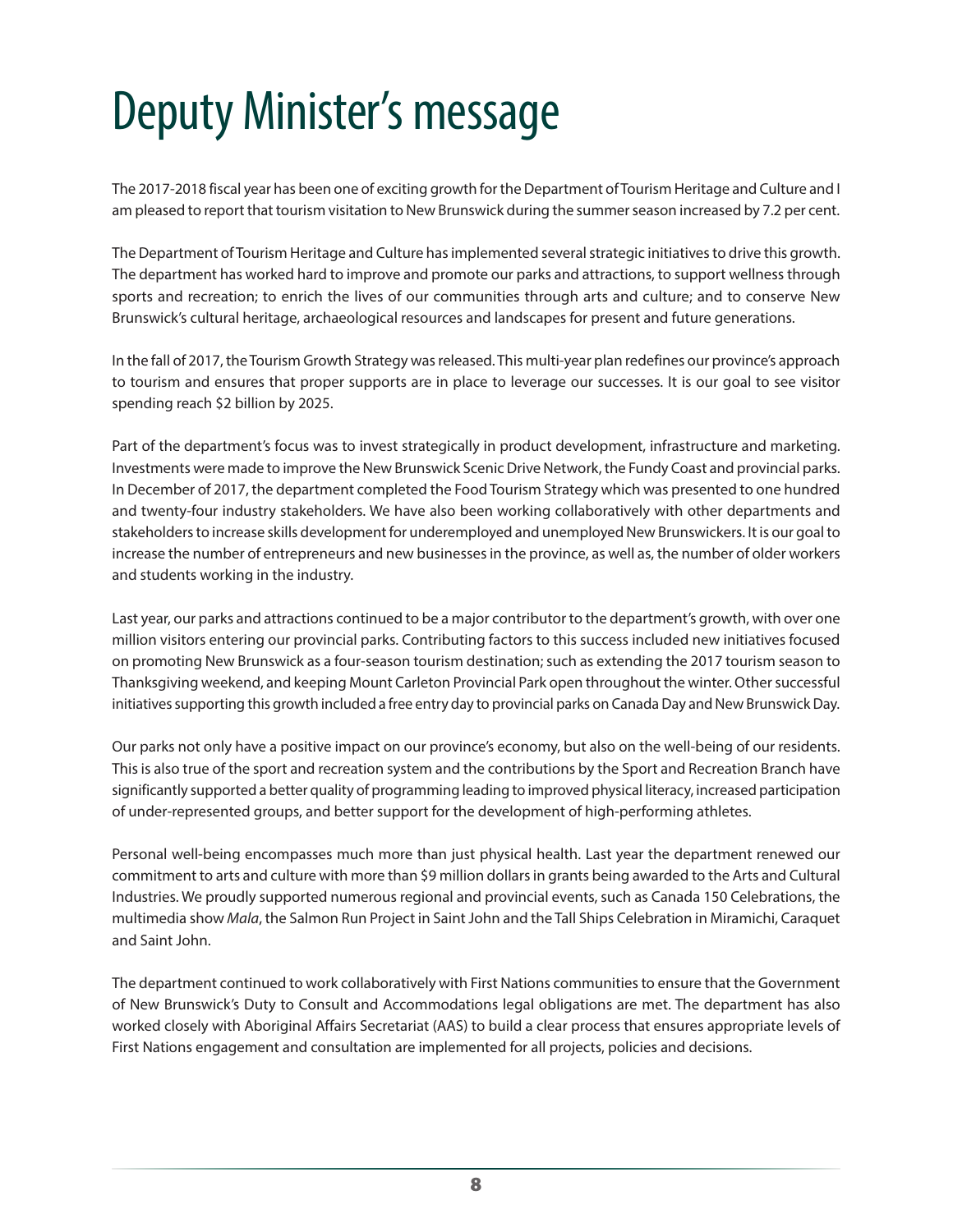# <span id="page-7-0"></span>Deputy Minister's message

The 2017-2018 fiscal year has been one of exciting growth for the Department of Tourism Heritage and Culture and I am pleased to report that tourism visitation to New Brunswick during the summer season increased by 7.2 per cent.

The Department of Tourism Heritage and Culture has implemented several strategic initiatives to drive this growth. The department has worked hard to improve and promote our parks and attractions, to support wellness through sports and recreation; to enrich the lives of our communities through arts and culture; and to conserve New Brunswick's cultural heritage, archaeological resources and landscapes for present and future generations.

In the fall of 2017, the Tourism Growth Strategy was released. This multi-year plan redefines our province's approach to tourism and ensures that proper supports are in place to leverage our successes. It is our goal to see visitor spending reach \$2 billion by 2025.

Part of the department's focus was to invest strategically in product development, infrastructure and marketing. Investments were made to improve the New Brunswick Scenic Drive Network, the Fundy Coast and provincial parks. In December of 2017, the department completed the Food Tourism Strategy which was presented to one hundred and twenty-four industry stakeholders. We have also been working collaboratively with other departments and stakeholders to increase skills development for underemployed and unemployed New Brunswickers. It is our goal to increase the number of entrepreneurs and new businesses in the province, as well as, the number of older workers and students working in the industry.

Last year, our parks and attractions continued to be a major contributor to the department's growth, with over one million visitors entering our provincial parks. Contributing factors to this success included new initiatives focused on promoting New Brunswick as a four-season tourism destination; such as extending the 2017 tourism season to Thanksgiving weekend, and keeping Mount Carleton Provincial Park open throughout the winter. Other successful initiatives supporting this growth included a free entry day to provincial parks on Canada Day and New Brunswick Day.

Our parks not only have a positive impact on our province's economy, but also on the well-being of our residents. This is also true of the sport and recreation system and the contributions by the Sport and Recreation Branch have significantly supported a better quality of programming leading to improved physical literacy, increased participation of under-represented groups, and better support for the development of high-performing athletes.

Personal well-being encompasses much more than just physical health. Last year the department renewed our commitment to arts and culture with more than \$9 million dollars in grants being awarded to the Arts and Cultural Industries. We proudly supported numerous regional and provincial events, such as Canada 150 Celebrations, the multimedia show *Mala*, the Salmon Run Project in Saint John and the Tall Ships Celebration in Miramichi, Caraquet and Saint John.

The department continued to work collaboratively with First Nations communities to ensure that the Government of New Brunswick's Duty to Consult and Accommodations legal obligations are met. The department has also worked closely with Aboriginal Affairs Secretariat (AAS) to build a clear process that ensures appropriate levels of First Nations engagement and consultation are implemented for all projects, policies and decisions.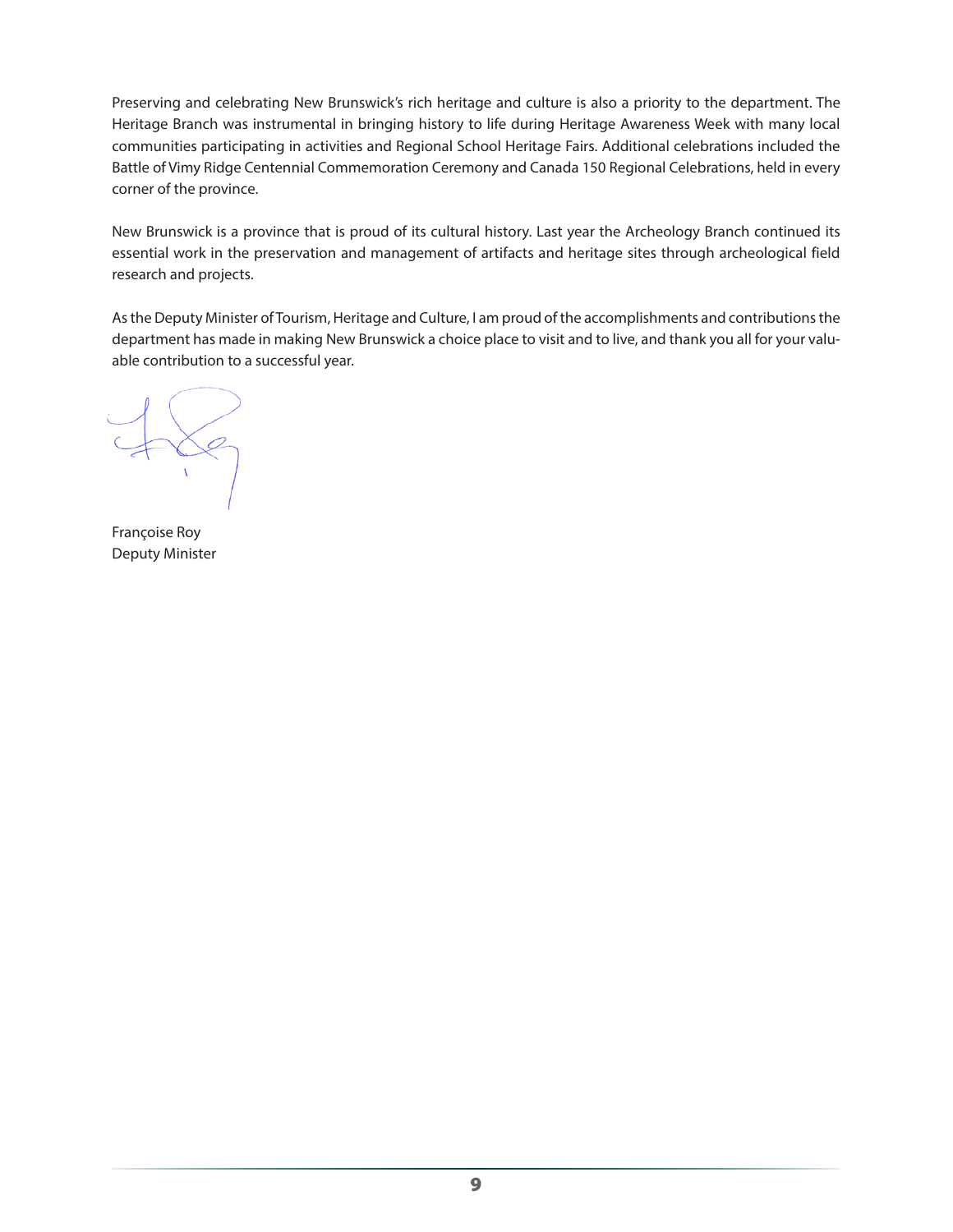Preserving and celebrating New Brunswick's rich heritage and culture is also a priority to the department. The Heritage Branch was instrumental in bringing history to life during Heritage Awareness Week with many local communities participating in activities and Regional School Heritage Fairs. Additional celebrations included the Battle of Vimy Ridge Centennial Commemoration Ceremony and Canada 150 Regional Celebrations, held in every corner of the province.

New Brunswick is a province that is proud of its cultural history. Last year the Archeology Branch continued its essential work in the preservation and management of artifacts and heritage sites through archeological field research and projects.

As the Deputy Minister of Tourism, Heritage and Culture, I am proud of the accomplishments and contributions the department has made in making New Brunswick a choice place to visit and to live, and thank you all for your valuable contribution to a successful year.

 $X$ 

Françoise Roy Deputy Minister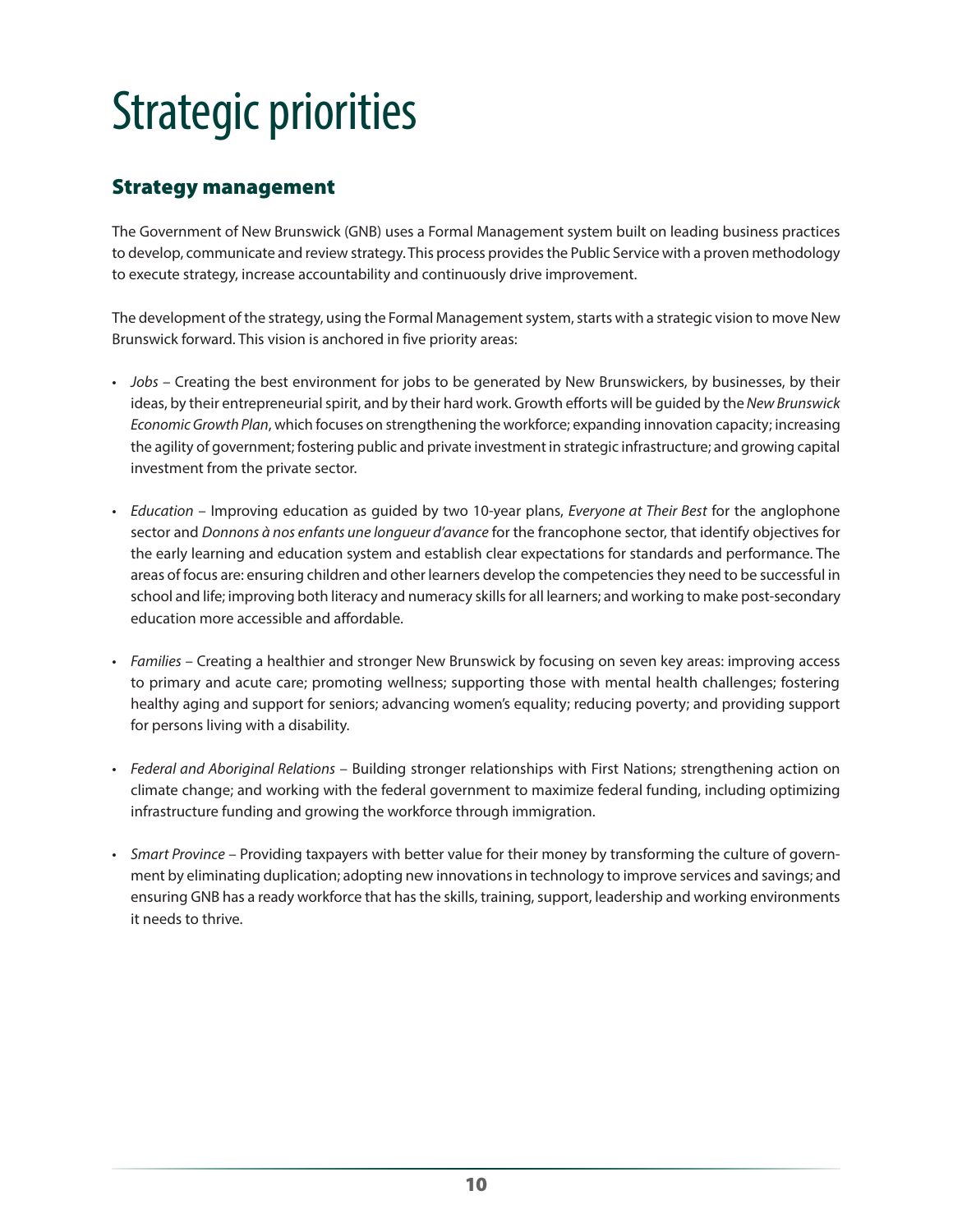# <span id="page-9-0"></span>Strategic priorities

# Strategy management

The Government of New Brunswick (GNB) uses a Formal Management system built on leading business practices to develop, communicate and review strategy. This process provides the Public Service with a proven methodology to execute strategy, increase accountability and continuously drive improvement.

The development of the strategy, using the Formal Management system, starts with a strategic vision to move New Brunswick forward. This vision is anchored in five priority areas:

- *Jobs* Creating the best environment for jobs to be generated by New Brunswickers, by businesses, by their ideas, by their entrepreneurial spirit, and by their hard work. Growth efforts will be guided by the *New Brunswick Economic Growth Plan*, which focuses on strengthening the workforce; expanding innovation capacity; increasing the agility of government; fostering public and private investment in strategic infrastructure; and growing capital investment from the private sector.
- *Education* Improving education as guided by two 10-year plans, *Everyone at Their Best* for the anglophone sector and *Donnons à nos enfants une longueur d'avance* for the francophone sector, that identify objectives for the early learning and education system and establish clear expectations for standards and performance. The areas of focus are: ensuring children and other learners develop the competencies they need to be successful in school and life; improving both literacy and numeracy skills for all learners; and working to make post-secondary education more accessible and affordable.
- *Families* Creating a healthier and stronger New Brunswick by focusing on seven key areas: improving access to primary and acute care; promoting wellness; supporting those with mental health challenges; fostering healthy aging and support for seniors; advancing women's equality; reducing poverty; and providing support for persons living with a disability.
- *Federal and Aboriginal Relations* Building stronger relationships with First Nations; strengthening action on climate change; and working with the federal government to maximize federal funding, including optimizing infrastructure funding and growing the workforce through immigration.
- *Smart Province* Providing taxpayers with better value for their money by transforming the culture of government by eliminating duplication; adopting new innovations in technology to improve services and savings; and ensuring GNB has a ready workforce that has the skills, training, support, leadership and working environments it needs to thrive.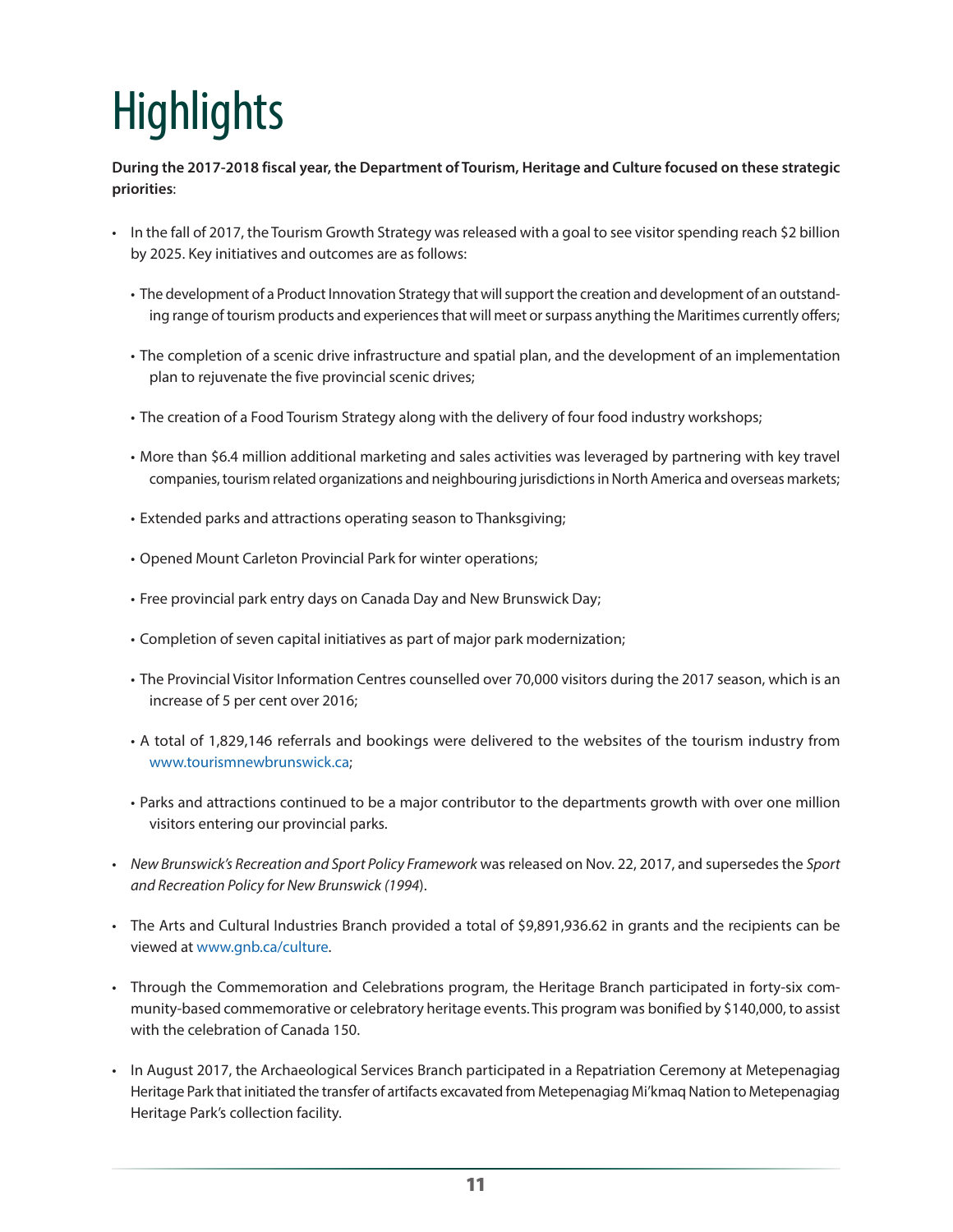# <span id="page-10-0"></span>**Highlights**

**During the 2017-2018 fiscal year, the Department of Tourism, Heritage and Culture focused on these strategic priorities**:

- In the fall of 2017, the Tourism Growth Strategy was released with a goal to see visitor spending reach \$2 billion by 2025. Key initiatives and outcomes are as follows:
	- The development of a Product Innovation Strategy that will support the creation and development of an outstanding range of tourism products and experiences that will meet or surpass anything the Maritimes currently offers;
	- The completion of a scenic drive infrastructure and spatial plan, and the development of an implementation plan to rejuvenate the five provincial scenic drives;
	- The creation of a Food Tourism Strategy along with the delivery of four food industry workshops;
	- More than \$6.4 million additional marketing and sales activities was leveraged by partnering with key travel companies, tourism related organizations and neighbouring jurisdictions in North America and overseas markets;
	- Extended parks and attractions operating season to Thanksgiving;
	- Opened Mount Carleton Provincial Park for winter operations;
	- Free provincial park entry days on Canada Day and New Brunswick Day;
	- Completion of seven capital initiatives as part of major park modernization;
	- The Provincial Visitor Information Centres counselled over 70,000 visitors during the 2017 season, which is an increase of 5 per cent over 2016;
	- A total of 1,829,146 referrals and bookings were delivered to the websites of the tourism industry from www.tourismnewbrunswick.ca;
	- Parks and attractions continued to be a major contributor to the departments growth with over one million visitors entering our provincial parks.
- *New Brunswick's Recreation and Sport Policy Framework* was released on Nov. 22, 2017, and supersedes the *Sport and Recreation Policy for New Brunswick (1994*).
- The Arts and Cultural Industries Branch provided a total of \$9,891,936.62 in grants and the recipients can be viewed at www.gnb.ca/culture.
- Through the Commemoration and Celebrations program, the Heritage Branch participated in forty-six community-based commemorative or celebratory heritage events. This program was bonified by \$140,000, to assist with the celebration of Canada 150.
- In August 2017, the Archaeological Services Branch participated in a Repatriation Ceremony at Metepenagiag Heritage Park that initiated the transfer of artifacts excavated from Metepenagiag Mi'kmaq Nation to Metepenagiag Heritage Park's collection facility.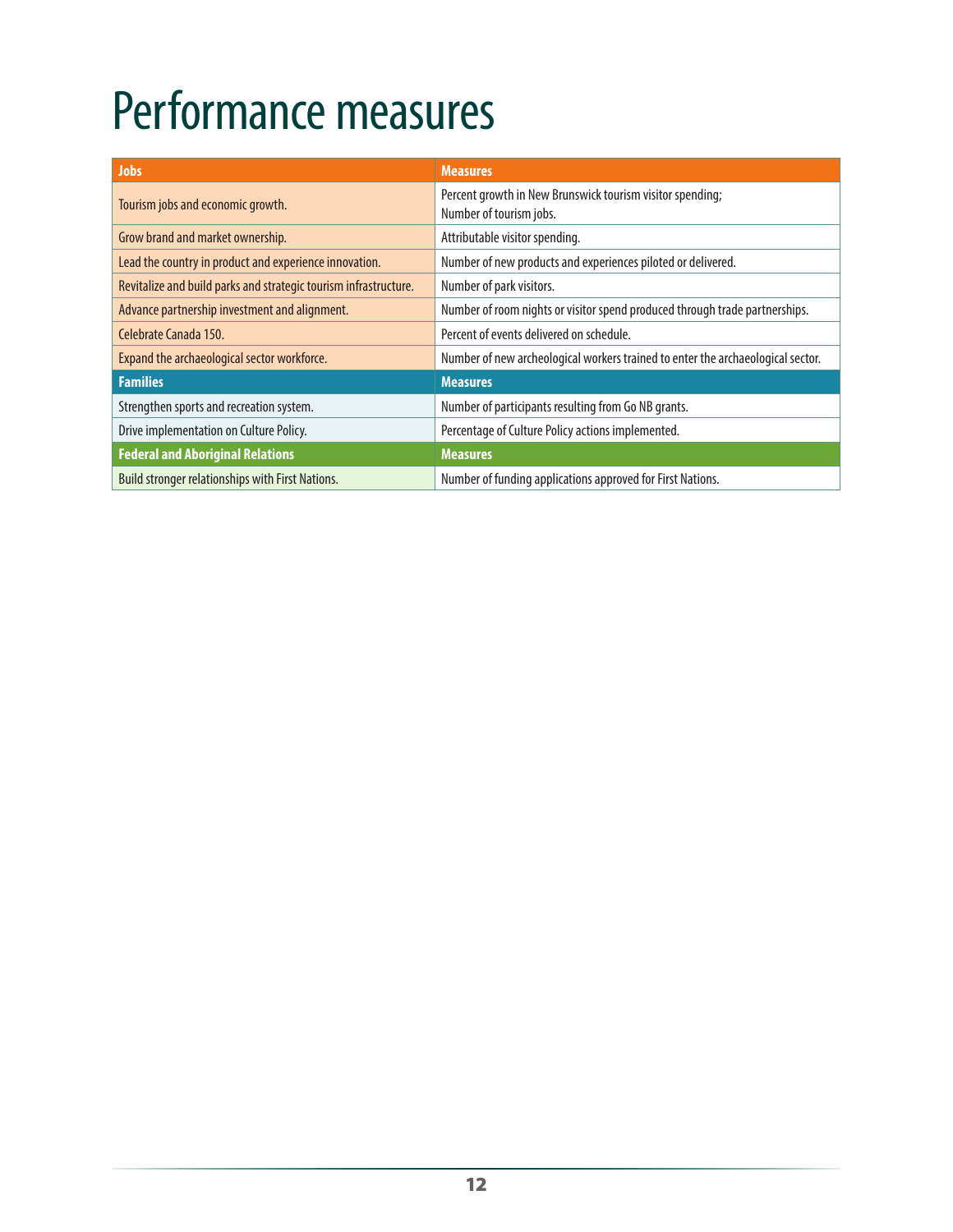# <span id="page-11-0"></span>Performance measures

| <b>Jobs</b>                                                      | <b>Measures</b>                                                                      |
|------------------------------------------------------------------|--------------------------------------------------------------------------------------|
| Tourism jobs and economic growth.                                | Percent growth in New Brunswick tourism visitor spending;<br>Number of tourism jobs. |
| Grow brand and market ownership.                                 | Attributable visitor spending.                                                       |
| Lead the country in product and experience innovation.           | Number of new products and experiences piloted or delivered.                         |
| Revitalize and build parks and strategic tourism infrastructure. | Number of park visitors.                                                             |
| Advance partnership investment and alignment.                    | Number of room nights or visitor spend produced through trade partnerships.          |
| Celebrate Canada 150.                                            | Percent of events delivered on schedule.                                             |
| Expand the archaeological sector workforce.                      | Number of new archeological workers trained to enter the archaeological sector.      |
| <b>Families</b>                                                  | <b>Measures</b>                                                                      |
| Strengthen sports and recreation system.                         | Number of participants resulting from Go NB grants.                                  |
| Drive implementation on Culture Policy.                          | Percentage of Culture Policy actions implemented.                                    |
| <b>Federal and Aboriginal Relations</b>                          | <b>Measures</b>                                                                      |
| Build stronger relationships with First Nations.                 | Number of funding applications approved for First Nations.                           |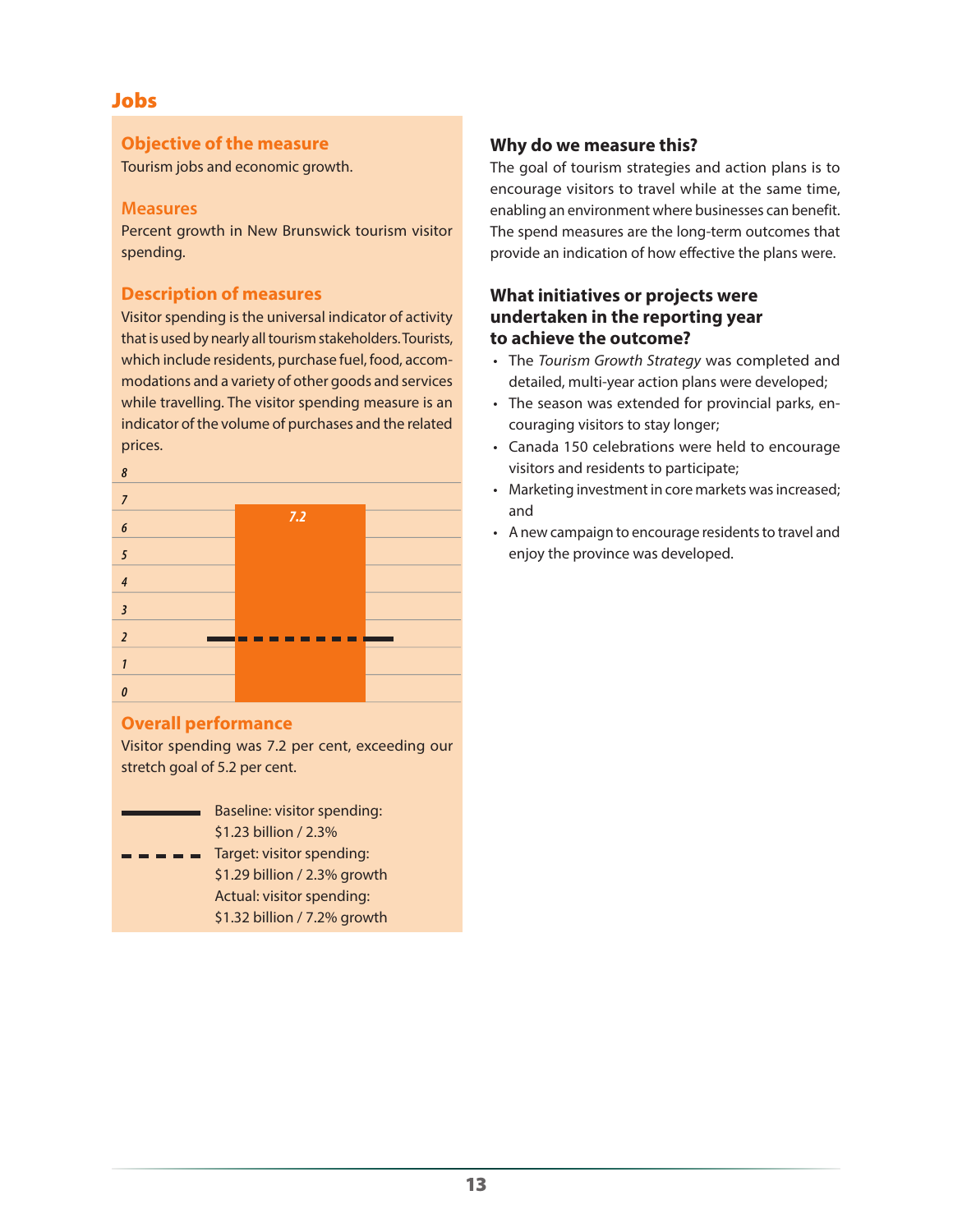# **Objective of the measure**

Tourism jobs and economic growth.

### **Measures**

Percent growth in New Brunswick tourism visitor spending.

# **Description of measures**

Visitor spending is the universal indicator of activity that is used by nearly all tourism stakeholders. Tourists, which include residents, purchase fuel, food, accommodations and a variety of other goods and services while travelling. The visitor spending measure is an indicator of the volume of purchases and the related prices.

| $\boldsymbol{\delta}$   |     |  |
|-------------------------|-----|--|
| $\overline{7}$          |     |  |
| $\pmb{6}$               | 7.2 |  |
| 5                       |     |  |
| $\overline{4}$          |     |  |
| $\overline{\mathbf{3}}$ |     |  |
| $\overline{2}$          |     |  |
| 1                       |     |  |
| 0                       |     |  |

# **Overall performance**

Visitor spending was 7.2 per cent, exceeding our stretch goal of 5.2 per cent.

| Baseline: visitor spending:                                                           |
|---------------------------------------------------------------------------------------|
| \$1.23 billion / 2.3%                                                                 |
| $\blacksquare$ $\blacksquare$ $\blacksquare$ $\blacksquare$ Target: visitor spending: |

\$1.29 billion / 2.3% growth Actual: visitor spending: \$1.32 billion / 7.2% growth

# **Why do we measure this?**

The goal of tourism strategies and action plans is to encourage visitors to travel while at the same time, enabling an environment where businesses can benefit. The spend measures are the long-term outcomes that provide an indication of how effective the plans were.

# **What initiatives or projects were undertaken in the reporting year to achieve the outcome?**

- The *Tourism Growth Strategy* was completed and detailed, multi-year action plans were developed;
- The season was extended for provincial parks, encouraging visitors to stay longer;
- Canada 150 celebrations were held to encourage visitors and residents to participate;
- Marketing investment in core markets was increased; and
- A new campaign to encourage residents to travel and enjoy the province was developed.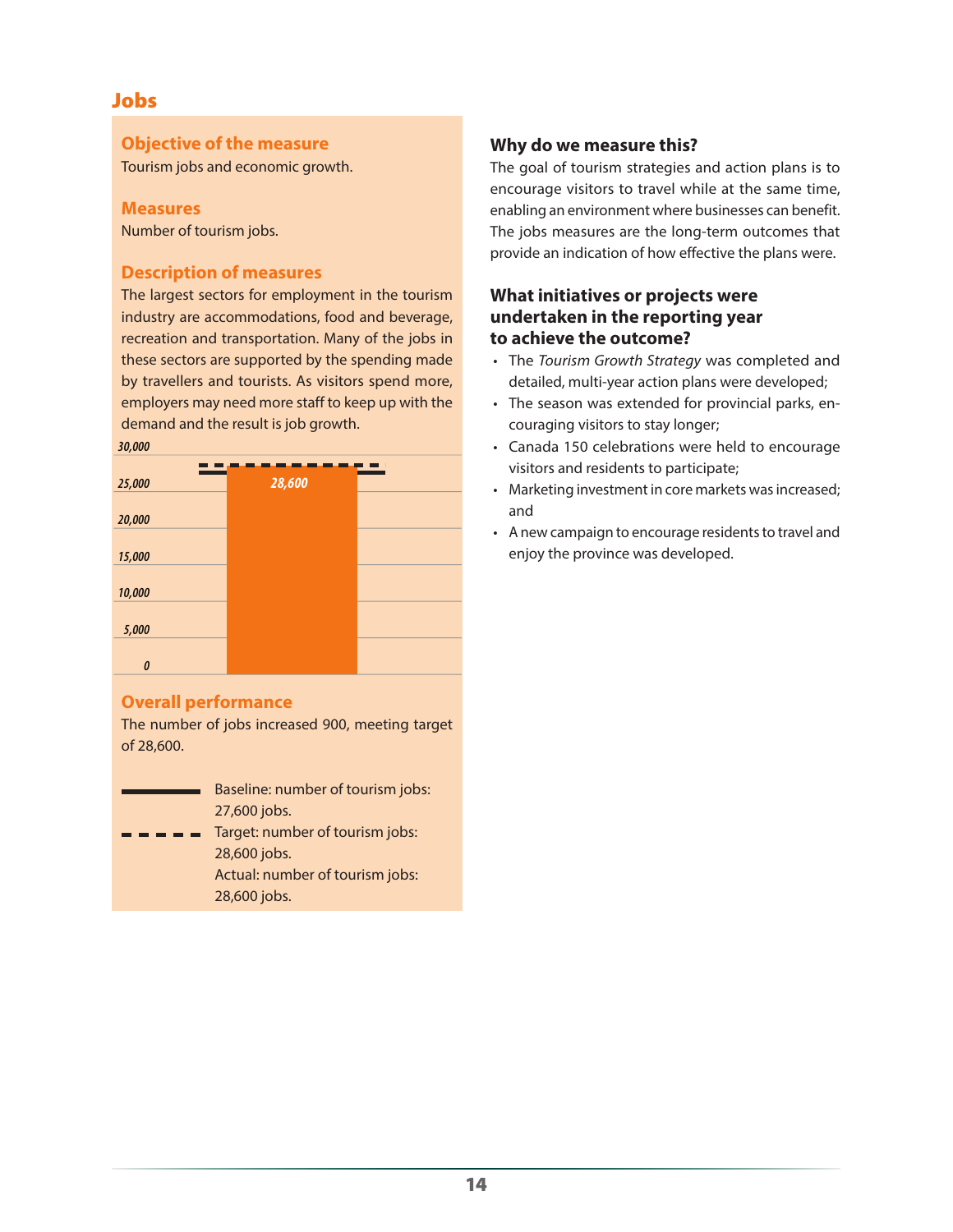### **Objective of the measure**

Tourism jobs and economic growth.

#### **Measures**

Number of tourism jobs.

# **Description of measures**

The largest sectors for employment in the tourism industry are accommodations, food and beverage, recreation and transportation. Many of the jobs in these sectors are supported by the spending made by travellers and tourists. As visitors spend more, employers may need more staff to keep up with the demand and the result is job growth.



# **Overall performance**

The number of jobs increased 900, meeting target of 28,600.

- Baseline: number of tourism jobs: 27,600 jobs.
- Target: number of tourism jobs: 28,600 jobs. Actual: number of tourism jobs: 28,600 jobs.

# **Why do we measure this?**

The goal of tourism strategies and action plans is to encourage visitors to travel while at the same time, enabling an environment where businesses can benefit. The jobs measures are the long-term outcomes that provide an indication of how effective the plans were.

# **What initiatives or projects were undertaken in the reporting year to achieve the outcome?**

- The *Tourism Growth Strategy* was completed and detailed, multi-year action plans were developed;
- The season was extended for provincial parks, encouraging visitors to stay longer;
- Canada 150 celebrations were held to encourage visitors and residents to participate;
- Marketing investment in core markets was increased; and
- A new campaign to encourage residents to travel and enjoy the province was developed.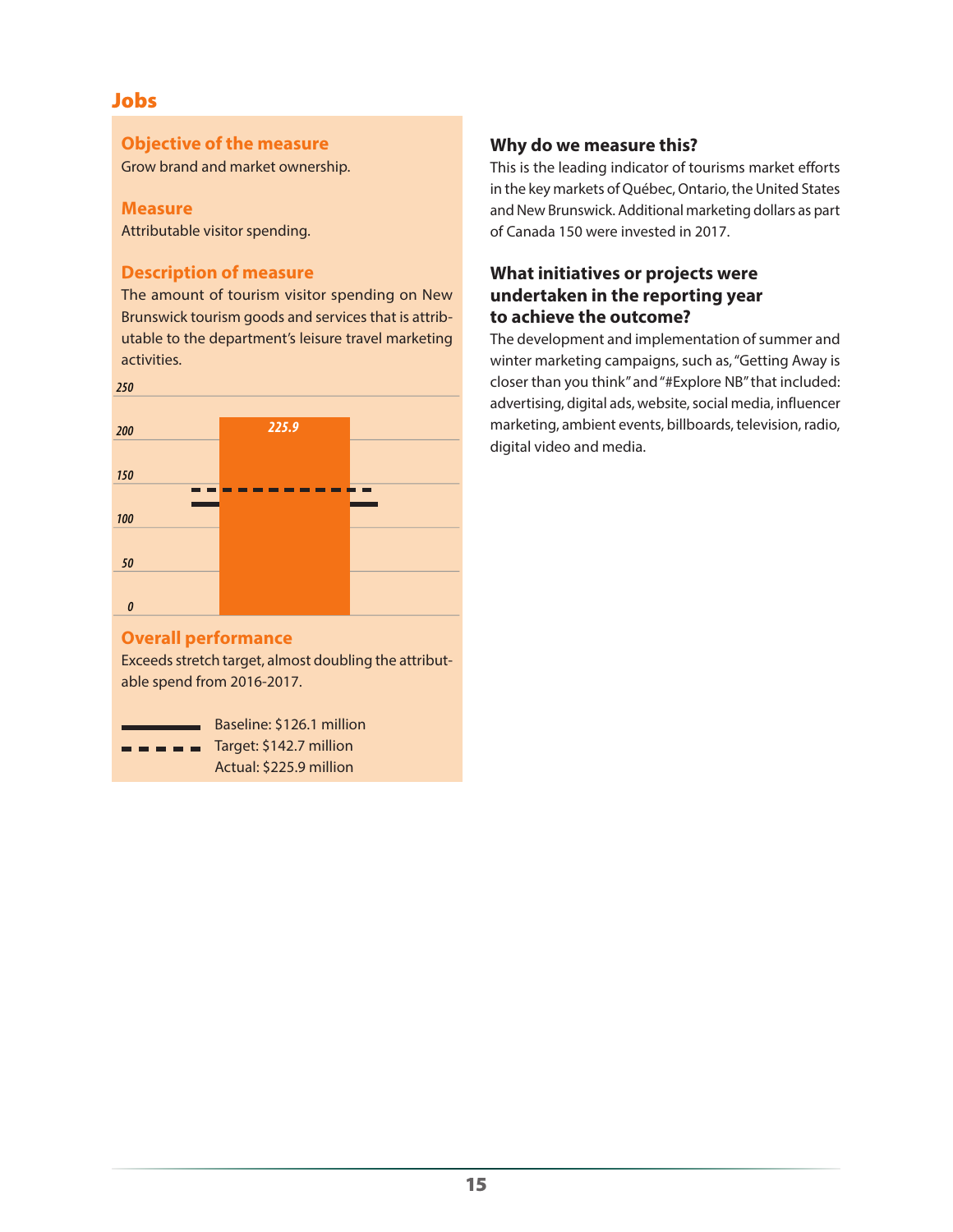### **Objective of the measure**

Grow brand and market ownership.

#### **Measure**

Attributable visitor spending.

# **Description of measure**

The amount of tourism visitor spending on New Brunswick tourism goods and services that is attributable to the department's leisure travel marketing activities.

*250*



# **Overall performance**

Exceeds stretch target, almost doubling the attributable spend from 2016-2017.

Baseline: \$126.1 million  $\blacksquare$   $\blacksquare$  Target: \$142.7 million

Actual: \$225.9 million

# **Why do we measure this?**

This is the leading indicator of tourisms market efforts in the key markets of Québec, Ontario, the United States and New Brunswick. Additional marketing dollars as part of Canada 150 were invested in 2017.

# **What initiatives or projects were undertaken in the reporting year to achieve the outcome?**

The development and implementation of summer and winter marketing campaigns, such as, "Getting Away is closer than you think" and "#Explore NB" that included: advertising, digital ads, website, social media, influencer marketing, ambient events, billboards, television, radio, digital video and media.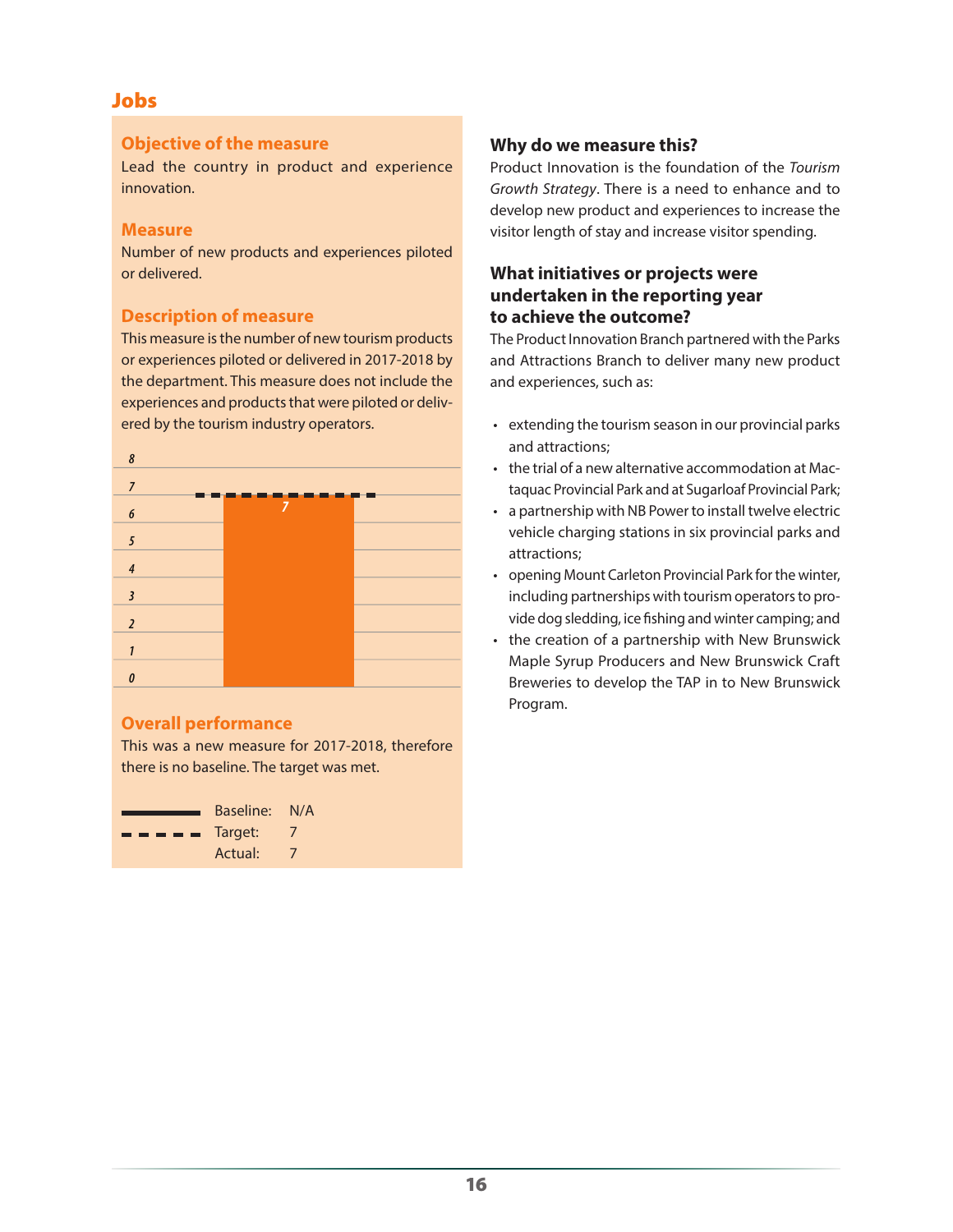# **Objective of the measure**

Lead the country in product and experience innovation.

# **Measure**

Number of new products and experiences piloted or delivered.

# **Description of measure**

This measure is the number of new tourism products or experiences piloted or delivered in 2017-2018 by the department. This measure does not include the experiences and products that were piloted or delivered by the tourism industry operators.



# **Overall performance**

This was a new measure for 2017-2018, therefore there is no baseline. The target was met.

|                                                                                                                                                                                                                                                                                                                                                                                                                                                                                            | Baseline: N/A |  |
|--------------------------------------------------------------------------------------------------------------------------------------------------------------------------------------------------------------------------------------------------------------------------------------------------------------------------------------------------------------------------------------------------------------------------------------------------------------------------------------------|---------------|--|
| $\blacksquare$ $\blacksquare$ $\blacksquare$ $\blacksquare$ $\blacksquare$ $\blacksquare$ $\blacksquare$ $\blacksquare$ $\blacksquare$ $\blacksquare$ $\blacksquare$ $\blacksquare$ $\blacksquare$ $\blacksquare$ $\blacksquare$ $\blacksquare$ $\blacksquare$ $\blacksquare$ $\blacksquare$ $\blacksquare$ $\blacksquare$ $\blacksquare$ $\blacksquare$ $\blacksquare$ $\blacksquare$ $\blacksquare$ $\blacksquare$ $\blacksquare$ $\blacksquare$ $\blacksquare$ $\blacksquare$ $\blacks$ |               |  |
|                                                                                                                                                                                                                                                                                                                                                                                                                                                                                            | Actual:       |  |

# **Why do we measure this?**

Product Innovation is the foundation of the *Tourism Growth Strategy*. There is a need to enhance and to develop new product and experiences to increase the visitor length of stay and increase visitor spending.

# **What initiatives or projects were undertaken in the reporting year to achieve the outcome?**

The Product Innovation Branch partnered with the Parks and Attractions Branch to deliver many new product and experiences, such as:

- extending the tourism season in our provincial parks and attractions;
- the trial of a new alternative accommodation at Mactaquac Provincial Park and at Sugarloaf Provincial Park;
- a partnership with NB Power to install twelve electric vehicle charging stations in six provincial parks and attractions;
- opening Mount Carleton Provincial Park for the winter, including partnerships with tourism operators to provide dog sledding, ice fishing and winter camping; and
- the creation of a partnership with New Brunswick Maple Syrup Producers and New Brunswick Craft Breweries to develop the TAP in to New Brunswick Program.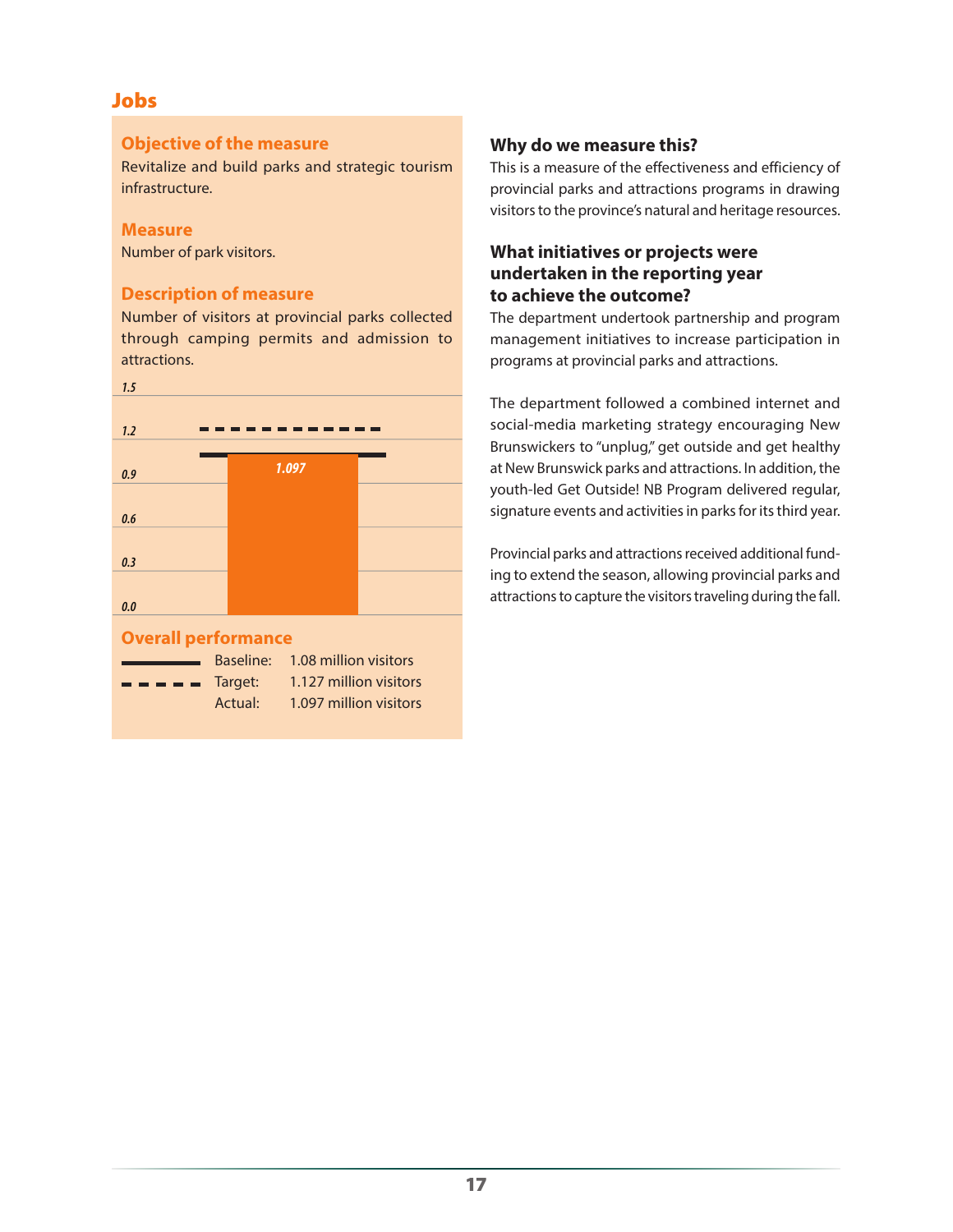# **Objective of the measure**

Revitalize and build parks and strategic tourism infrastructure.

# **Measure**

Number of park visitors.

# **Description of measure**

Number of visitors at provincial parks collected through camping permits and admission to attractions.



# **Why do we measure this?**

This is a measure of the effectiveness and efficiency of provincial parks and attractions programs in drawing visitors to the province's natural and heritage resources.

# **What initiatives or projects were undertaken in the reporting year to achieve the outcome?**

The department undertook partnership and program management initiatives to increase participation in programs at provincial parks and attractions.

The department followed a combined internet and social-media marketing strategy encouraging New Brunswickers to "unplug," get outside and get healthy at New Brunswick parks and attractions. In addition, the youth-led Get Outside! NB Program delivered regular, signature events and activities in parks for its third year.

Provincial parks and attractions received additional funding to extend the season, allowing provincial parks and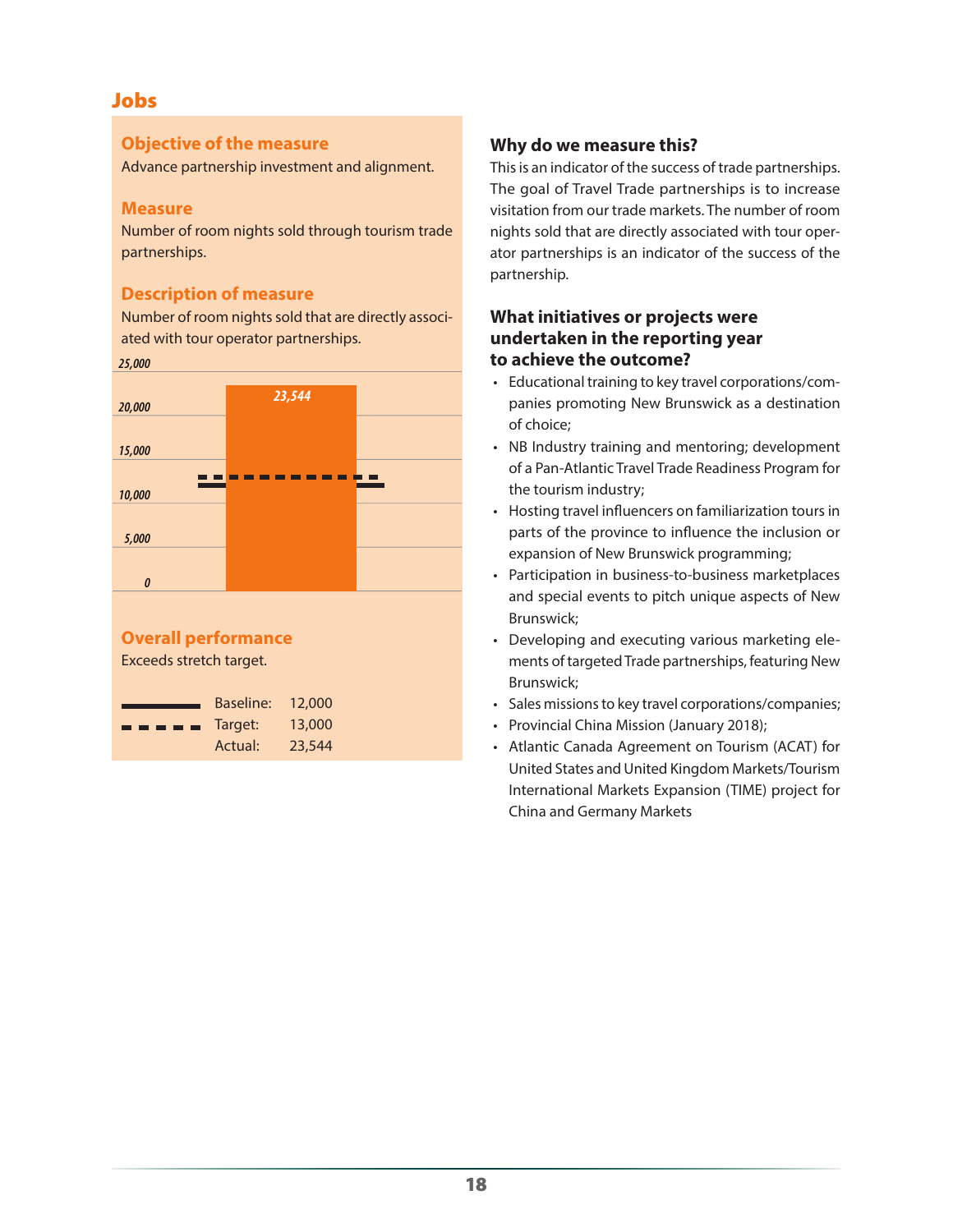# **Objective of the measure**

Advance partnership investment and alignment.

# **Measure**

Number of room nights sold through tourism trade partnerships.

# **Description of measure**

Number of room nights sold that are directly associated with tour operator partnerships.

#### *25,000*



# **Overall performance**

Exceeds stretch target.



# **Why do we measure this?**

This is an indicator of the success of trade partnerships. The goal of Travel Trade partnerships is to increase visitation from our trade markets. The number of room nights sold that are directly associated with tour operator partnerships is an indicator of the success of the partnership.

# **What initiatives or projects were undertaken in the reporting year to achieve the outcome?**

- Educational training to key travel corporations/companies promoting New Brunswick as a destination of choice;
- NB Industry training and mentoring; development of a Pan-Atlantic Travel Trade Readiness Program for the tourism industry;
- Hosting travel influencers on familiarization tours in parts of the province to influence the inclusion or expansion of New Brunswick programming;
- Participation in business-to-business marketplaces and special events to pitch unique aspects of New Brunswick;
- Developing and executing various marketing elements of targeted Trade partnerships, featuring New Brunswick;
- Sales missions to key travel corporations/companies;
- Provincial China Mission (January 2018);
- Atlantic Canada Agreement on Tourism (ACAT) for United States and United Kingdom Markets/Tourism International Markets Expansion (TIME) project for China and Germany Markets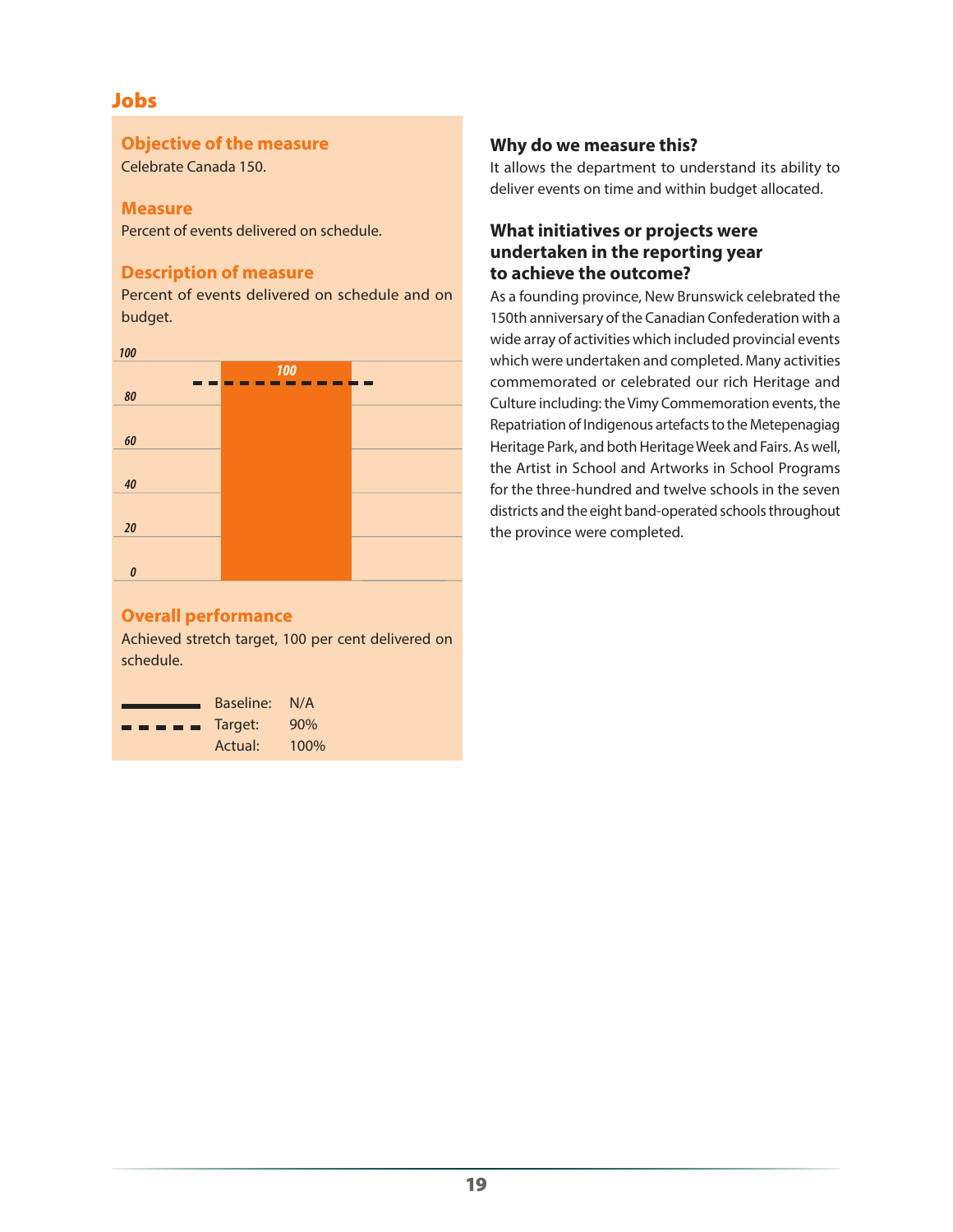### **Objective of the measure**

Celebrate Canada 150.

### **Measure**

Percent of events delivered on schedule.

# **Description of measure**

Percent of events delivered on schedule and on budget.



# **Overall performance**

Achieved stretch target, 100 per cent delivered on schedule.



# **Why do we measure this?**

It allows the department to understand its ability to deliver events on time and within budget allocated.

# **What initiatives or projects were undertaken in the reporting year to achieve the outcome?**

As a founding province, New Brunswick celebrated the 150th anniversary of the Canadian Confederation with a wide array of activities which included provincial events which were undertaken and completed. Many activities commemorated or celebrated our rich Heritage and Culture including: the Vimy Commemoration events, the Repatriation of Indigenous artefacts to the Metepenagiag Heritage Park, and both Heritage Week and Fairs. As well, the Artist in School and Artworks in School Programs for the three-hundred and twelve schools in the seven districts and the eight band-operated schools throughout the province were completed.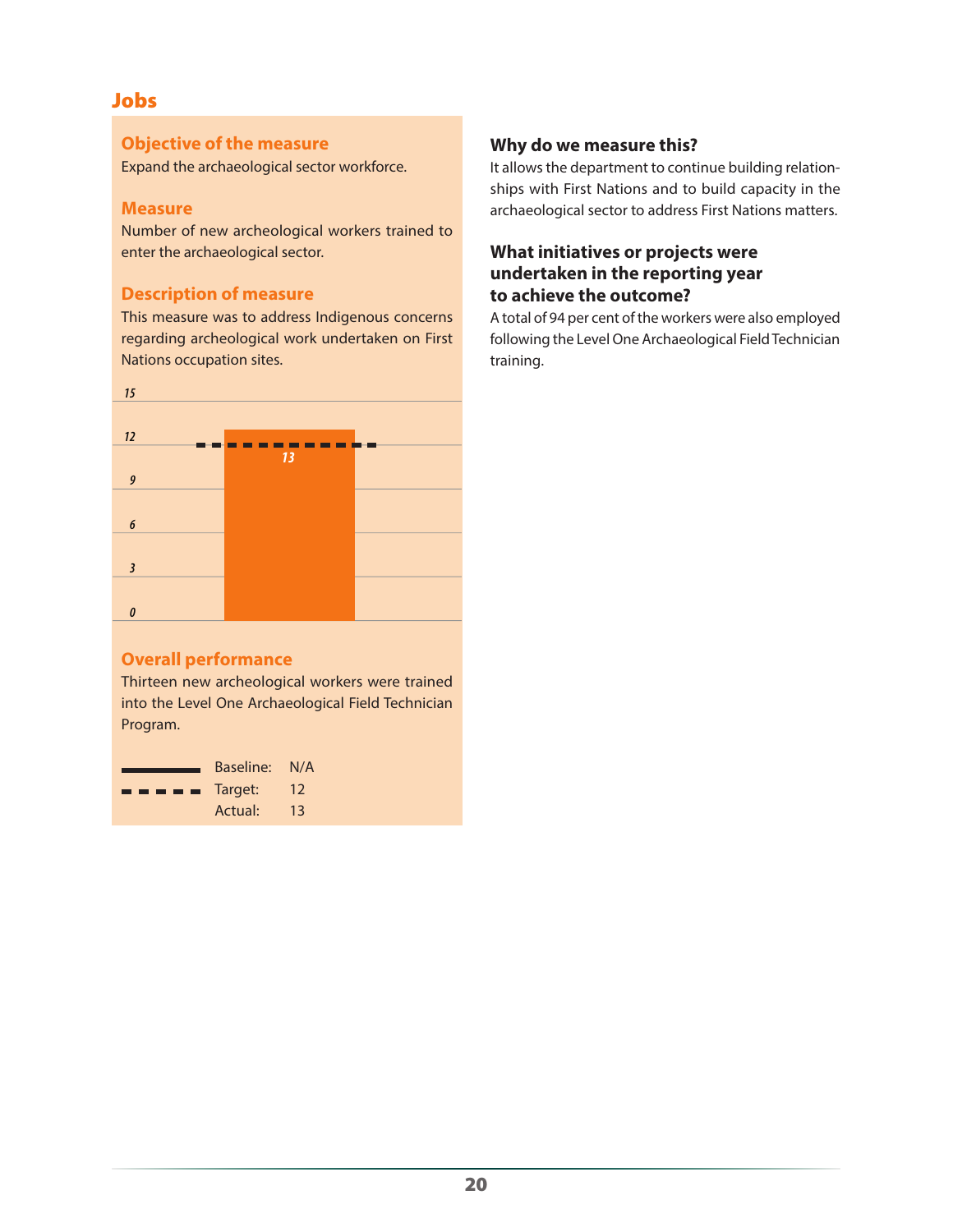### **Objective of the measure**

Expand the archaeological sector workforce.

### **Measure**

Number of new archeological workers trained to enter the archaeological sector.

# **Description of measure**

This measure was to address Indigenous concerns regarding archeological work undertaken on First Nations occupation sites.



# **Overall performance**

Thirteen new archeological workers were trained into the Level One Archaeological Field Technician Program.

|                                                                                                                                                                                                                                                                                                                                                                                                                                                                                            | Baseline: N/A |    |
|--------------------------------------------------------------------------------------------------------------------------------------------------------------------------------------------------------------------------------------------------------------------------------------------------------------------------------------------------------------------------------------------------------------------------------------------------------------------------------------------|---------------|----|
| $\blacksquare$ $\blacksquare$ $\blacksquare$ $\blacksquare$ $\blacksquare$ $\blacksquare$ $\blacksquare$ $\blacksquare$ $\blacksquare$ $\blacksquare$ $\blacksquare$ $\blacksquare$ $\blacksquare$ $\blacksquare$ $\blacksquare$ $\blacksquare$ $\blacksquare$ $\blacksquare$ $\blacksquare$ $\blacksquare$ $\blacksquare$ $\blacksquare$ $\blacksquare$ $\blacksquare$ $\blacksquare$ $\blacksquare$ $\blacksquare$ $\blacksquare$ $\blacksquare$ $\blacksquare$ $\blacksquare$ $\blacks$ |               | 12 |
|                                                                                                                                                                                                                                                                                                                                                                                                                                                                                            | Actual:       | 13 |

# **Why do we measure this?**

It allows the department to continue building relationships with First Nations and to build capacity in the archaeological sector to address First Nations matters.

# **What initiatives or projects were undertaken in the reporting year to achieve the outcome?**

A total of 94 per cent of the workers were also employed following the Level One Archaeological Field Technician training.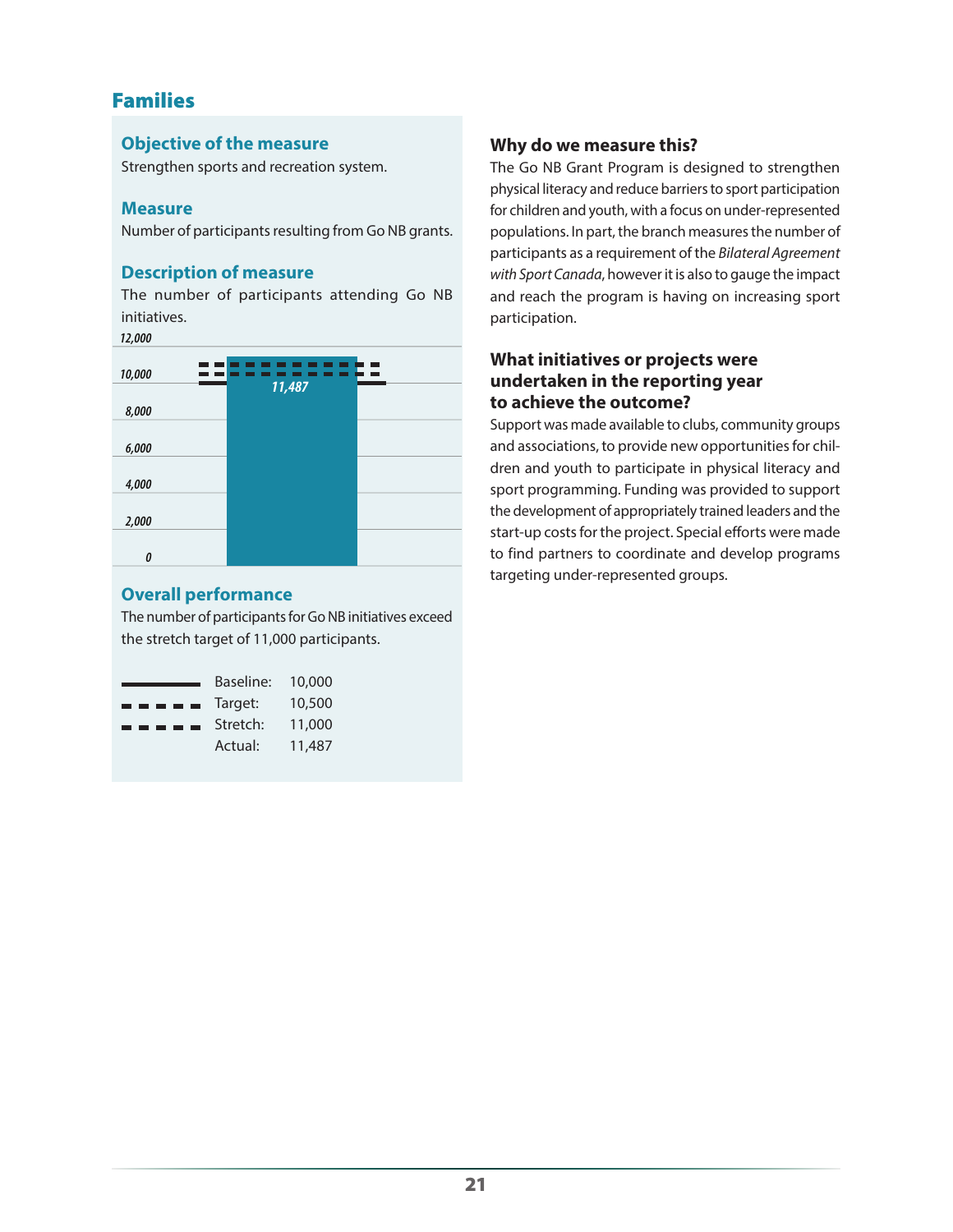# Families

# **Objective of the measure**

Strengthen sports and recreation system.

# **Measure**

Number of participants resulting from Go NB grants.

# **Description of measure**

The number of participants attending Go NB initiatives.

*12,000*

| 10,000 |  |
|--------|--|
| 11,487 |  |
| 8,000  |  |
|        |  |
| 6,000  |  |
|        |  |
| 4,000  |  |
|        |  |
| 2,000  |  |
|        |  |
| 0      |  |

# **Overall performance**

The number of participants for Go NB initiatives exceed the stretch target of 11,000 participants.

|                                                                                                                                                                                                                                                                                                                                                                                                                                                                                            | Baseline: | 10,000 |
|--------------------------------------------------------------------------------------------------------------------------------------------------------------------------------------------------------------------------------------------------------------------------------------------------------------------------------------------------------------------------------------------------------------------------------------------------------------------------------------------|-----------|--------|
| $\blacksquare$ $\blacksquare$ $\blacksquare$ $\blacksquare$ $\blacksquare$ $\blacksquare$ $\blacksquare$ $\blacksquare$ $\blacksquare$ $\blacksquare$ $\blacksquare$ $\blacksquare$ $\blacksquare$ $\blacksquare$ $\blacksquare$ $\blacksquare$ $\blacksquare$ $\blacksquare$ $\blacksquare$ $\blacksquare$ $\blacksquare$ $\blacksquare$ $\blacksquare$ $\blacksquare$ $\blacksquare$ $\blacksquare$ $\blacksquare$ $\blacksquare$ $\blacksquare$ $\blacksquare$ $\blacksquare$ $\blacks$ |           | 10,500 |
|                                                                                                                                                                                                                                                                                                                                                                                                                                                                                            | Stretch:  | 11,000 |
|                                                                                                                                                                                                                                                                                                                                                                                                                                                                                            | Actual:   | 11,487 |

# **Why do we measure this?**

The Go NB Grant Program is designed to strengthen physical literacy and reduce barriers to sport participation for children and youth, with a focus on under-represented populations. In part, the branch measures the number of participants as a requirement of the *Bilateral Agreement with Sport Canada*, however it is also to gauge the impact and reach the program is having on increasing sport participation.

# **What initiatives or projects were undertaken in the reporting year to achieve the outcome?**

Support was made available to clubs, community groups and associations, to provide new opportunities for children and youth to participate in physical literacy and sport programming. Funding was provided to support the development of appropriately trained leaders and the start-up costs for the project. Special efforts were made to find partners to coordinate and develop programs targeting under-represented groups.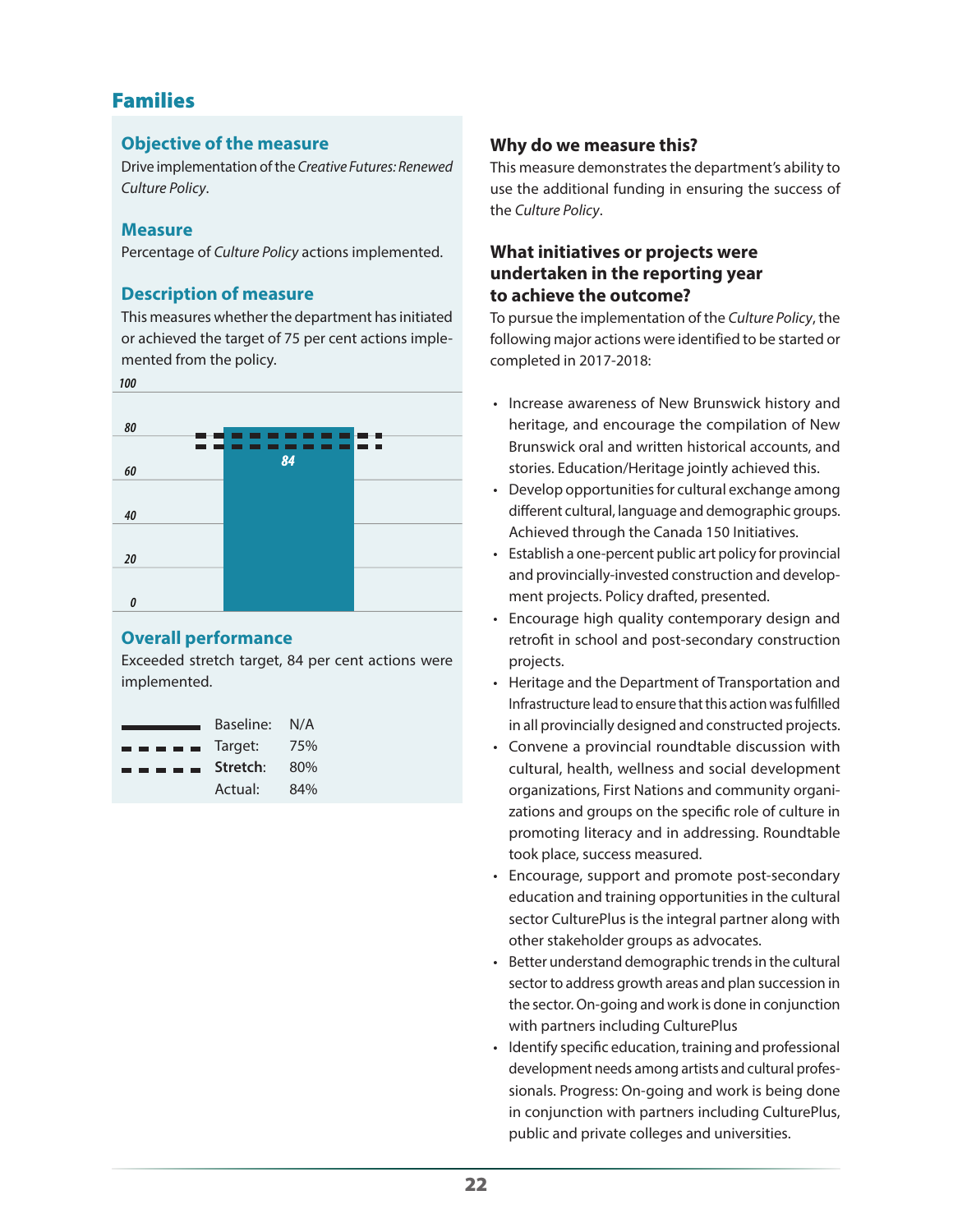# Families

# **Objective of the measure**

Drive implementation of the *Creative Futures: Renewed Culture Policy*.

# **Measure**

Percentage of *Culture Policy* actions implemented.

# **Description of measure**

This measures whether the department has initiated or achieved the target of 75 per cent actions implemented from the policy.





# **Overall performance**

Exceeded stretch target, 84 per cent actions were implemented.

|                                                                                                                                                                                                                                                                                                                                                                                                                                                                                            | Baseline: | N/A |
|--------------------------------------------------------------------------------------------------------------------------------------------------------------------------------------------------------------------------------------------------------------------------------------------------------------------------------------------------------------------------------------------------------------------------------------------------------------------------------------------|-----------|-----|
| $\blacksquare$ $\blacksquare$ $\blacksquare$ $\blacksquare$ $\blacksquare$ $\blacksquare$ $\blacksquare$ $\blacksquare$ $\blacksquare$ $\blacksquare$ $\blacksquare$ $\blacksquare$ $\blacksquare$ $\blacksquare$ $\blacksquare$ $\blacksquare$ $\blacksquare$ $\blacksquare$ $\blacksquare$ $\blacksquare$ $\blacksquare$ $\blacksquare$ $\blacksquare$ $\blacksquare$ $\blacksquare$ $\blacksquare$ $\blacksquare$ $\blacksquare$ $\blacksquare$ $\blacksquare$ $\blacksquare$ $\blacks$ |           | 75% |
| ------                                                                                                                                                                                                                                                                                                                                                                                                                                                                                     | Stretch:  | 80% |
|                                                                                                                                                                                                                                                                                                                                                                                                                                                                                            | Actual:   | 84% |

# **Why do we measure this?**

This measure demonstrates the department's ability to use the additional funding in ensuring the success of the *Culture Policy*.

# **What initiatives or projects were undertaken in the reporting year to achieve the outcome?**

To pursue the implementation of the *Culture Policy*, the following major actions were identified to be started or completed in 2017-2018:

- Increase awareness of New Brunswick history and heritage, and encourage the compilation of New Brunswick oral and written historical accounts, and stories. Education/Heritage jointly achieved this.
- Develop opportunities for cultural exchange among different cultural, language and demographic groups. Achieved through the Canada 150 Initiatives.
- Establish a one-percent public art policy for provincial and provincially-invested construction and development projects. Policy drafted, presented.
- Encourage high quality contemporary design and retrofit in school and post-secondary construction projects.
- Heritage and the Department of Transportation and Infrastructure lead to ensure that this action was fulfilled in all provincially designed and constructed projects.
- Convene a provincial roundtable discussion with cultural, health, wellness and social development organizations, First Nations and community organizations and groups on the specific role of culture in promoting literacy and in addressing. Roundtable took place, success measured.
- Encourage, support and promote post-secondary education and training opportunities in the cultural sector CulturePlus is the integral partner along with other stakeholder groups as advocates.
- Better understand demographic trends in the cultural sector to address growth areas and plan succession in the sector. On-going and work is done in conjunction with partners including CulturePlus
- Identify specific education, training and professional development needs among artists and cultural professionals. Progress: On-going and work is being done in conjunction with partners including CulturePlus, public and private colleges and universities.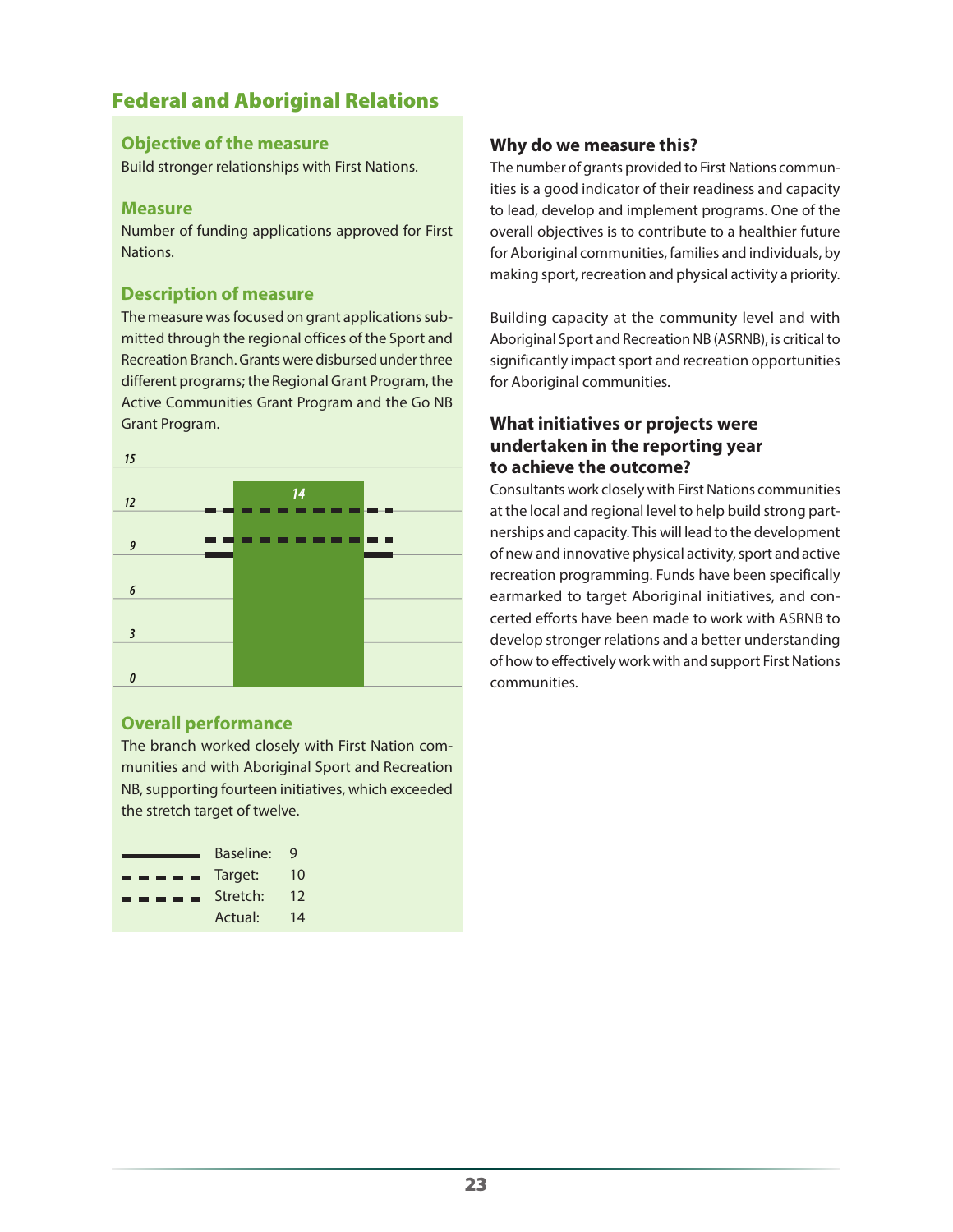# Federal and Aboriginal Relations

### **Objective of the measure**

Build stronger relationships with First Nations.

#### **Measure**

Number of funding applications approved for First Nations.

# **Description of measure**

The measure was focused on grant applications submitted through the regional offices of the Sport and Recreation Branch. Grants were disbursed under three different programs; the Regional Grant Program, the Active Communities Grant Program and the Go NB Grant Program.



# **Overall performance**

The branch worked closely with First Nation communities and with Aboriginal Sport and Recreation NB, supporting fourteen initiatives, which exceeded the stretch target of twelve.

|                                                                                                                                                                                                                                                                                                                                                                                                                                                                                            | Baseline: | q  |
|--------------------------------------------------------------------------------------------------------------------------------------------------------------------------------------------------------------------------------------------------------------------------------------------------------------------------------------------------------------------------------------------------------------------------------------------------------------------------------------------|-----------|----|
| $\blacksquare$ $\blacksquare$ $\blacksquare$ $\blacksquare$ $\blacksquare$ $\blacksquare$ $\blacksquare$ $\blacksquare$ $\blacksquare$ $\blacksquare$ $\blacksquare$ $\blacksquare$ $\blacksquare$ $\blacksquare$ $\blacksquare$ $\blacksquare$ $\blacksquare$ $\blacksquare$ $\blacksquare$ $\blacksquare$ $\blacksquare$ $\blacksquare$ $\blacksquare$ $\blacksquare$ $\blacksquare$ $\blacksquare$ $\blacksquare$ $\blacksquare$ $\blacksquare$ $\blacksquare$ $\blacksquare$ $\blacks$ |           | 10 |
| $\blacksquare$ $\blacksquare$ $\blacksquare$ $\blacksquare$ Stretch:                                                                                                                                                                                                                                                                                                                                                                                                                       |           | 12 |
|                                                                                                                                                                                                                                                                                                                                                                                                                                                                                            | Actual:   | 14 |

# **Why do we measure this?**

The number of grants provided to First Nations communities is a good indicator of their readiness and capacity to lead, develop and implement programs. One of the overall objectives is to contribute to a healthier future for Aboriginal communities, families and individuals, by making sport, recreation and physical activity a priority.

Building capacity at the community level and with Aboriginal Sport and Recreation NB (ASRNB), is critical to significantly impact sport and recreation opportunities for Aboriginal communities.

# **What initiatives or projects were undertaken in the reporting year to achieve the outcome?**

Consultants work closely with First Nations communities at the local and regional level to help build strong partnerships and capacity. This will lead to the development of new and innovative physical activity, sport and active recreation programming. Funds have been specifically earmarked to target Aboriginal initiatives, and concerted efforts have been made to work with ASRNB to develop stronger relations and a better understanding of how to effectively work with and support First Nations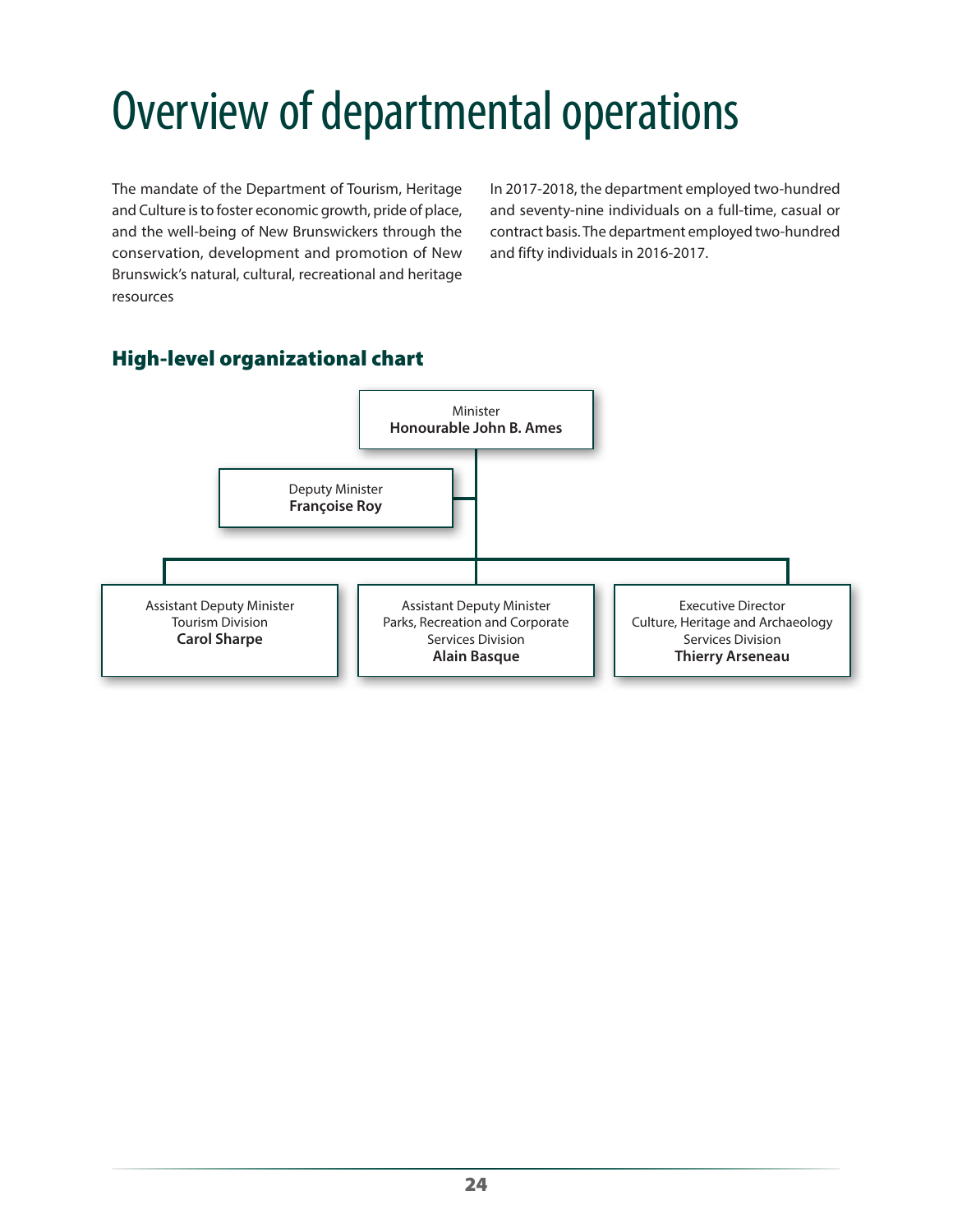# <span id="page-23-0"></span>Overview of departmental operations

The mandate of the Department of Tourism, Heritage and Culture is to foster economic growth, pride of place, and the well-being of New Brunswickers through the conservation, development and promotion of New Brunswick's natural, cultural, recreational and heritage resources

In 2017-2018, the department employed two-hundred and seventy-nine individuals on a full-time, casual or contract basis. The department employed two-hundred and fifty individuals in 2016-2017.

# Minister **Honourable John B. Ames** Deputy Minister **Françoise Roy** Assistant Deputy Minister Tourism Division **Carol Sharpe** Assistant Deputy Minister Parks, Recreation and Corporate Services Division **Alain Basque** Executive Director Culture, Heritage and Archaeology Services Division **Thierry Arseneau**

# High-level organizational chart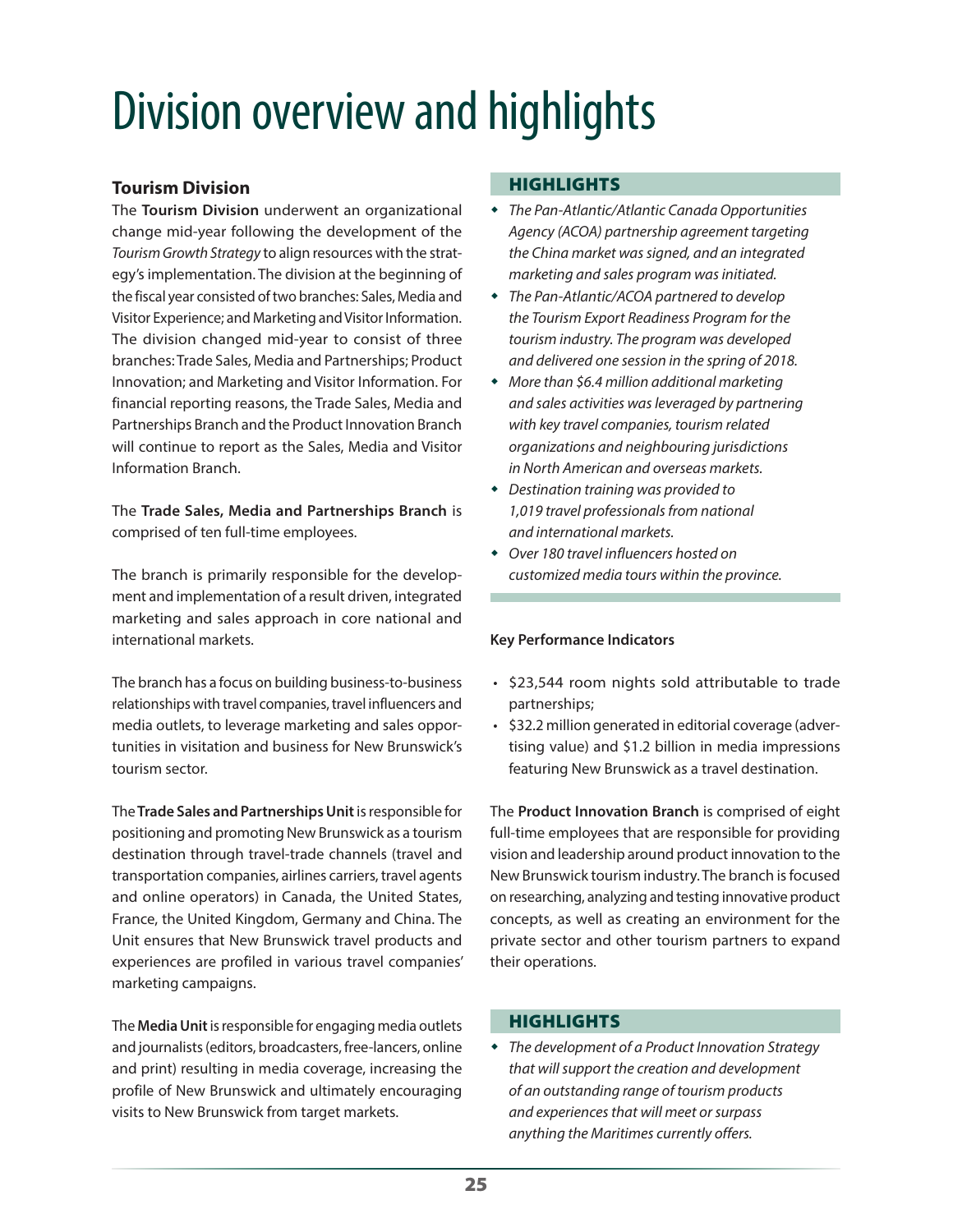# Division overview and highlights

# **Tourism Division**

The **Tourism Division** underwent an organizational change mid-year following the development of the *Tourism Growth Strategy* to align resources with the strategy's implementation. The division at the beginning of the fiscal year consisted of two branches: Sales, Media and Visitor Experience; and Marketing and Visitor Information. The division changed mid-year to consist of three branches: Trade Sales, Media and Partnerships; Product Innovation; and Marketing and Visitor Information. For financial reporting reasons, the Trade Sales, Media and Partnerships Branch and the Product Innovation Branch will continue to report as the Sales, Media and Visitor Information Branch.

The **Trade Sales, Media and Partnerships Branch** is comprised of ten full-time employees.

The branch is primarily responsible for the development and implementation of a result driven, integrated marketing and sales approach in core national and international markets.

The branch has a focus on building business-to-business relationships with travel companies, travel influencers and media outlets, to leverage marketing and sales opportunities in visitation and business for New Brunswick's tourism sector.

The **Trade Sales and Partnerships Unit** is responsible for positioning and promoting New Brunswick as a tourism destination through travel-trade channels (travel and transportation companies, airlines carriers, travel agents and online operators) in Canada, the United States, France, the United Kingdom, Germany and China. The Unit ensures that New Brunswick travel products and experiences are profiled in various travel companies' marketing campaigns.

The **Media Unit** is responsible for engaging media outlets and journalists (editors, broadcasters, free-lancers, online and print) resulting in media coverage, increasing the profile of New Brunswick and ultimately encouraging visits to New Brunswick from target markets.

# **HIGHLIGHTS**

- *The Pan-Atlantic/Atlantic Canada Opportunities Agency (ACOA) partnership agreement targeting the China market was signed, and an integrated marketing and sales program was initiated.*
- *The Pan-Atlantic/ACOA partnered to develop the Tourism Export Readiness Program for the tourism industry. The program was developed and delivered one session in the spring of 2018.*
- *More than \$6.4 million additional marketing and sales activities was leveraged by partnering with key travel companies, tourism related organizations and neighbouring jurisdictions in North American and overseas markets.*
- *Destination training was provided to 1,019 travel professionals from national and international markets.*
- *Over 180 travel influencers hosted on customized media tours within the province.*

# **Key Performance Indicators**

- \$23,544 room nights sold attributable to trade partnerships;
- \$32.2 million generated in editorial coverage (advertising value) and \$1.2 billion in media impressions featuring New Brunswick as a travel destination.

The **Product Innovation Branch** is comprised of eight full-time employees that are responsible for providing vision and leadership around product innovation to the New Brunswick tourism industry. The branch is focused on researching, analyzing and testing innovative product concepts, as well as creating an environment for the private sector and other tourism partners to expand their operations.

# **HIGHLIGHTS**

 *The development of a Product Innovation Strategy that will support the creation and development of an outstanding range of tourism products and experiences that will meet or surpass anything the Maritimes currently offers.*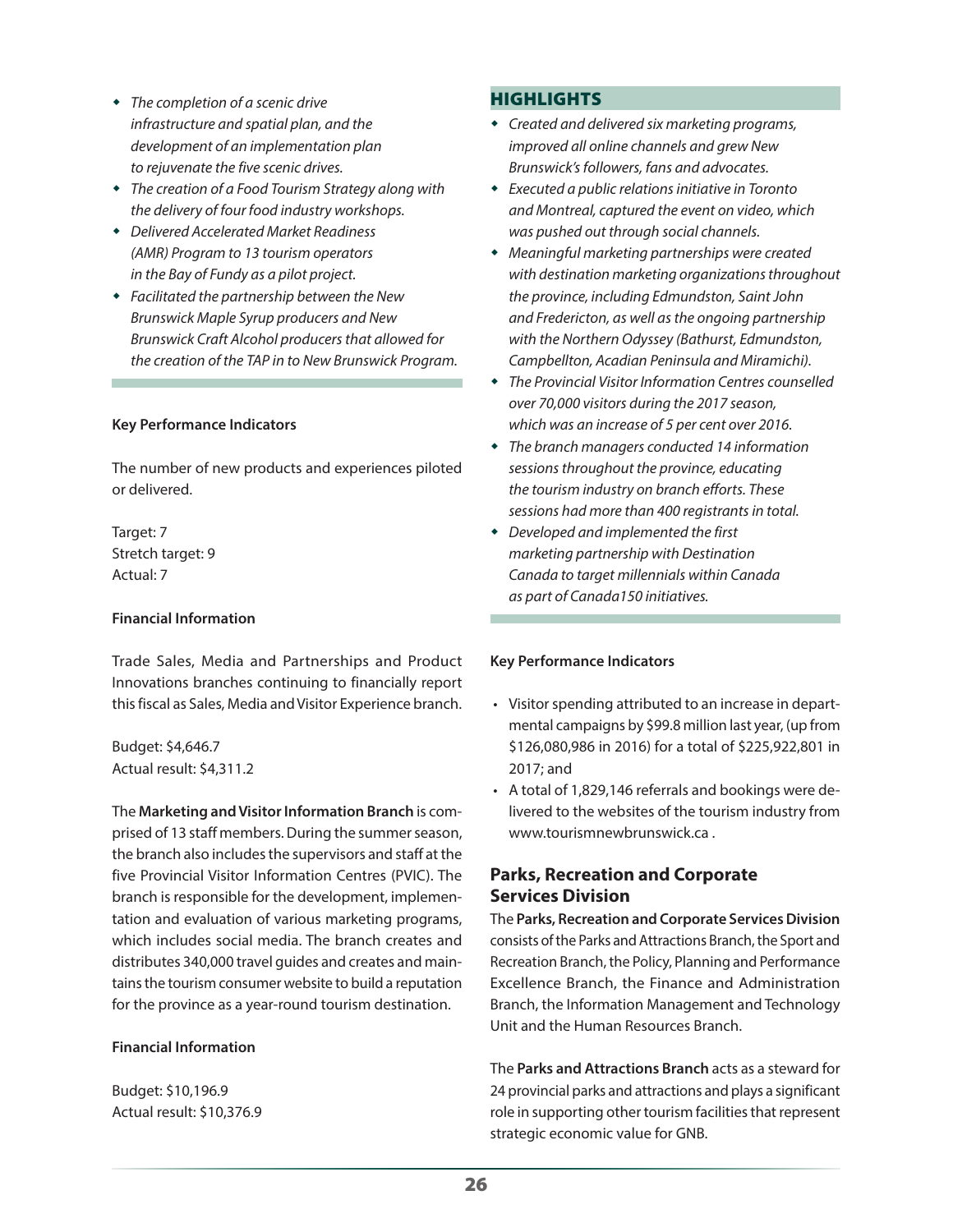- *The completion of a scenic drive infrastructure and spatial plan, and the development of an implementation plan to rejuvenate the five scenic drives.*
- *The creation of a Food Tourism Strategy along with the delivery of four food industry workshops.*
- *Delivered Accelerated Market Readiness (AMR) Program to 13 tourism operators in the Bay of Fundy as a pilot project.*
- *Facilitated the partnership between the New Brunswick Maple Syrup producers and New Brunswick Craft Alcohol producers that allowed for the creation of the TAP in to New Brunswick Program.*

#### **Key Performance Indicators**

The number of new products and experiences piloted or delivered.

Target: 7 Stretch target: 9 Actual: 7

#### **Financial Information**

Trade Sales, Media and Partnerships and Product Innovations branches continuing to financially report this fiscal as Sales, Media and Visitor Experience branch.

Budget: \$4,646.7 Actual result: \$4,311.2

The **Marketing and Visitor Information Branch** is comprised of 13 staff members. During the summer season, the branch also includes the supervisors and staff at the five Provincial Visitor Information Centres (PVIC). The branch is responsible for the development, implementation and evaluation of various marketing programs, which includes social media. The branch creates and distributes 340,000 travel guides and creates and maintains the tourism consumer website to build a reputation for the province as a year-round tourism destination.

#### **Financial Information**

Budget: \$10,196.9 Actual result: \$10,376.9

### **HIGHLIGHTS**

- *Created and delivered six marketing programs, improved all online channels and grew New Brunswick's followers, fans and advocates.*
- *Executed a public relations initiative in Toronto and Montreal, captured the event on video, which was pushed out through social channels.*
- *Meaningful marketing partnerships were created with destination marketing organizations throughout the province, including Edmundston, Saint John and Fredericton, as well as the ongoing partnership with the Northern Odyssey (Bathurst, Edmundston, Campbellton, Acadian Peninsula and Miramichi).*
- *The Provincial Visitor Information Centres counselled over 70,000 visitors during the 2017 season, which was an increase of 5 per cent over 2016.*
- *The branch managers conducted 14 information sessions throughout the province, educating the tourism industry on branch efforts. These sessions had more than 400 registrants in total.*
- *Developed and implemented the first marketing partnership with Destination Canada to target millennials within Canada as part of Canada150 initiatives.*

#### **Key Performance Indicators**

- Visitor spending attributed to an increase in departmental campaigns by \$99.8 million last year, (up from \$126,080,986 in 2016) for a total of \$225,922,801 in 2017; and
- A total of 1,829,146 referrals and bookings were delivered to the websites of the tourism industry from [www.tourismnewbrunswick.ca](http://www.tourismnewbrunswick.ca) .

# **Parks, Recreation and Corporate Services Division**

The **Parks, Recreation and Corporate Services Division** consists of the Parks and Attractions Branch, the Sport and Recreation Branch, the Policy, Planning and Performance Excellence Branch, the Finance and Administration Branch, the Information Management and Technology Unit and the Human Resources Branch.

The **Parks and Attractions Branch** acts as a steward for 24 provincial parks and attractions and plays a significant role in supporting other tourism facilities that represent strategic economic value for GNB.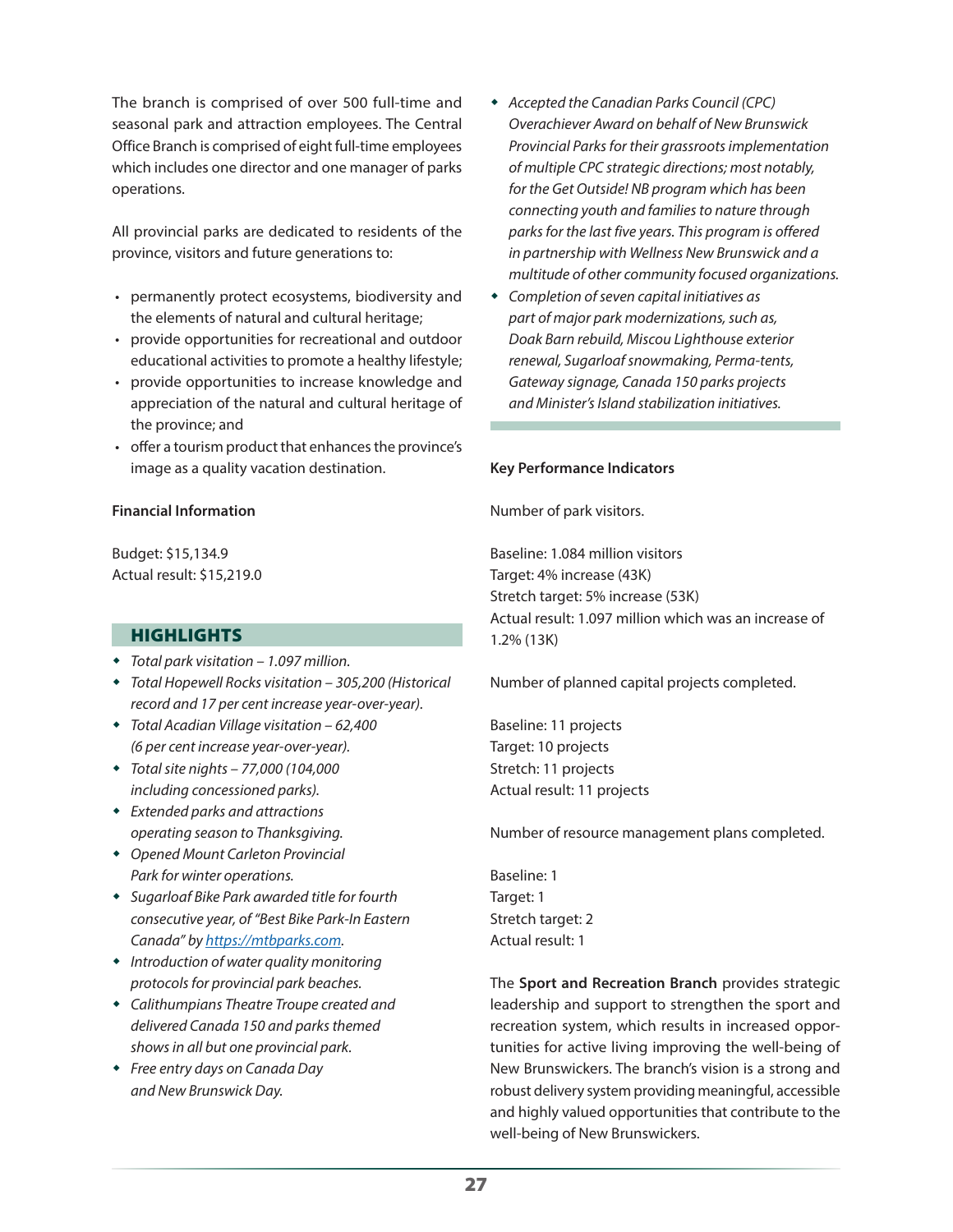The branch is comprised of over 500 full-time and seasonal park and attraction employees. The Central Office Branch is comprised of eight full-time employees which includes one director and one manager of parks operations.

All provincial parks are dedicated to residents of the province, visitors and future generations to:

- permanently protect ecosystems, biodiversity and the elements of natural and cultural heritage;
- provide opportunities for recreational and outdoor educational activities to promote a healthy lifestyle;
- provide opportunities to increase knowledge and appreciation of the natural and cultural heritage of the province; and
- offer a tourism product that enhances the province's image as a quality vacation destination.

#### **Financial Information**

Budget: \$15,134.9 Actual result: \$15,219.0

#### **HIGHLIGHTS**

- *Total park visitation 1.097 million.*
- *Total Hopewell Rocks visitation 305,200 (Historical record and 17 per cent increase year-over-year).*
- *Total Acadian Village visitation 62,400 (6 per cent increase year-over-year).*
- *Total site nights 77,000 (104,000 including concessioned parks).*
- *Extended parks and attractions operating season to Thanksgiving.*
- *Opened Mount Carleton Provincial Park for winter operations.*
- *Sugarloaf Bike Park awarded title for fourth consecutive year, of "Best Bike Park-In Eastern Canada" by https://mtbparks.com.*
- *Introduction of water quality monitoring protocols for provincial park beaches.*
- *Calithumpians Theatre Troupe created and delivered Canada 150 and parks themed shows in all but one provincial park.*
- *Free entry days on Canada Day and New Brunswick Day.*
- *Accepted the Canadian Parks Council (CPC) Overachiever Award on behalf of New Brunswick Provincial Parks for their grassroots implementation of multiple CPC strategic directions; most notably, for the Get Outside! NB program which has been connecting youth and families to nature through parks for the last five years. This program is offered in partnership with Wellness New Brunswick and a multitude of other community focused organizations.*
- *Completion of seven capital initiatives as part of major park modernizations, such as, Doak Barn rebuild, Miscou Lighthouse exterior renewal, Sugarloaf snowmaking, Perma-tents, Gateway signage, Canada 150 parks projects and Minister's Island stabilization initiatives.*

#### **Key Performance Indicators**

Number of park visitors.

Baseline: 1.084 million visitors Target: 4% increase (43K) Stretch target: 5% increase (53K) Actual result: 1.097 million which was an increase of 1.2% (13K)

Number of planned capital projects completed.

Baseline: 11 projects Target: 10 projects Stretch: 11 projects Actual result: 11 projects

Number of resource management plans completed.

Baseline: 1 Target: 1 Stretch target: 2 Actual result: 1

The **Sport and Recreation Branch** provides strategic leadership and support to strengthen the sport and recreation system, which results in increased opportunities for active living improving the well-being of New Brunswickers. The branch's vision is a strong and robust delivery system providing meaningful, accessible and highly valued opportunities that contribute to the well-being of New Brunswickers.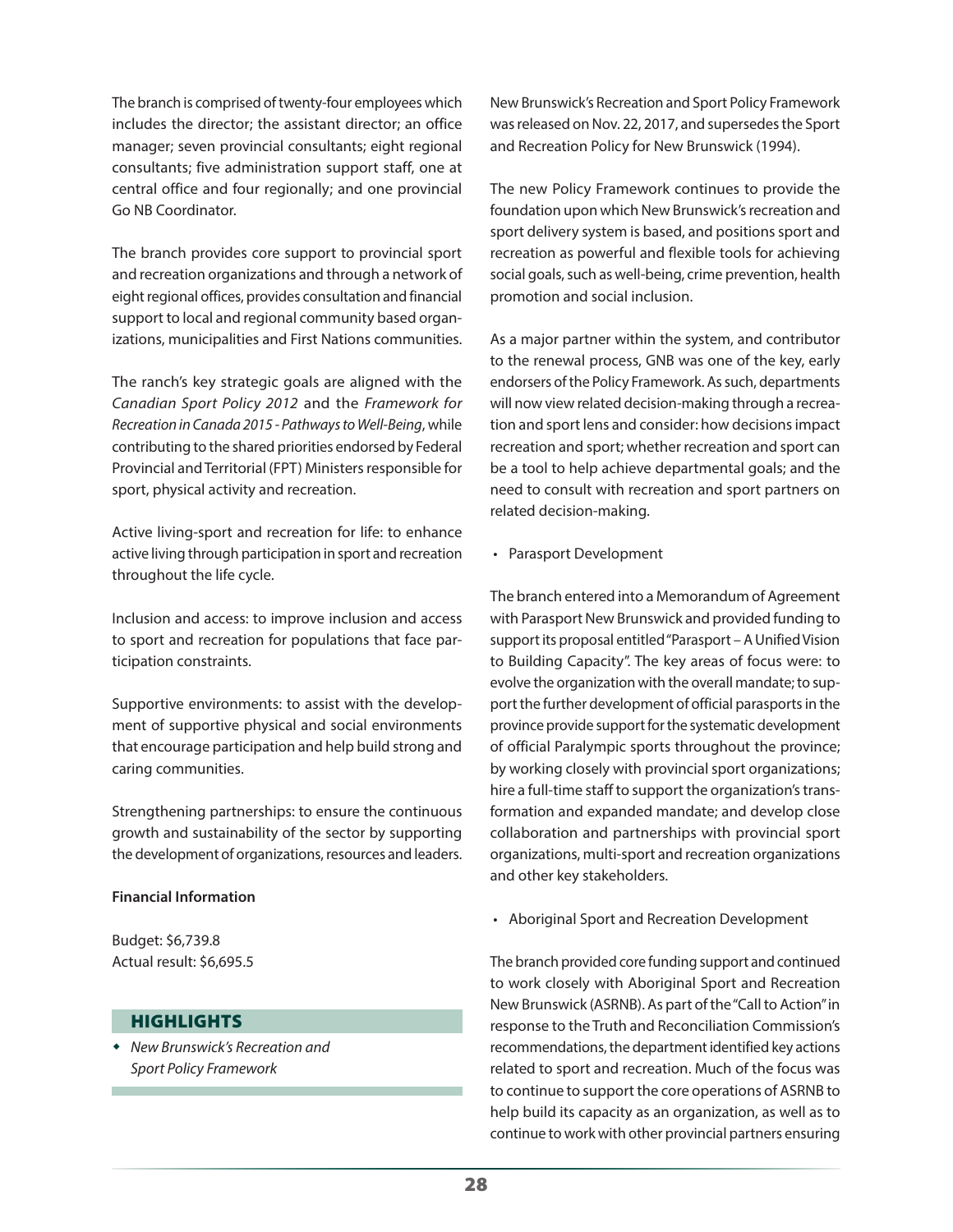The branch is comprised of twenty-four employees which includes the director; the assistant director; an office manager; seven provincial consultants; eight regional consultants; five administration support staff, one at central office and four regionally; and one provincial Go NB Coordinator.

The branch provides core support to provincial sport and recreation organizations and through a network of eight regional offices, provides consultation and financial support to local and regional community based organizations, municipalities and First Nations communities.

The ranch's key strategic goals are aligned with the *Canadian Sport Policy 2012* and the *Framework for Recreation in Canada 2015 - Pathways to Well-Being*, while contributing to the shared priorities endorsed by Federal Provincial and Territorial (FPT) Ministers responsible for sport, physical activity and recreation.

Active living-sport and recreation for life: to enhance active living through participation in sport and recreation throughout the life cycle.

Inclusion and access: to improve inclusion and access to sport and recreation for populations that face participation constraints.

Supportive environments: to assist with the development of supportive physical and social environments that encourage participation and help build strong and caring communities.

Strengthening partnerships: to ensure the continuous growth and sustainability of the sector by supporting the development of organizations, resources and leaders.

#### **Financial Information**

Budget: \$6,739.8 Actual result: \$6,695.5

### **HIGHLIGHTS**

 *New Brunswick's Recreation and Sport Policy Framework*

New Brunswick's Recreation and Sport Policy Framework was released on Nov. 22, 2017, and supersedes the Sport and Recreation Policy for New Brunswick (1994).

The new Policy Framework continues to provide the foundation upon which New Brunswick's recreation and sport delivery system is based, and positions sport and recreation as powerful and flexible tools for achieving social goals, such as well-being, crime prevention, health promotion and social inclusion.

As a major partner within the system, and contributor to the renewal process, GNB was one of the key, early endorsers of the Policy Framework. As such, departments will now view related decision-making through a recreation and sport lens and consider: how decisions impact recreation and sport; whether recreation and sport can be a tool to help achieve departmental goals; and the need to consult with recreation and sport partners on related decision-making.

• Parasport Development

The branch entered into a Memorandum of Agreement with Parasport New Brunswick and provided funding to support its proposal entitled "Parasport – A Unified Vision to Building Capacity". The key areas of focus were: to evolve the organization with the overall mandate; to support the further development of official parasports in the province provide support for the systematic development of official Paralympic sports throughout the province; by working closely with provincial sport organizations; hire a full-time staff to support the organization's transformation and expanded mandate; and develop close collaboration and partnerships with provincial sport organizations, multi-sport and recreation organizations and other key stakeholders.

• Aboriginal Sport and Recreation Development

The branch provided core funding support and continued to work closely with Aboriginal Sport and Recreation New Brunswick (ASRNB). As part of the "Call to Action" in response to the Truth and Reconciliation Commission's recommendations, the department identified key actions related to sport and recreation. Much of the focus was to continue to support the core operations of ASRNB to help build its capacity as an organization, as well as to continue to work with other provincial partners ensuring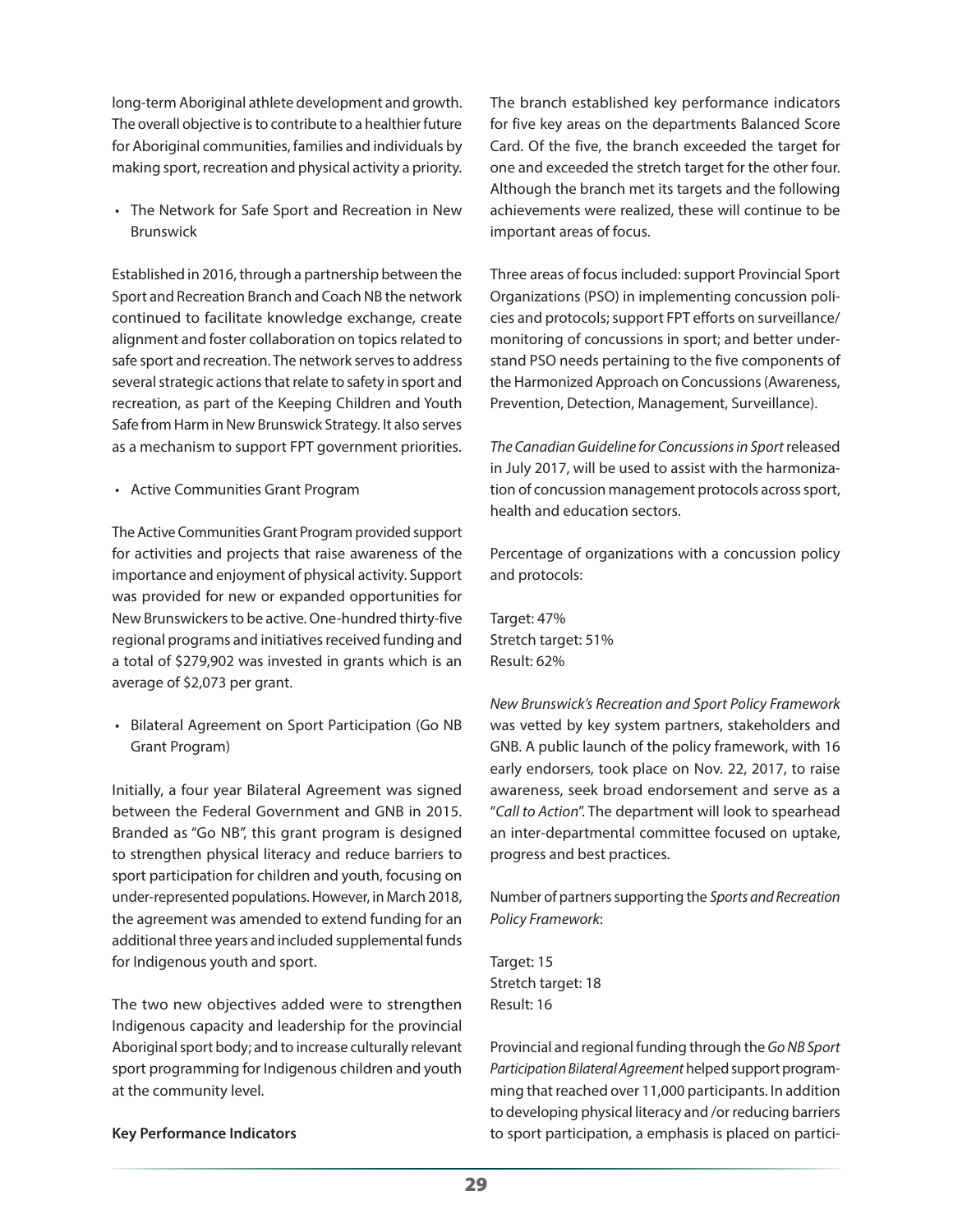long-term Aboriginal athlete development and growth. The overall objective is to contribute to a healthier future for Aboriginal communities, families and individuals by making sport, recreation and physical activity a priority.

• The Network for Safe Sport and Recreation in New Brunswick

Established in 2016, through a partnership between the Sport and Recreation Branch and Coach NB the network continued to facilitate knowledge exchange, create alignment and foster collaboration on topics related to safe sport and recreation. The network serves to address several strategic actions that relate to safety in sport and recreation, as part of the Keeping Children and Youth Safe from Harm in New Brunswick Strategy. It also serves as a mechanism to support FPT government priorities.

• Active Communities Grant Program

The Active Communities Grant Program provided support for activities and projects that raise awareness of the importance and enjoyment of physical activity. Support was provided for new or expanded opportunities for New Brunswickers to be active. One-hundred thirty-five regional programs and initiatives received funding and a total of \$279,902 was invested in grants which is an average of \$2,073 per grant.

• Bilateral Agreement on Sport Participation (Go NB Grant Program)

Initially, a four year Bilateral Agreement was signed between the Federal Government and GNB in 2015. Branded as "Go NB", this grant program is designed to strengthen physical literacy and reduce barriers to sport participation for children and youth, focusing on under-represented populations. However, in March 2018, the agreement was amended to extend funding for an additional three years and included supplemental funds for Indigenous youth and sport.

The two new objectives added were to strengthen Indigenous capacity and leadership for the provincial Aboriginal sport body; and to increase culturally relevant sport programming for Indigenous children and youth at the community level.

#### **Key Performance Indicators**

The branch established key performance indicators for five key areas on the departments Balanced Score Card. Of the five, the branch exceeded the target for one and exceeded the stretch target for the other four. Although the branch met its targets and the following achievements were realized, these will continue to be important areas of focus.

Three areas of focus included: support Provincial Sport Organizations (PSO) in implementing concussion policies and protocols; support FPT efforts on surveillance/ monitoring of concussions in sport; and better understand PSO needs pertaining to the five components of the Harmonized Approach on Concussions (Awareness, Prevention, Detection, Management, Surveillance).

*The Canadian Guideline for Concussions in Sport* released in July 2017, will be used to assist with the harmonization of concussion management protocols across sport, health and education sectors.

Percentage of organizations with a concussion policy and protocols:

Target: 47% Stretch target: 51% Result: 62%

*New Brunswick's Recreation and Sport Policy Framework* was vetted by key system partners, stakeholders and GNB. A public launch of the policy framework, with 16 early endorsers, took place on Nov. 22, 2017, to raise awareness, seek broad endorsement and serve as a "*Call to Action*". The department will look to spearhead an inter-departmental committee focused on uptake, progress and best practices.

Number of partners supporting the *Sports and Recreation Policy Framework*:

Target: 15 Stretch target: 18 Result: 16

Provincial and regional funding through the *Go NB Sport Participation Bilateral Agreement* helped support programming that reached over 11,000 participants. In addition to developing physical literacy and /or reducing barriers to sport participation, a emphasis is placed on partici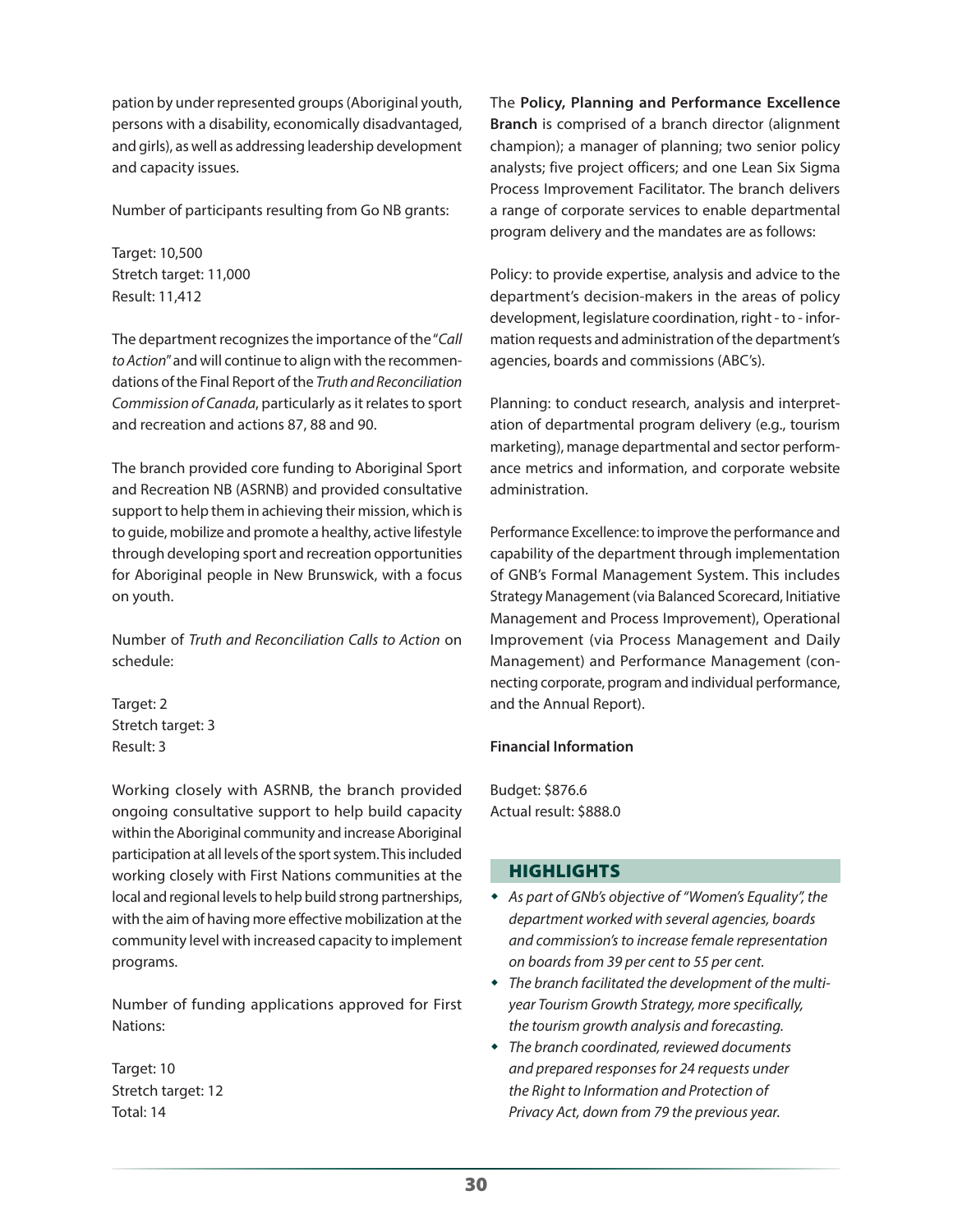pation by under represented groups (Aboriginal youth, persons with a disability, economically disadvantaged, and girls), as well as addressing leadership development and capacity issues.

Number of participants resulting from Go NB grants:

Target: 10,500 Stretch target: 11,000 Result: 11,412

The department recognizes the importance of the "*Call to Action*" and will continue to align with the recommendations of the Final Report of the *Truth and Reconciliation Commission of Canada*, particularly as it relates to sport and recreation and actions 87, 88 and 90.

The branch provided core funding to Aboriginal Sport and Recreation NB (ASRNB) and provided consultative support to help them in achieving their mission, which is to guide, mobilize and promote a healthy, active lifestyle through developing sport and recreation opportunities for Aboriginal people in New Brunswick, with a focus on youth.

Number of *Truth and Reconciliation Calls to Action* on schedule:

Target: 2 Stretch target: 3 Result: 3

Working closely with ASRNB, the branch provided ongoing consultative support to help build capacity within the Aboriginal community and increase Aboriginal participation at all levels of the sport system. This included working closely with First Nations communities at the local and regional levels to help build strong partnerships, with the aim of having more effective mobilization at the community level with increased capacity to implement programs.

Number of funding applications approved for First Nations:

Target: 10 Stretch target: 12 Total: 14

The **Policy, Planning and Performance Excellence Branch** is comprised of a branch director (alignment champion); a manager of planning; two senior policy analysts; five project officers; and one Lean Six Sigma Process Improvement Facilitator. The branch delivers a range of corporate services to enable departmental program delivery and the mandates are as follows:

Policy: to provide expertise, analysis and advice to the department's decision-makers in the areas of policy development, legislature coordination, right - to - information requests and administration of the department's agencies, boards and commissions (ABC's).

Planning: to conduct research, analysis and interpretation of departmental program delivery (e.g., tourism marketing), manage departmental and sector performance metrics and information, and corporate website administration.

Performance Excellence: to improve the performance and capability of the department through implementation of GNB's Formal Management System. This includes Strategy Management (via Balanced Scorecard, Initiative Management and Process Improvement), Operational Improvement (via Process Management and Daily Management) and Performance Management (connecting corporate, program and individual performance, and the Annual Report).

#### **Financial Information**

Budget: \$876.6 Actual result: \$888.0

#### **HIGHLIGHTS**

- *As part of GNb's objective of "Women's Equality", the department worked with several agencies, boards and commission's to increase female representation on boards from 39 per cent to 55 per cent.*
- *The branch facilitated the development of the multiyear Tourism Growth Strategy, more specifically, the tourism growth analysis and forecasting.*
- *The branch coordinated, reviewed documents and prepared responses for 24 requests under the Right to Information and Protection of Privacy Act, down from 79 the previous year.*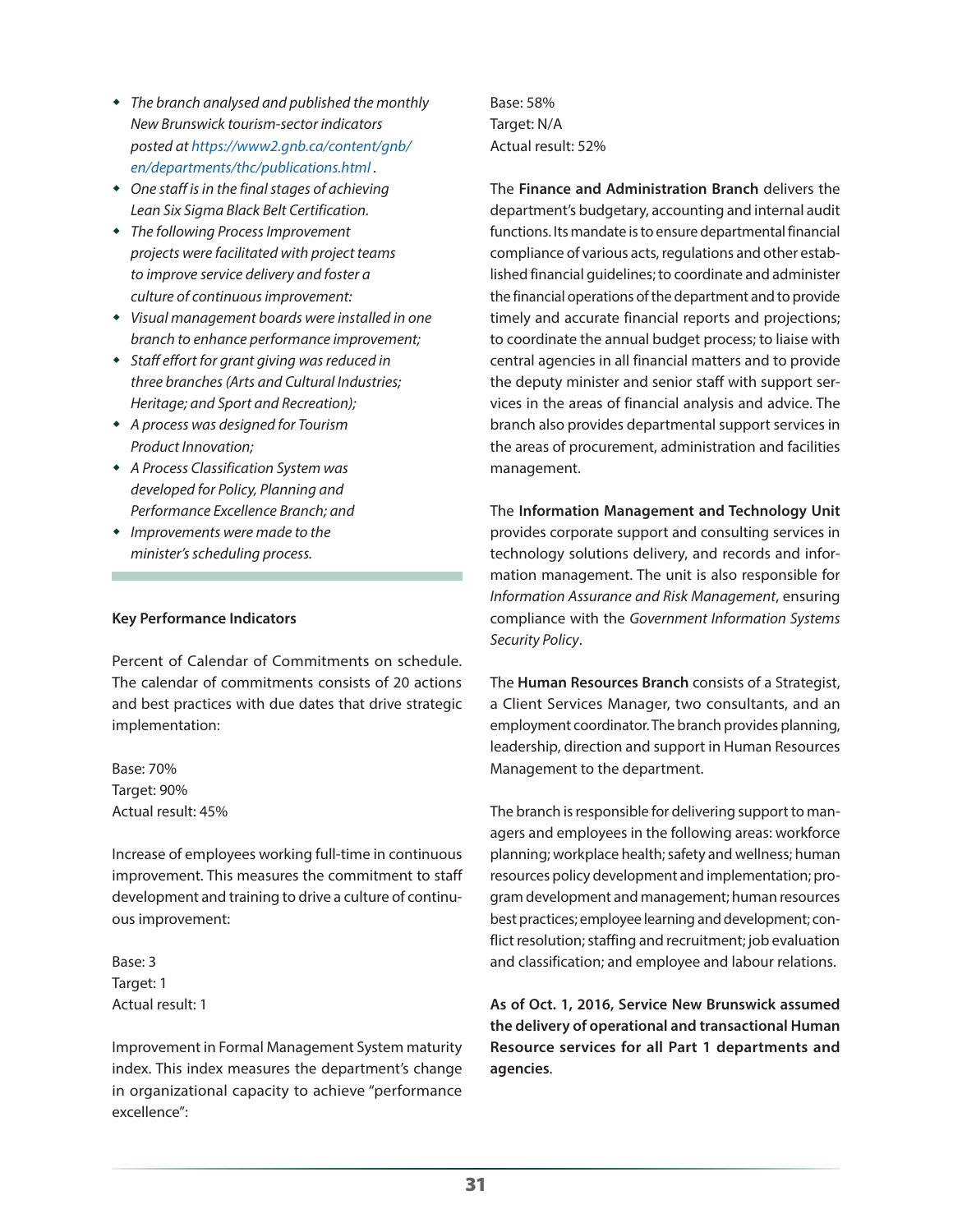- *The branch analysed and published the monthly New Brunswick tourism-sector indicators posted at https://www2.gnb.ca/content/gnb/ en/departments/thc/publications.html .*
- *One staff is in the final stages of achieving Lean Six Sigma Black Belt Certification.*
- *The following Process Improvement projects were facilitated with project teams to improve service delivery and foster a culture of continuous improvement:*
- *Visual management boards were installed in one branch to enhance performance improvement;*
- *Staff effort for grant giving was reduced in three branches (Arts and Cultural Industries; Heritage; and Sport and Recreation);*
- *A process was designed for Tourism Product Innovation;*
- *A Process Classification System was developed for Policy, Planning and Performance Excellence Branch; and*
- *Improvements were made to the minister's scheduling process.*

#### **Key Performance Indicators**

Percent of Calendar of Commitments on schedule. The calendar of commitments consists of 20 actions and best practices with due dates that drive strategic implementation:

Base: 70% Target: 90% Actual result: 45%

Increase of employees working full-time in continuous improvement. This measures the commitment to staff development and training to drive a culture of continuous improvement:

Base: 3 Target: 1 Actual result: 1

Improvement in Formal Management System maturity index. This index measures the department's change in organizational capacity to achieve "performance excellence":

Base: 58% Target: N/A Actual result: 52%

The **Finance and Administration Branch** delivers the department's budgetary, accounting and internal audit functions. Its mandate is to ensure departmental financial compliance of various acts, regulations and other established financial guidelines; to coordinate and administer the financial operations of the department and to provide timely and accurate financial reports and projections; to coordinate the annual budget process; to liaise with central agencies in all financial matters and to provide the deputy minister and senior staff with support services in the areas of financial analysis and advice. The branch also provides departmental support services in the areas of procurement, administration and facilities management.

The **Information Management and Technology Unit** provides corporate support and consulting services in technology solutions delivery, and records and information management. The unit is also responsible for *Information Assurance and Risk Management*, ensuring compliance with the *Government Information Systems Security Policy*.

The **Human Resources Branch** consists of a Strategist, a Client Services Manager, two consultants, and an employment coordinator. The branch provides planning, leadership, direction and support in Human Resources Management to the department.

The branch is responsible for delivering support to managers and employees in the following areas: workforce planning; workplace health; safety and wellness; human resources policy development and implementation; program development and management; human resources best practices; employee learning and development; conflict resolution; staffing and recruitment; job evaluation and classification; and employee and labour relations.

**As of Oct. 1, 2016, Service New Brunswick assumed the delivery of operational and transactional Human Resource services for all Part 1 departments and agencies**.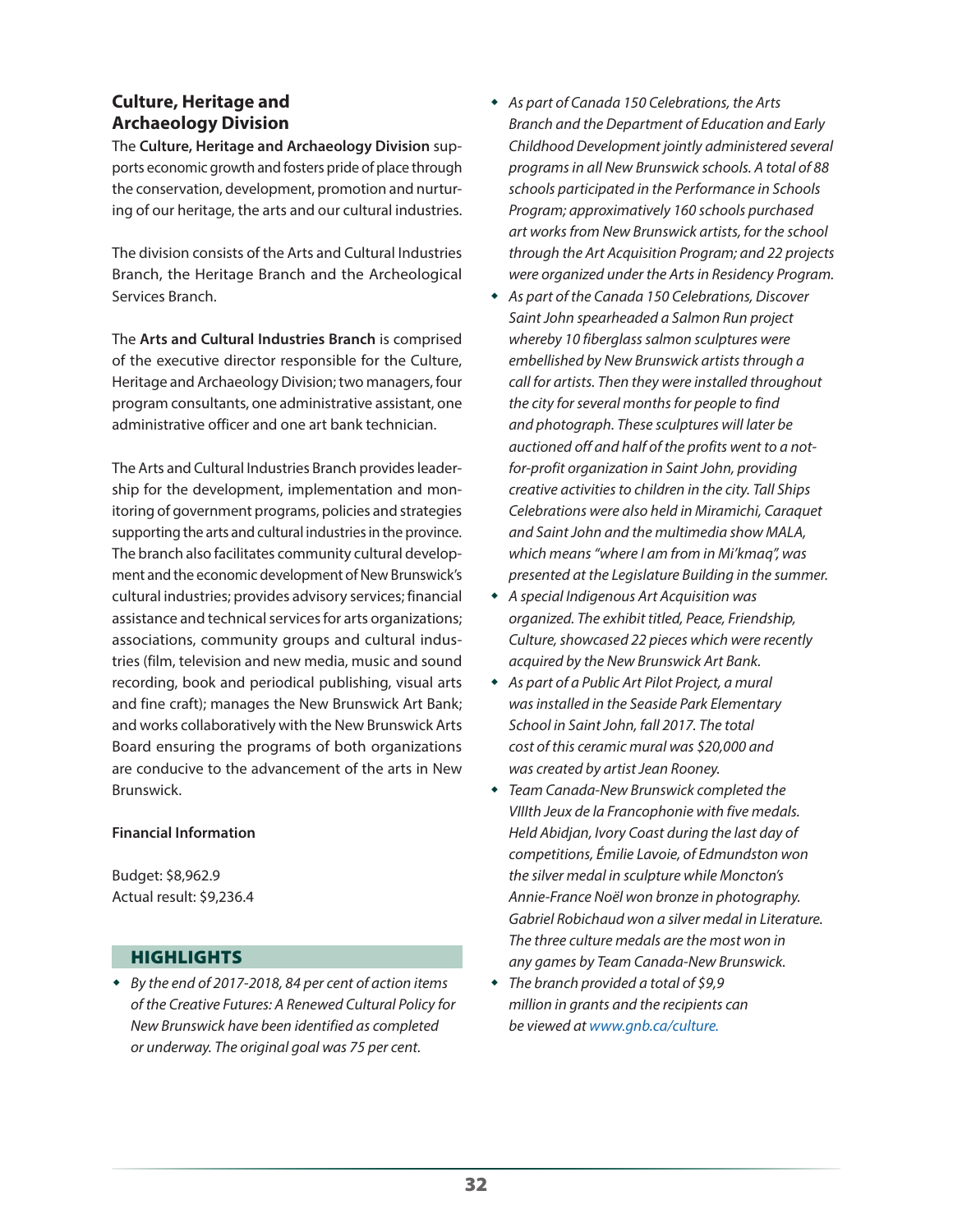# **Culture, Heritage and Archaeology Division**

The **Culture, Heritage and Archaeology Division** supports economic growth and fosters pride of place through the conservation, development, promotion and nurturing of our heritage, the arts and our cultural industries.

The division consists of the Arts and Cultural Industries Branch, the Heritage Branch and the Archeological Services Branch.

The **Arts and Cultural Industries Branch** is comprised of the executive director responsible for the Culture, Heritage and Archaeology Division; two managers, four program consultants, one administrative assistant, one administrative officer and one art bank technician.

The Arts and Cultural Industries Branch provides leadership for the development, implementation and monitoring of government programs, policies and strategies supporting the arts and cultural industries in the province. The branch also facilitates community cultural development and the economic development of New Brunswick's cultural industries; provides advisory services; financial assistance and technical services for arts organizations; associations, community groups and cultural industries (film, television and new media, music and sound recording, book and periodical publishing, visual arts and fine craft); manages the New Brunswick Art Bank; and works collaboratively with the New Brunswick Arts Board ensuring the programs of both organizations are conducive to the advancement of the arts in New Brunswick.

#### **Financial Information**

Budget: \$8,962.9 Actual result: \$9,236.4

# HIGHLIGHTS

 *By the end of 2017-2018, 84 per cent of action items of the Creative Futures: A Renewed Cultural Policy for New Brunswick have been identified as completed or underway. The original goal was 75 per cent.*

- *As part of Canada 150 Celebrations, the Arts Branch and the Department of Education and Early Childhood Development jointly administered several programs in all New Brunswick schools. A total of 88 schools participated in the Performance in Schools Program; approximatively 160 schools purchased art works from New Brunswick artists, for the school through the Art Acquisition Program; and 22 projects were organized under the Arts in Residency Program.*
- *As part of the Canada 150 Celebrations, Discover Saint John spearheaded a Salmon Run project whereby 10 fiberglass salmon sculptures were embellished by New Brunswick artists through a call for artists. Then they were installed throughout the city for several months for people to find and photograph. These sculptures will later be auctioned off and half of the profits went to a notfor-profit organization in Saint John, providing creative activities to children in the city. Tall Ships Celebrations were also held in Miramichi, Caraquet and Saint John and the multimedia show MALA, which means "where I am from in Mi'kmaq", was presented at the Legislature Building in the summer.*
- *A special Indigenous Art Acquisition was organized. The exhibit titled, Peace, Friendship, Culture, showcased 22 pieces which were recently acquired by the New Brunswick Art Bank.*
- *As part of a Public Art Pilot Project, a mural was installed in the Seaside Park Elementary School in Saint John, fall 2017. The total cost of this ceramic mural was \$20,000 and was created by artist Jean Rooney.*
- *Team Canada-New Brunswick completed the VIIIth Jeux de la Francophonie with five medals. Held Abidjan, Ivory Coast during the last day of competitions, Émilie Lavoie, of Edmundston won the silver medal in sculpture while Moncton's Annie-France Noël won bronze in photography. Gabriel Robichaud won a silver medal in Literature. The three culture medals are the most won in any games by Team Canada-New Brunswick.*
- *The branch provided a total of \$9,9 million in grants and the recipients can be viewed at www.gnb.ca/culture.*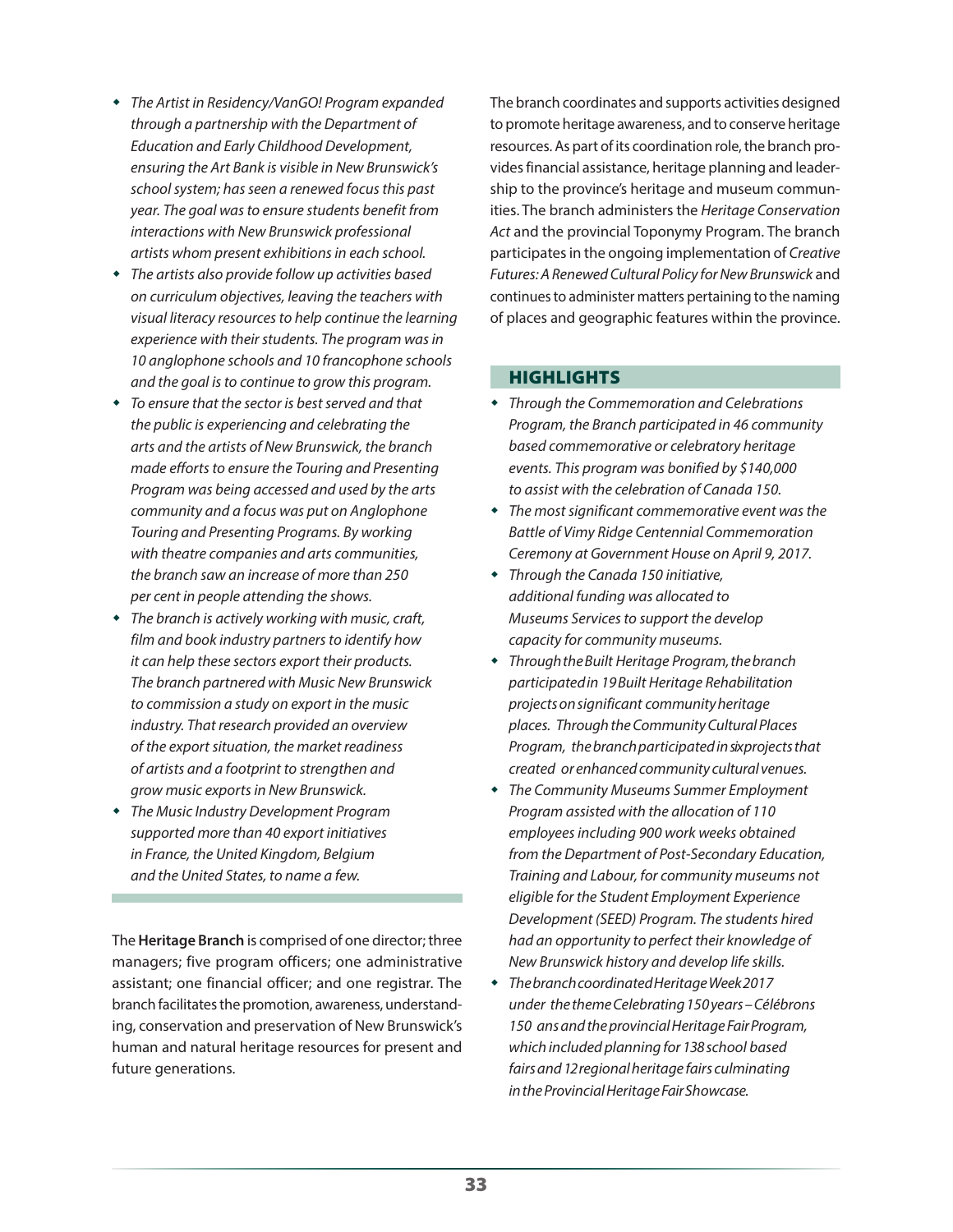- *The Artist in Residency/VanGO! Program expanded through a partnership with the Department of Education and Early Childhood Development, ensuring the Art Bank is visible in New Brunswick's school system; has seen a renewed focus this past year. The goal was to ensure students benefit from interactions with New Brunswick professional artists whom present exhibitions in each school.*
- *The artists also provide follow up activities based on curriculum objectives, leaving the teachers with visual literacy resources to help continue the learning experience with their students. The program was in 10 anglophone schools and 10 francophone schools and the goal is to continue to grow this program.*
- *To ensure that the sector is best served and that the public is experiencing and celebrating the arts and the artists of New Brunswick, the branch made efforts to ensure the Touring and Presenting Program was being accessed and used by the arts community and a focus was put on Anglophone Touring and Presenting Programs. By working with theatre companies and arts communities, the branch saw an increase of more than 250 per cent in people attending the shows.*
- *The branch is actively working with music, craft, film and book industry partners to identify how it can help these sectors export their products. The branch partnered with Music New Brunswick to commission a study on export in the music industry. That research provided an overview of the export situation, the market readiness of artists and a footprint to strengthen and grow music exports in New Brunswick.*
- *The Music Industry Development Program supported more than 40 export initiatives in France, the United Kingdom, Belgium and the United States, to name a few.*

The **Heritage Branch** is comprised of one director; three managers; five program officers; one administrative assistant; one financial officer; and one registrar. The branch facilitates the promotion, awareness, understanding, conservation and preservation of New Brunswick's human and natural heritage resources for present and future generations.

The branch coordinates and supports activities designed to promote heritage awareness, and to conserve heritage resources. As part of its coordination role, the branch provides financial assistance, heritage planning and leadership to the province's heritage and museum communities. The branch administers the *Heritage Conservation Act* and the provincial Toponymy Program. The branch participates in the ongoing implementation of *Creative Futures: A Renewed Cultural Policy for New Brunswick* and continues to administer matters pertaining to the naming of places and geographic features within the province.

# **HIGHLIGHTS**

- *Through the Commemoration and Celebrations Program, the Branch participated in 46 community based commemorative or celebratory heritage events. This program was bonified by \$140,000 to assist with the celebration of Canada 150.*
- *The most significant commemorative event was the Battle of Vimy Ridge Centennial Commemoration Ceremony at Government House on April 9, 2017.*
- *Through the Canada 150 initiative, additional funding was allocated to Museums Services to support the develop capacity for community museums.*
- *Through the Built Heritage Program, the branch participated in 19 Built Heritage Rehabilitation projects on significant community heritage places. Through the Community Cultural Places Program, the branch participated in six projects that created or enhanced community cultural venues.*
- *The Community Museums Summer Employment Program assisted with the allocation of 110 employees including 900 work weeks obtained from the Department of Post-Secondary Education, Training and Labour, for community museums not eligible for the Student Employment Experience Development (SEED) Program. The students hired had an opportunity to perfect their knowledge of New Brunswick history and develop life skills.*
- *The branch coordinated Heritage Week 2017 under the theme Celebrating 150 years – Célébrons 150 ans and the provincial Heritage Fair Program, which included planning for 138 school based fairs and 12 regional heritage fairs culminating in the Provincial Heritage Fair Showcase.*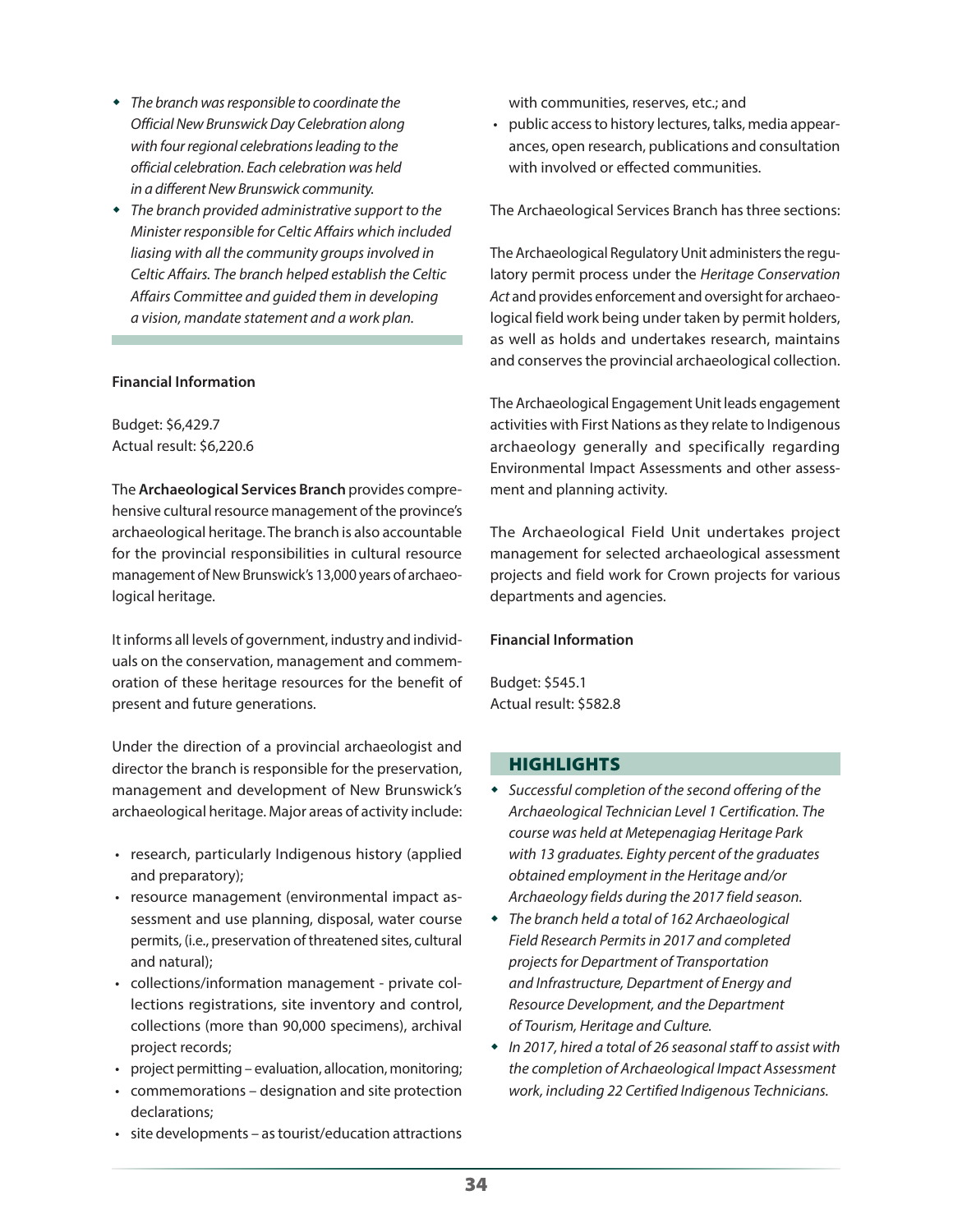- *The branch was responsible to coordinate the Official New Brunswick Day Celebration along with four regional celebrations leading to the official celebration. Each celebration was held in a different New Brunswick community.*
- *The branch provided administrative support to the Minister responsible for Celtic Affairs which included liasing with all the community groups involved in Celtic Affairs. The branch helped establish the Celtic Affairs Committee and guided them in developing a vision, mandate statement and a work plan.*

#### **Financial Information**

Budget: \$6,429.7 Actual result: \$6,220.6

The **Archaeological Services Branch** provides comprehensive cultural resource management of the province's archaeological heritage. The branch is also accountable for the provincial responsibilities in cultural resource management of New Brunswick's 13,000 years of archaeological heritage.

It informs all levels of government, industry and individuals on the conservation, management and commemoration of these heritage resources for the benefit of present and future generations.

Under the direction of a provincial archaeologist and director the branch is responsible for the preservation, management and development of New Brunswick's archaeological heritage. Major areas of activity include:

- research, particularly Indigenous history (applied and preparatory);
- resource management (environmental impact assessment and use planning, disposal, water course permits, (i.e., preservation of threatened sites, cultural and natural);
- collections/information management private collections registrations, site inventory and control, collections (more than 90,000 specimens), archival project records;
- project permitting evaluation, allocation, monitoring;
- commemorations designation and site protection declarations;
- site developments as tourist/education attractions

with communities, reserves, etc.; and

• public access to history lectures, talks, media appearances, open research, publications and consultation with involved or effected communities.

The Archaeological Services Branch has three sections:

The Archaeological Regulatory Unit administers the regulatory permit process under the *Heritage Conservation Act* and provides enforcement and oversight for archaeological field work being under taken by permit holders, as well as holds and undertakes research, maintains and conserves the provincial archaeological collection.

The Archaeological Engagement Unit leads engagement activities with First Nations as they relate to Indigenous archaeology generally and specifically regarding Environmental Impact Assessments and other assessment and planning activity.

The Archaeological Field Unit undertakes project management for selected archaeological assessment projects and field work for Crown projects for various departments and agencies.

#### **Financial Information**

Budget: \$545.1 Actual result: \$582.8

#### **HIGHLIGHTS**

- *Successful completion of the second offering of the Archaeological Technician Level 1 Certification. The course was held at Metepenagiag Heritage Park with 13 graduates. Eighty percent of the graduates obtained employment in the Heritage and/or Archaeology fields during the 2017 field season.*
- *The branch held a total of 162 Archaeological Field Research Permits in 2017 and completed projects for Department of Transportation and Infrastructure, Department of Energy and Resource Development, and the Department of Tourism, Heritage and Culture.*
- *In 2017, hired a total of 26 seasonal staff to assist with the completion of Archaeological Impact Assessment work, including 22 Certified Indigenous Technicians.*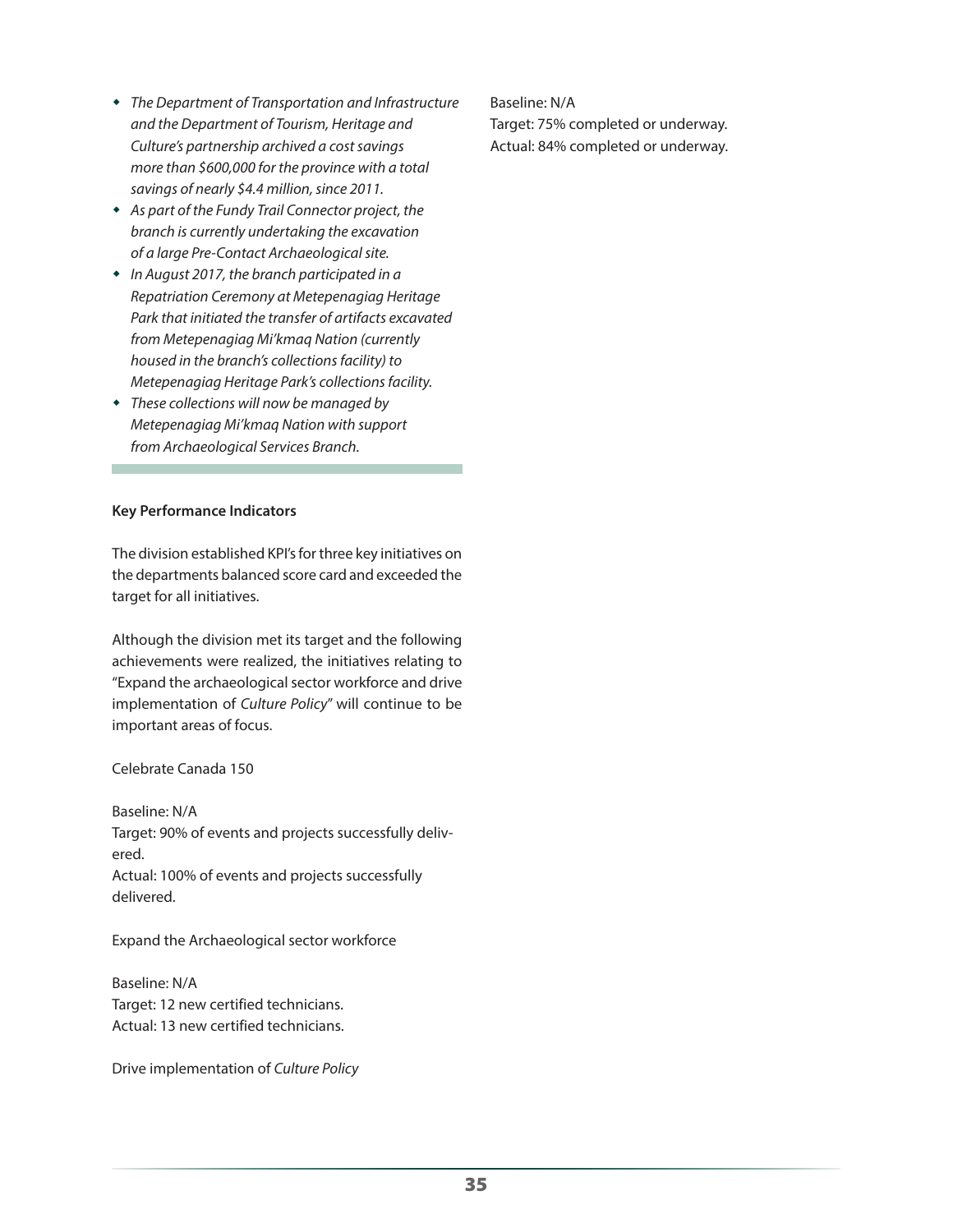- *The Department of Transportation and Infrastructure and the Department of Tourism, Heritage and Culture's partnership archived a cost savings more than \$600,000 for the province with a total savings of nearly \$4.4 million, since 2011.*
- *As part of the Fundy Trail Connector project, the branch is currently undertaking the excavation of a large Pre-Contact Archaeological site.*
- *In August 2017, the branch participated in a Repatriation Ceremony at Metepenagiag Heritage Park that initiated the transfer of artifacts excavated from Metepenagiag Mi'kmaq Nation (currently housed in the branch's collections facility) to Metepenagiag Heritage Park's collections facility.*
- *These collections will now be managed by Metepenagiag Mi'kmaq Nation with support from Archaeological Services Branch.*

#### **Key Performance Indicators**

The division established KPI's for three key initiatives on the departments balanced score card and exceeded the target for all initiatives.

Although the division met its target and the following achievements were realized, the initiatives relating to "Expand the archaeological sector workforce and drive implementation of *Culture Policy*" will continue to be important areas of focus.

Celebrate Canada 150

Baseline: N/A Target: 90% of events and projects successfully delivered. Actual: 100% of events and projects successfully delivered.

Expand the Archaeological sector workforce

Baseline: N/A Target: 12 new certified technicians. Actual: 13 new certified technicians.

Drive implementation of *Culture Policy*

Baseline: N/A Target: 75% completed or underway. Actual: 84% completed or underway.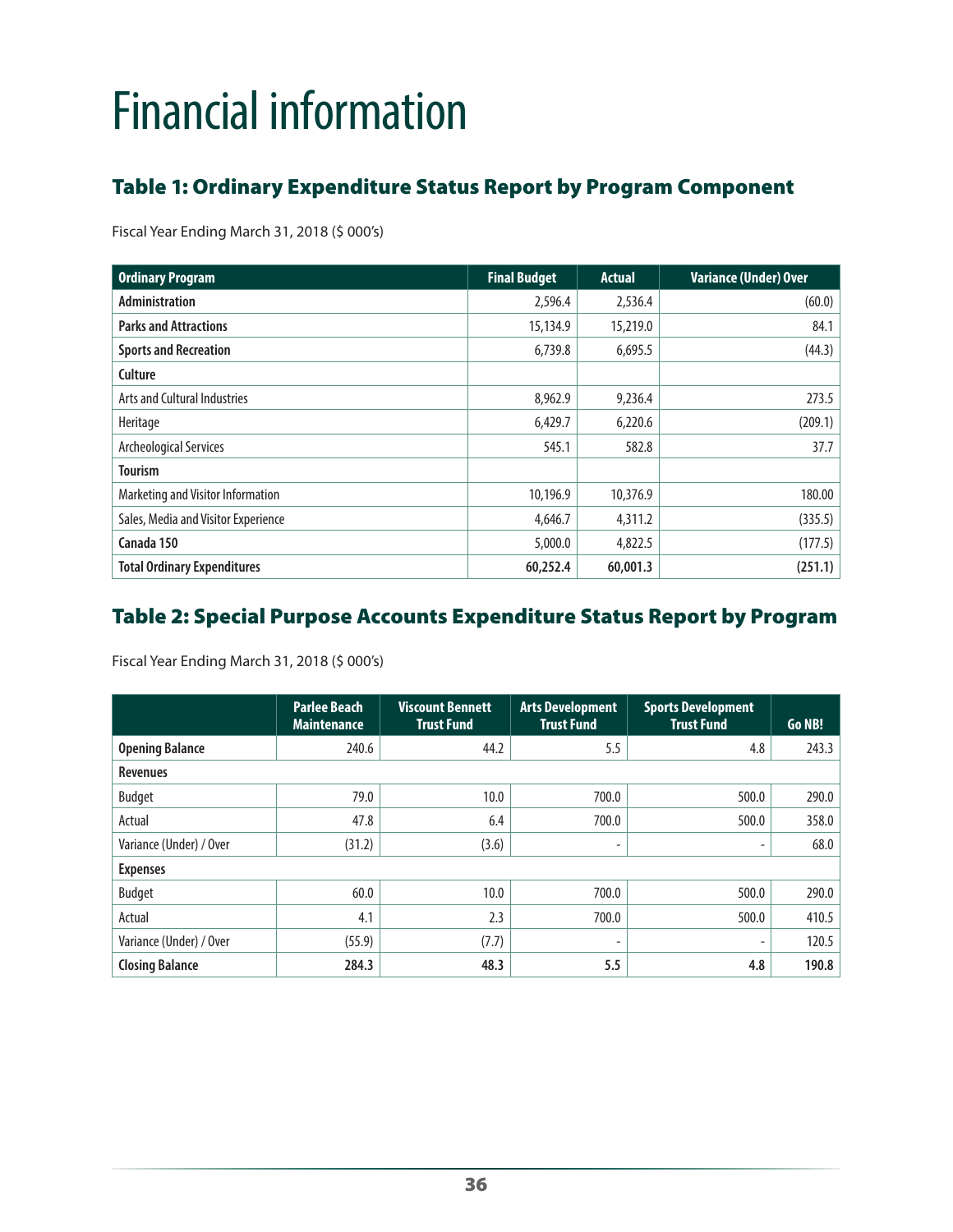# <span id="page-35-0"></span>Financial information

# Table 1: Ordinary Expenditure Status Report by Program Component

Fiscal Year Ending March 31, 2018 (\$ 000's)

| <b>Ordinary Program</b>             | <b>Final Budget</b> | <b>Actual</b> | <b>Variance (Under) Over</b> |
|-------------------------------------|---------------------|---------------|------------------------------|
| Administration                      | 2,596.4             | 2,536.4       | (60.0)                       |
| <b>Parks and Attractions</b>        | 15,134.9            | 15,219.0      | 84.1                         |
| <b>Sports and Recreation</b>        | 6,739.8             | 6,695.5       | (44.3)                       |
| Culture                             |                     |               |                              |
| Arts and Cultural Industries        | 8,962.9             | 9,236.4       | 273.5                        |
| Heritage                            | 6,429.7             | 6,220.6       | (209.1)                      |
| Archeological Services              | 545.1               | 582.8         | 37.7                         |
| <b>Tourism</b>                      |                     |               |                              |
| Marketing and Visitor Information   | 10,196.9            | 10,376.9      | 180.00                       |
| Sales, Media and Visitor Experience | 4,646.7             | 4,311.2       | (335.5)                      |
| Canada 150                          | 5,000.0             | 4,822.5       | (177.5)                      |
| <b>Total Ordinary Expenditures</b>  | 60,252.4            | 60,001.3      | (251.1)                      |

# Table 2: Special Purpose Accounts Expenditure Status Report by Program

Fiscal Year Ending March 31, 2018 (\$ 000's)

|                         | <b>Parlee Beach</b><br><b>Maintenance</b> | <b>Viscount Bennett</b><br><b>Trust Fund</b> | <b>Arts Development</b><br><b>Trust Fund</b> | <b>Sports Development</b><br><b>Trust Fund</b> | Go NB! |
|-------------------------|-------------------------------------------|----------------------------------------------|----------------------------------------------|------------------------------------------------|--------|
| <b>Opening Balance</b>  | 240.6                                     | 44.2                                         | 5.5                                          | 4.8                                            | 243.3  |
| <b>Revenues</b>         |                                           |                                              |                                              |                                                |        |
| <b>Budget</b>           | 79.0                                      | 10.0                                         | 700.0                                        | 500.0                                          | 290.0  |
| Actual                  | 47.8                                      | 6.4                                          | 700.0                                        | 500.0                                          | 358.0  |
| Variance (Under) / Over | (31.2)                                    | (3.6)                                        | ۰                                            | ٠                                              | 68.0   |
| <b>Expenses</b>         |                                           |                                              |                                              |                                                |        |
| <b>Budget</b>           | 60.0                                      | 10.0                                         | 700.0                                        | 500.0                                          | 290.0  |
| Actual                  | 4.1                                       | 2.3                                          | 700.0                                        | 500.0                                          | 410.5  |
| Variance (Under) / Over | (55.9)                                    | (7.7)                                        | ۰.                                           | $\overline{\phantom{a}}$                       | 120.5  |
| <b>Closing Balance</b>  | 284.3                                     | 48.3                                         | 5.5                                          | 4.8                                            | 190.8  |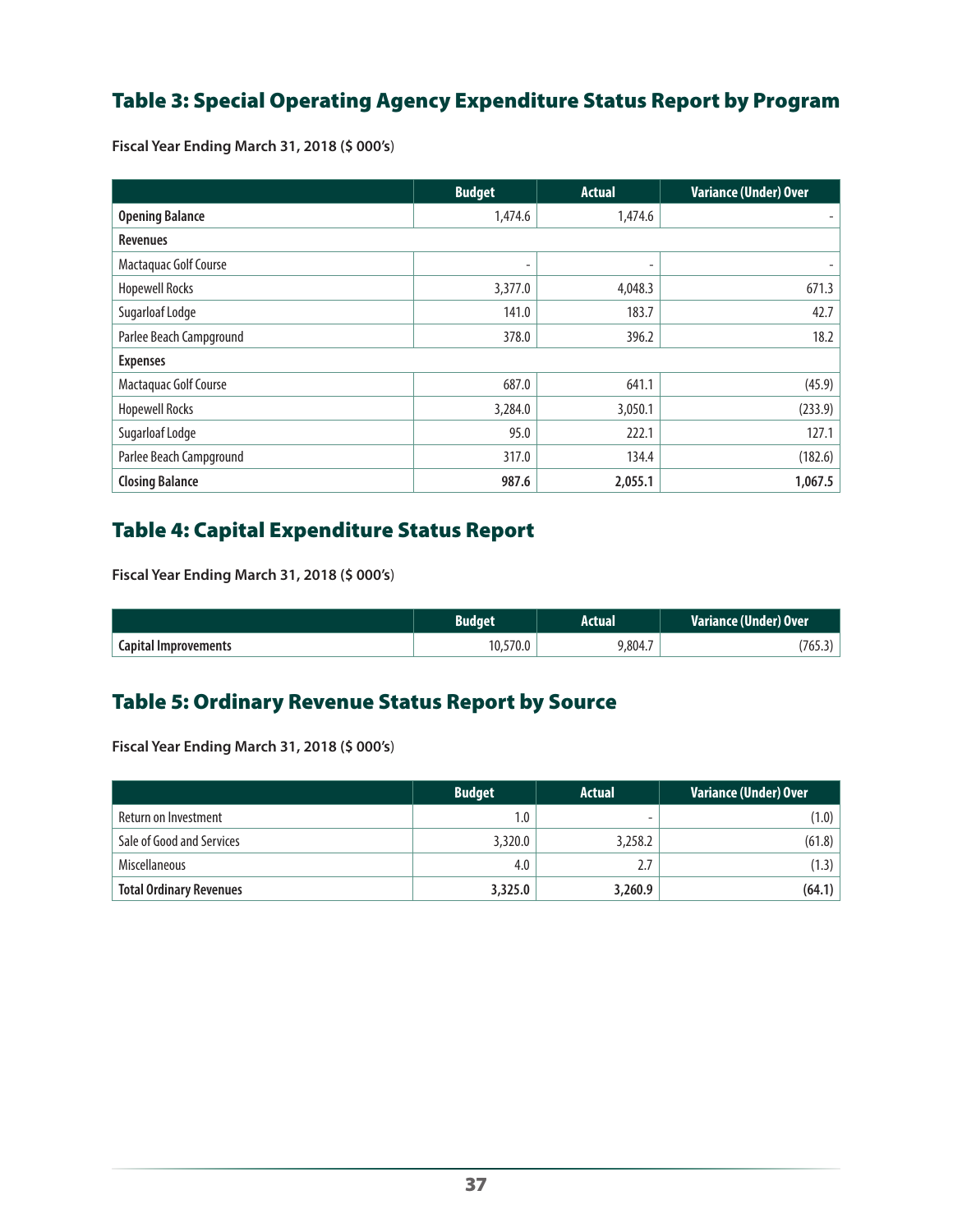# Table 3: Special Operating Agency Expenditure Status Report by Program

**Fiscal Year Ending March 31, 2018 (\$ 000's**)

|                         | <b>Budget</b> | <b>Actual</b> | <b>Variance (Under) Over</b> |  |
|-------------------------|---------------|---------------|------------------------------|--|
| <b>Opening Balance</b>  | 1,474.6       | 1,474.6       | ۰                            |  |
| <b>Revenues</b>         |               |               |                              |  |
| Mactaquac Golf Course   | ٠             | ۰             |                              |  |
| <b>Hopewell Rocks</b>   | 3,377.0       | 4,048.3       | 671.3                        |  |
| Sugarloaf Lodge         | 141.0         | 183.7         | 42.7                         |  |
| Parlee Beach Campground | 378.0         | 396.2         | 18.2                         |  |
| <b>Expenses</b>         |               |               |                              |  |
| Mactaquac Golf Course   | 687.0         | 641.1         | (45.9)                       |  |
| <b>Hopewell Rocks</b>   | 3,284.0       | 3,050.1       | (233.9)                      |  |
| Sugarloaf Lodge         | 95.0          | 222.1         | 127.1                        |  |
| Parlee Beach Campground | 317.0         | 134.4         | (182.6)                      |  |
| <b>Closing Balance</b>  | 987.6         | 2,055.1       | 1,067.5                      |  |

# Table 4: Capital Expenditure Status Report

**Fiscal Year Ending March 31, 2018 (\$ 000's**)

|                             |          | Actual  | Variance (Under) Over <sup> </sup> |
|-----------------------------|----------|---------|------------------------------------|
| <b>Capital Improvements</b> | 10,570.0 | 9,804.7 | 765.3                              |

# Table 5: Ordinary Revenue Status Report by Source

**Fiscal Year Ending March 31, 2018 (\$ 000's**)

|                                | <b>Budget</b> | <b>Actual</b> | <b>Variance (Under) Over</b> |
|--------------------------------|---------------|---------------|------------------------------|
| Return on Investment           | 1.0           | -             | (1.0)                        |
| Sale of Good and Services      | 3,320.0       | 3,258.2       | (61.8)                       |
| <b>Miscellaneous</b>           | 4.0           |               | (1.3)                        |
| <b>Total Ordinary Revenues</b> | 3,325.0       | 3,260.9       | (64.1)                       |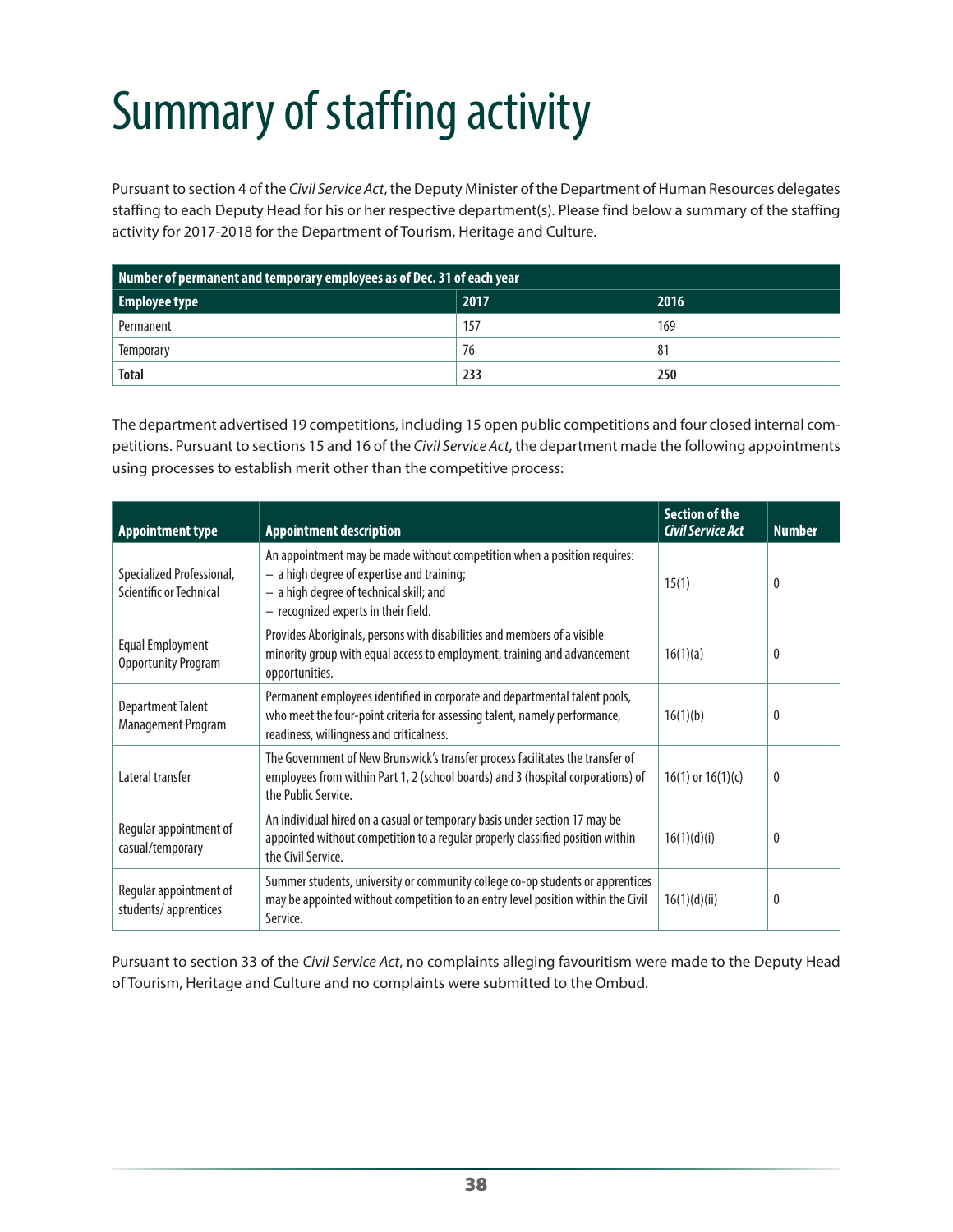# <span id="page-37-0"></span>Summary of staffing activity

Pursuant to section 4 of the *Civil Service Act*, the Deputy Minister of the Department of Human Resources delegates staffing to each Deputy Head for his or her respective department(s). Please find below a summary of the staffing activity for 2017-2018 for the Department of Tourism, Heritage and Culture.

| Number of permanent and temporary employees as of Dec. 31 of each year |     |     |  |  |
|------------------------------------------------------------------------|-----|-----|--|--|
| 2017<br>2016<br><b>Employee type</b>                                   |     |     |  |  |
| Permanent                                                              | 157 | 169 |  |  |
| Temporary                                                              | 76  | 81  |  |  |
| <b>Total</b>                                                           | 233 | 250 |  |  |

The department advertised 19 competitions, including 15 open public competitions and four closed internal competitions. Pursuant to sections 15 and 16 of the *Civil Service Act*, the department made the following appointments using processes to establish merit other than the competitive process:

| <b>Appointment type</b>                              | <b>Appointment description</b>                                                                                                                                                                              | <b>Section of the</b><br><b>Civil Service Act</b> | <b>Number</b> |
|------------------------------------------------------|-------------------------------------------------------------------------------------------------------------------------------------------------------------------------------------------------------------|---------------------------------------------------|---------------|
| Specialized Professional,<br>Scientific or Technical | An appointment may be made without competition when a position requires:<br>$-$ a high degree of expertise and training;<br>- a high degree of technical skill; and<br>- recognized experts in their field. | 15(1)                                             | 0             |
| Equal Employment<br><b>Opportunity Program</b>       | Provides Aboriginals, persons with disabilities and members of a visible<br>minority group with equal access to employment, training and advancement<br>opportunities.                                      | 16(1)(a)                                          | 0             |
| <b>Department Talent</b><br>Management Program       | Permanent employees identified in corporate and departmental talent pools,<br>who meet the four-point criteria for assessing talent, namely performance,<br>readiness, willingness and criticalness.        | 16(1)(b)                                          | 0             |
| Lateral transfer                                     | The Government of New Brunswick's transfer process facilitates the transfer of<br>employees from within Part 1, 2 (school boards) and 3 (hospital corporations) of<br>the Public Service.                   | $16(1)$ or $16(1)(c)$                             | 0             |
| Regular appointment of<br>casual/temporary           | An individual hired on a casual or temporary basis under section 17 may be<br>appointed without competition to a regular properly classified position within<br>the Civil Service.                          | 16(1)(d)(i)                                       | 0             |
| Regular appointment of<br>students/apprentices       | Summer students, university or community college co-op students or apprentices<br>may be appointed without competition to an entry level position within the Civil<br>Service.                              | 16(1)(d)(ii)                                      | 0             |

Pursuant to section 33 of the *Civil Service Act*, no complaints alleging favouritism were made to the Deputy Head of Tourism, Heritage and Culture and no complaints were submitted to the Ombud.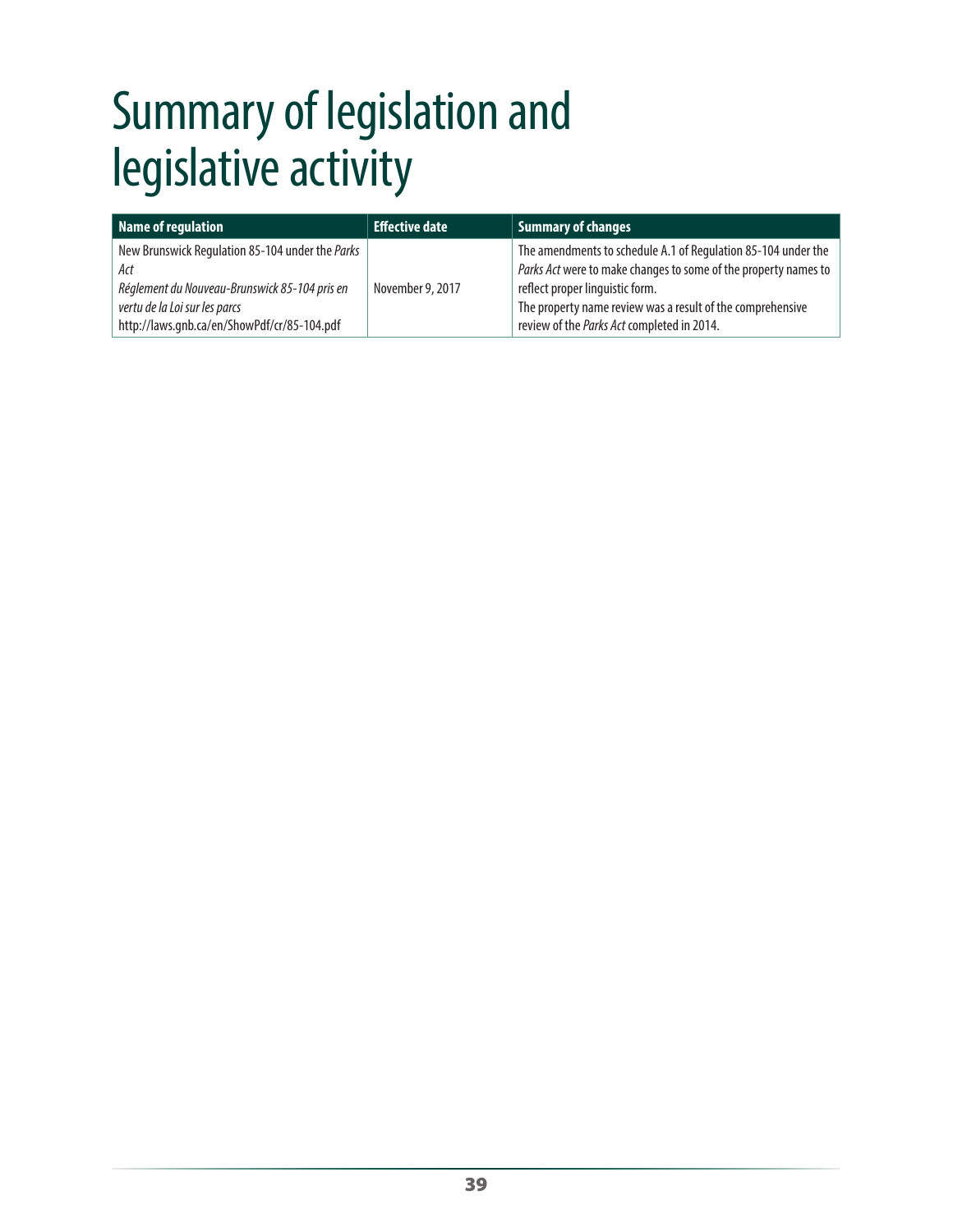# <span id="page-38-0"></span>Summary of legislation and legislative activity

| Name of regulation                                                                                                                                                                      | <b>Effective date</b> | Summary of changes                                                                                                                                                                                                                                                              |
|-----------------------------------------------------------------------------------------------------------------------------------------------------------------------------------------|-----------------------|---------------------------------------------------------------------------------------------------------------------------------------------------------------------------------------------------------------------------------------------------------------------------------|
| New Brunswick Regulation 85-104 under the Parks<br>Act<br>Réglement du Nouveau-Brunswick 85-104 pris en<br>vertu de la Loi sur les parcs<br>http://laws.gnb.ca/en/ShowPdf/cr/85-104.pdf | November 9, 2017      | The amendments to schedule A.1 of Regulation 85-104 under the<br>Parks Act were to make changes to some of the property names to<br>reflect proper linguistic form.<br>The property name review was a result of the comprehensive<br>review of the Parks Act completed in 2014. |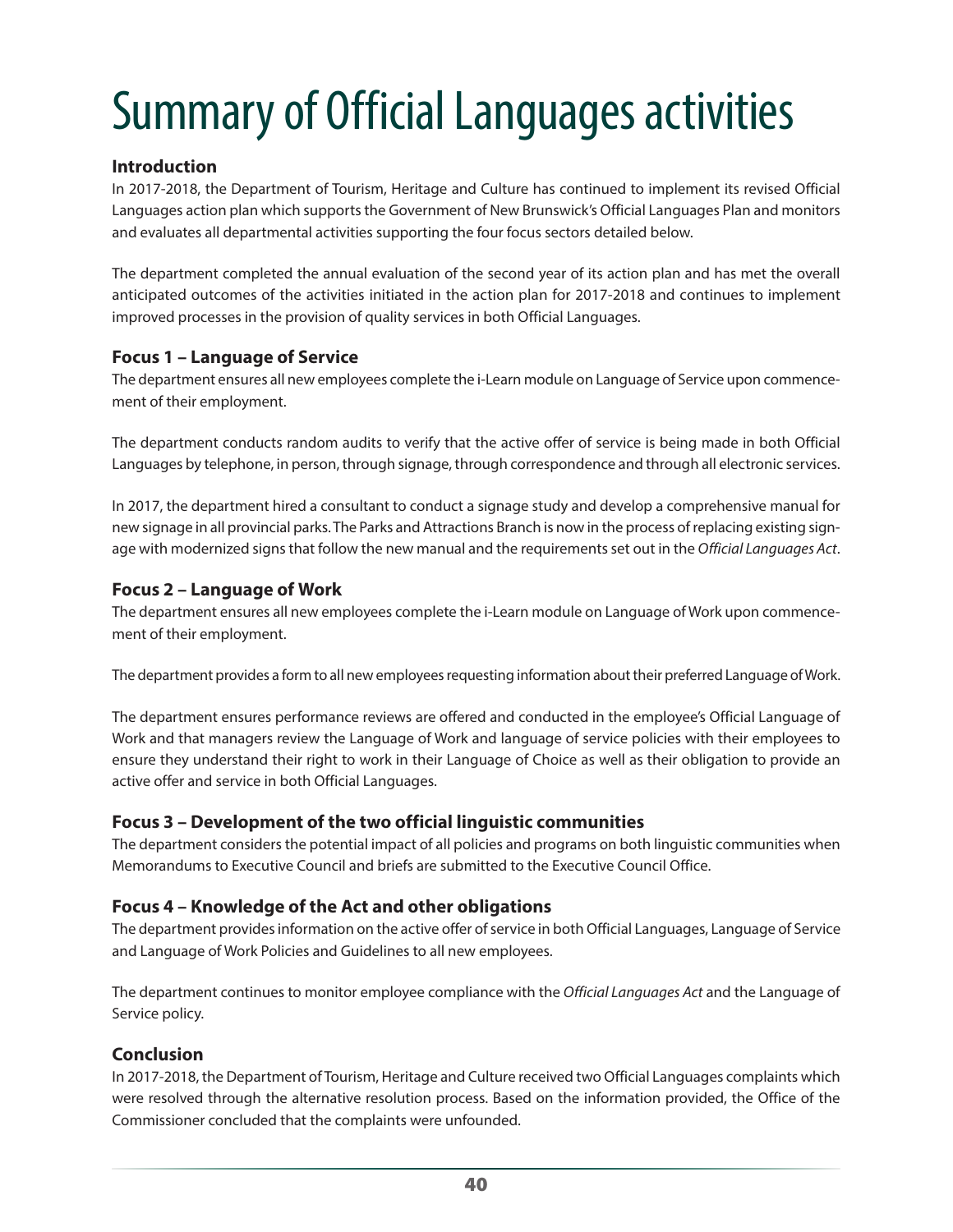# <span id="page-39-0"></span>Summary of Official Languages activities

# **Introduction**

In 2017-2018, the Department of Tourism, Heritage and Culture has continued to implement its revised Official Languages action plan which supports the Government of New Brunswick's Official Languages Plan and monitors and evaluates all departmental activities supporting the four focus sectors detailed below.

The department completed the annual evaluation of the second year of its action plan and has met the overall anticipated outcomes of the activities initiated in the action plan for 2017-2018 and continues to implement improved processes in the provision of quality services in both Official Languages.

# **Focus 1 – Language of Service**

The department ensures all new employees complete the i-Learn module on Language of Service upon commencement of their employment.

The department conducts random audits to verify that the active offer of service is being made in both Official Languages by telephone, in person, through signage, through correspondence and through all electronic services.

In 2017, the department hired a consultant to conduct a signage study and develop a comprehensive manual for new signage in all provincial parks. The Parks and Attractions Branch is now in the process of replacing existing signage with modernized signs that follow the new manual and the requirements set out in the *Official Languages Act*.

# **Focus 2 – Language of Work**

The department ensures all new employees complete the i-Learn module on Language of Work upon commencement of their employment.

The department provides a form to all new employees requesting information about their preferred Language of Work.

The department ensures performance reviews are offered and conducted in the employee's Official Language of Work and that managers review the Language of Work and language of service policies with their employees to ensure they understand their right to work in their Language of Choice as well as their obligation to provide an active offer and service in both Official Languages.

# **Focus 3 – Development of the two official linguistic communities**

The department considers the potential impact of all policies and programs on both linguistic communities when Memorandums to Executive Council and briefs are submitted to the Executive Council Office.

# **Focus 4 – Knowledge of the Act and other obligations**

The department provides information on the active offer of service in both Official Languages, Language of Service and Language of Work Policies and Guidelines to all new employees.

The department continues to monitor employee compliance with the *Official Languages Act* and the Language of Service policy.

# **Conclusion**

In 2017-2018, the Department of Tourism, Heritage and Culture received two Official Languages complaints which were resolved through the alternative resolution process. Based on the information provided, the Office of the Commissioner concluded that the complaints were unfounded.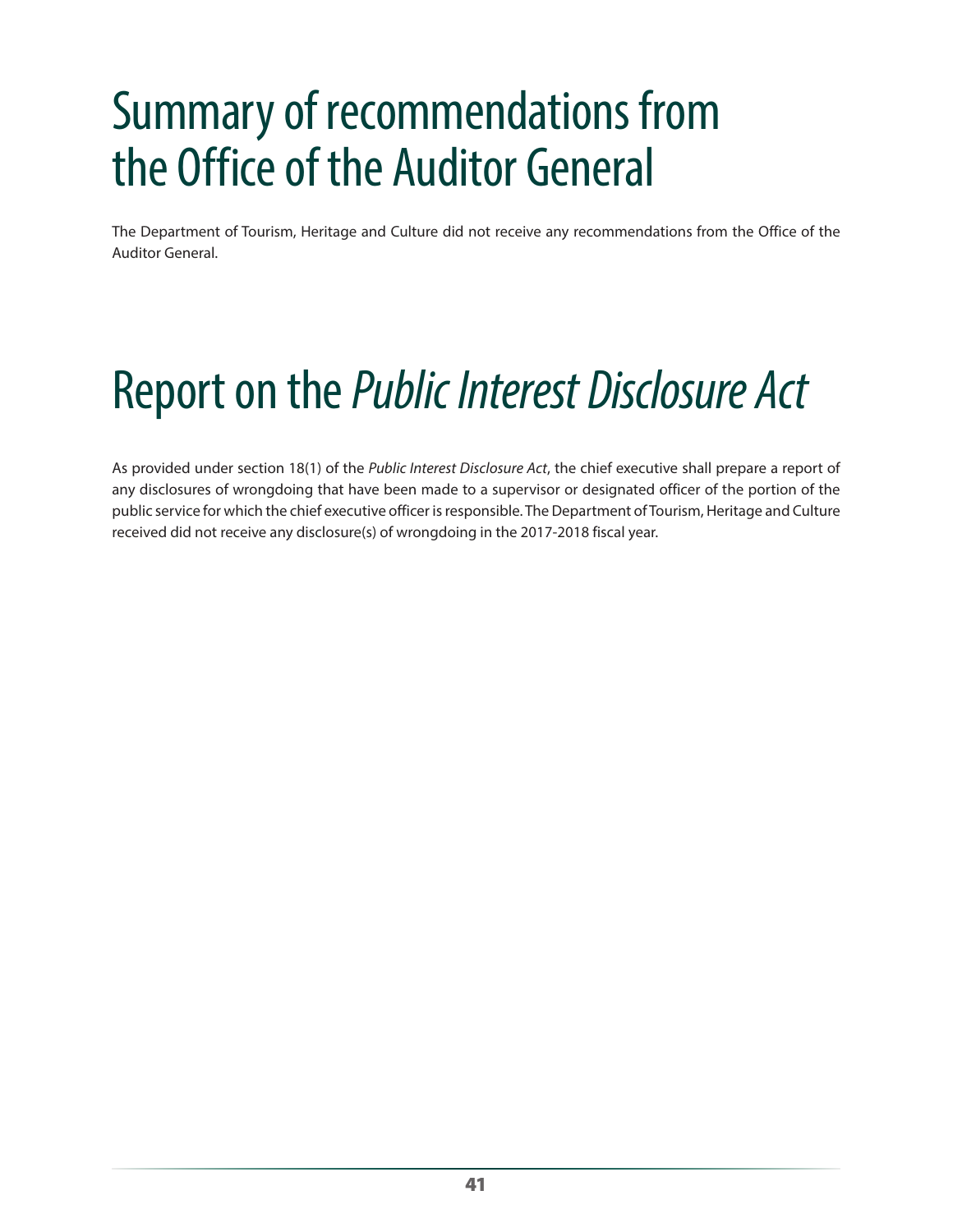# <span id="page-40-0"></span>Summary of recommendations from the Office of the Auditor General

The Department of Tourism, Heritage and Culture did not receive any recommendations from the Office of the Auditor General.

# Report on the *Public Interest Disclosure Act*

As provided under section 18(1) of the *Public Interest Disclosure Act*, the chief executive shall prepare a report of any disclosures of wrongdoing that have been made to a supervisor or designated officer of the portion of the public service for which the chief executive officer is responsible. The Department of Tourism, Heritage and Culture received did not receive any disclosure(s) of wrongdoing in the 2017-2018 fiscal year.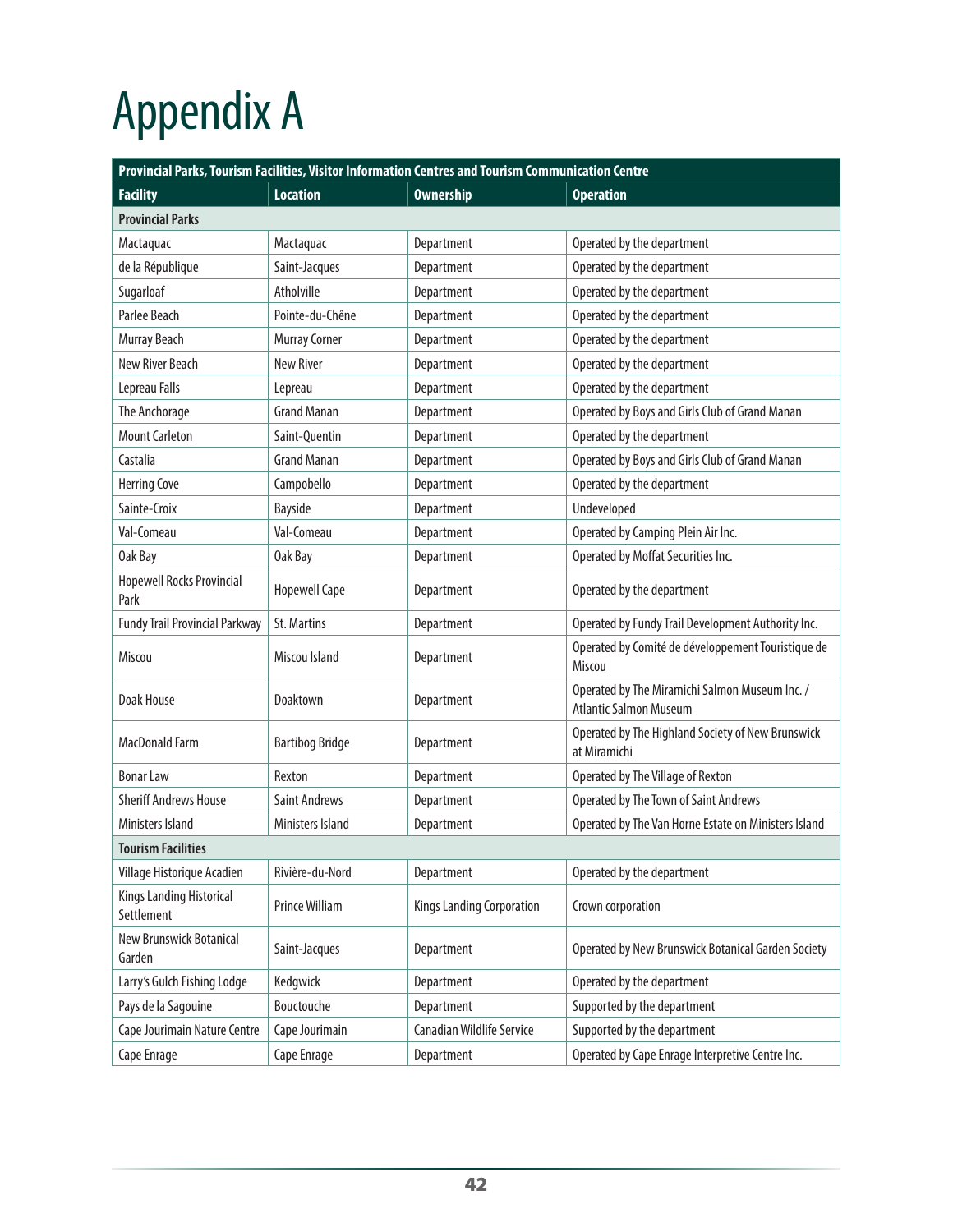# <span id="page-41-0"></span>Appendix A

| Provincial Parks, Tourism Facilities, Visitor Information Centres and Tourism Communication Centre |                         |                                  |                                                                                 |  |  |
|----------------------------------------------------------------------------------------------------|-------------------------|----------------------------------|---------------------------------------------------------------------------------|--|--|
| <b>Facility</b>                                                                                    | <b>Location</b>         | <b>Ownership</b>                 | <b>Operation</b>                                                                |  |  |
| <b>Provincial Parks</b>                                                                            |                         |                                  |                                                                                 |  |  |
| Mactaquac                                                                                          | Mactaquac               | Department                       | Operated by the department                                                      |  |  |
| de la République                                                                                   | Saint-Jacques           | Department                       | Operated by the department                                                      |  |  |
| Sugarloaf                                                                                          | Atholville              | Department                       | Operated by the department                                                      |  |  |
| Parlee Beach                                                                                       | Pointe-du-Chêne         | Department                       | Operated by the department                                                      |  |  |
| Murray Beach                                                                                       | <b>Murray Corner</b>    | Department                       | Operated by the department                                                      |  |  |
| New River Beach                                                                                    | <b>New River</b>        | Department                       | Operated by the department                                                      |  |  |
| Lepreau Falls                                                                                      | Lepreau                 | Department                       | Operated by the department                                                      |  |  |
| The Anchorage                                                                                      | <b>Grand Manan</b>      | Department                       | Operated by Boys and Girls Club of Grand Manan                                  |  |  |
| <b>Mount Carleton</b>                                                                              | Saint-Quentin           | Department                       | Operated by the department                                                      |  |  |
| Castalia                                                                                           | <b>Grand Manan</b>      | Department                       | Operated by Boys and Girls Club of Grand Manan                                  |  |  |
| <b>Herring Cove</b>                                                                                | Campobello              | Department                       | Operated by the department                                                      |  |  |
| Sainte-Croix                                                                                       | Bayside                 | Department                       | Undeveloped                                                                     |  |  |
| Val-Comeau                                                                                         | Val-Comeau              | Department                       | Operated by Camping Plein Air Inc.                                              |  |  |
| Oak Bay                                                                                            | Oak Bay                 | Department                       | Operated by Moffat Securities Inc.                                              |  |  |
| <b>Hopewell Rocks Provincial</b><br>Park                                                           | <b>Hopewell Cape</b>    | Department                       | Operated by the department                                                      |  |  |
| <b>Fundy Trail Provincial Parkway</b>                                                              | <b>St. Martins</b>      | Department                       | Operated by Fundy Trail Development Authority Inc.                              |  |  |
| Miscou                                                                                             | Miscou Island           | Department                       | Operated by Comité de développement Touristique de<br>Miscou                    |  |  |
| <b>Doak House</b>                                                                                  | Doaktown                | Department                       | Operated by The Miramichi Salmon Museum Inc. /<br><b>Atlantic Salmon Museum</b> |  |  |
| MacDonald Farm                                                                                     | <b>Bartibog Bridge</b>  | Department                       | Operated by The Highland Society of New Brunswick<br>at Miramichi               |  |  |
| <b>Bonar Law</b>                                                                                   | Rexton                  | Department                       | Operated by The Village of Rexton                                               |  |  |
| <b>Sheriff Andrews House</b>                                                                       | <b>Saint Andrews</b>    | Department                       | <b>Operated by The Town of Saint Andrews</b>                                    |  |  |
| Ministers Island                                                                                   | <b>Ministers Island</b> | Department                       | Operated by The Van Horne Estate on Ministers Island                            |  |  |
| <b>Tourism Facilities</b>                                                                          |                         |                                  |                                                                                 |  |  |
| Village Historique Acadien                                                                         | Rivière-du-Nord         | Department                       | Operated by the department                                                      |  |  |
| Kings Landing Historical<br>Settlement                                                             | Prince William          | Kings Landing Corporation        | Crown corporation                                                               |  |  |
| New Brunswick Botanical<br>Garden                                                                  | Saint-Jacques           | Department                       | Operated by New Brunswick Botanical Garden Society                              |  |  |
| Larry's Gulch Fishing Lodge                                                                        | Kedgwick                | Department                       | Operated by the department                                                      |  |  |
| Pays de la Sagouine                                                                                | Bouctouche              | Department                       | Supported by the department                                                     |  |  |
| Cape Jourimain Nature Centre                                                                       | Cape Jourimain          | <b>Canadian Wildlife Service</b> | Supported by the department                                                     |  |  |
| Cape Enrage                                                                                        | Cape Enrage             | Department                       | Operated by Cape Enrage Interpretive Centre Inc.                                |  |  |